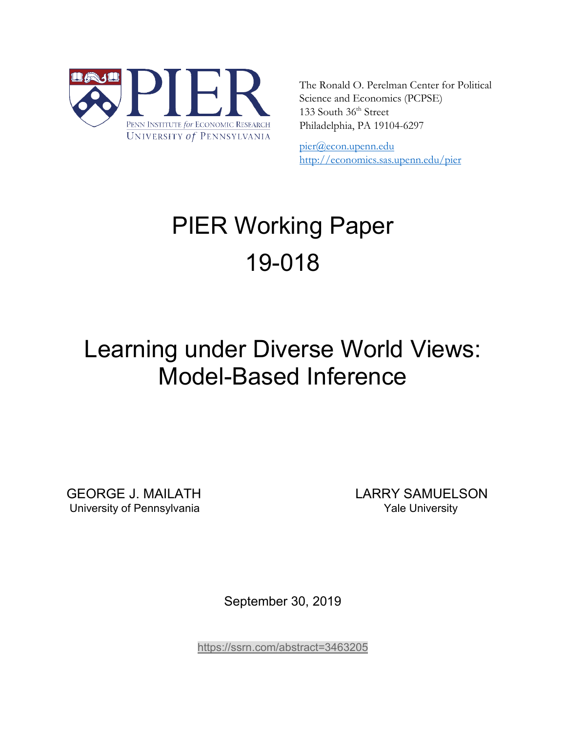

The Ronald O. Perelman Center for Political Science and Economics (PCPSE) 133 South 36<sup>th</sup> Street Philadelphia, PA 19104-6297

pier@econ.upenn.edu <http://economics.sas.upenn.edu/pier>

# PIER Working Paper 19-018

# Learning under Diverse World Views: Model-Based Inference

University of Pennsylvania Number 2012 1991 1992 1993 National Mercury of Pennsylvania

GEORGE J. MAILATH LARRY SAMUELSON

September 30, 2019

<https://ssrn.com/abstract=3463205>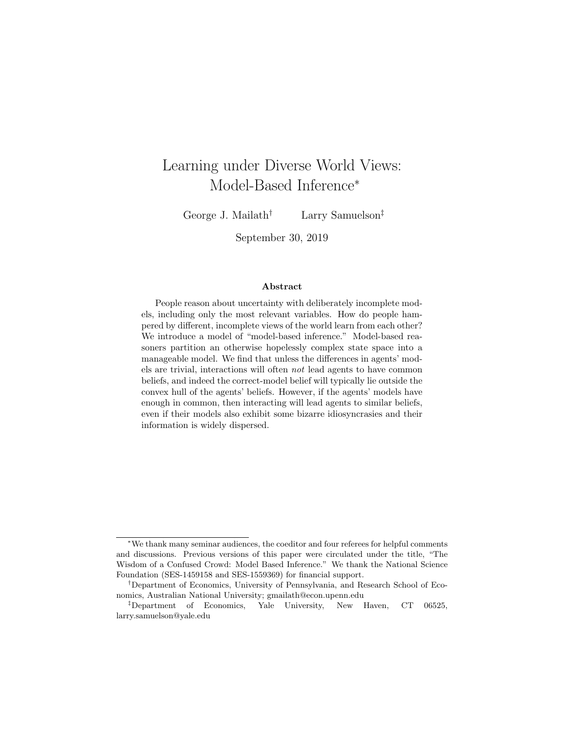# Learning under Diverse World Views: Model-Based Inference<sup>∗</sup>

George J. Mailath<sup>†</sup> Larry Samuelson<sup>‡</sup>

September 30, 2019

#### Abstract

People reason about uncertainty with deliberately incomplete models, including only the most relevant variables. How do people hampered by different, incomplete views of the world learn from each other? We introduce a model of "model-based inference." Model-based reasoners partition an otherwise hopelessly complex state space into a manageable model. We find that unless the differences in agents' models are trivial, interactions will often not lead agents to have common beliefs, and indeed the correct-model belief will typically lie outside the convex hull of the agents' beliefs. However, if the agents' models have enough in common, then interacting will lead agents to similar beliefs, even if their models also exhibit some bizarre idiosyncrasies and their information is widely dispersed.

<sup>∗</sup>We thank many seminar audiences, the coeditor and four referees for helpful comments and discussions. Previous versions of this paper were circulated under the title, "The Wisdom of a Confused Crowd: Model Based Inference." We thank the National Science Foundation (SES-1459158 and SES-1559369) for financial support.

<sup>†</sup>Department of Economics, University of Pennsylvania, and Research School of Economics, Australian National University; gmailath@econ.upenn.edu

<sup>‡</sup>Department of Economics, Yale University, New Haven, CT 06525, larry.samuelson@yale.edu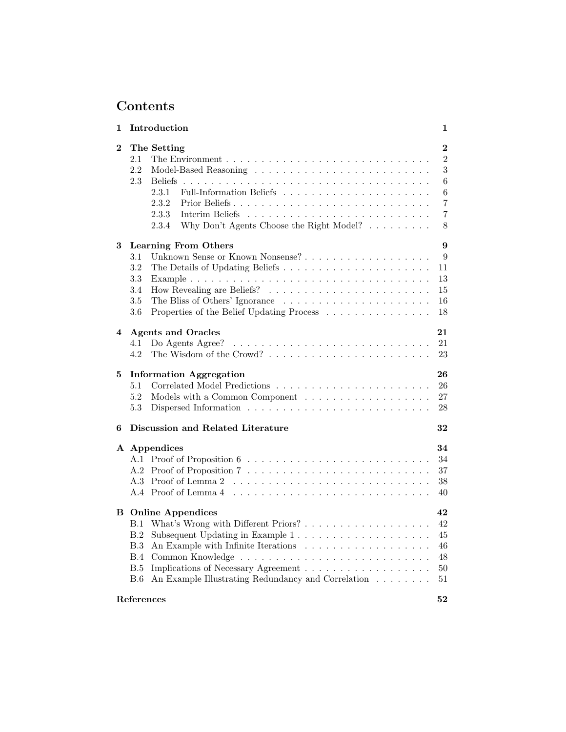# Contents

| 1        | Introduction                                                                                                                                                                                 | 1                                                                                                  |
|----------|----------------------------------------------------------------------------------------------------------------------------------------------------------------------------------------------|----------------------------------------------------------------------------------------------------|
| $\bf{2}$ | The Setting<br>2.1<br>2.2<br>2.3<br>2.3.1<br>2.3.2<br>Prior Beliefs<br>2.3.3<br>Interim Beliefs<br>Why Don't Agents Choose the Right Model? $\ldots \ldots \ldots$<br>2.3.4                  | $\boldsymbol{2}$<br>$\overline{2}$<br>3<br>$\,6$<br>$\,6$<br>$\overline{7}$<br>$\overline{7}$<br>8 |
| 3        | <b>Learning From Others</b><br>Unknown Sense or Known Nonsense?<br>$3.1\,$<br>3.2<br>3.3<br>3.4<br>3.5<br>The Bliss of Others' Ignorance<br>Properties of the Belief Updating Process<br>3.6 | 9<br>9<br>11<br>13<br>15<br>16<br>18                                                               |
| 4        | <b>Agents and Oracles</b><br>4.1<br>Do Agents Agree?<br>4.2                                                                                                                                  | 21<br>21<br>23                                                                                     |
| 5        | <b>Information Aggregation</b><br>5.1<br>5.2<br>Models with a Common Component<br>5.3                                                                                                        | 26<br>26<br>27<br>28                                                                               |
| 6        | Discussion and Related Literature                                                                                                                                                            | 32                                                                                                 |
|          | A Appendices<br>A.1<br>A.2<br>A.3<br>Proof of Lemma 2<br>Proof of Lemma 4<br>A.4                                                                                                             | 34<br>34<br>37<br>38<br>40                                                                         |
| В        | <b>Online Appendices</b><br>B.1<br>B.2<br>B.3<br>B.4<br>B.5<br>An Example Illustrating Redundancy and Correlation<br>B.6<br>References                                                       | 42<br>42<br>45<br>46<br>48<br>50<br>51<br>52                                                       |
|          |                                                                                                                                                                                              |                                                                                                    |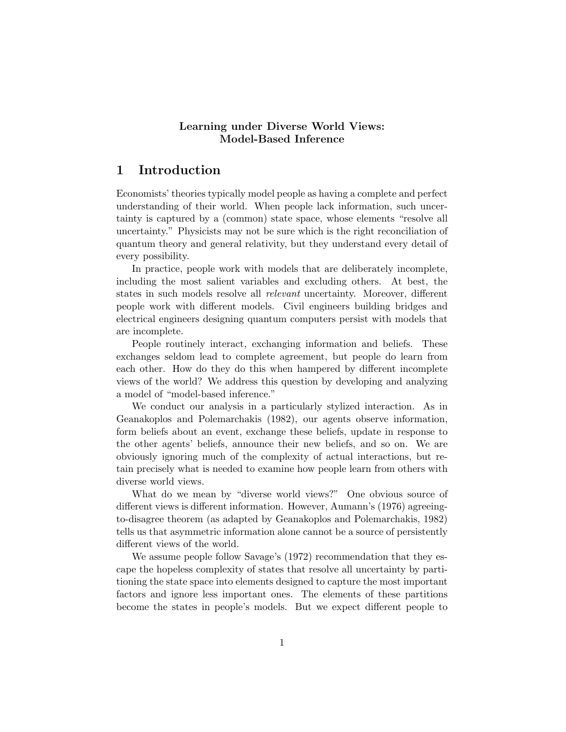#### Learning under Diverse World Views: Model-Based Inference

## <span id="page-3-0"></span>1 Introduction

Economists' theories typically model people as having a complete and perfect understanding of their world. When people lack information, such uncertainty is captured by a (common) state space, whose elements "resolve all uncertainty." Physicists may not be sure which is the right reconciliation of quantum theory and general relativity, but they understand every detail of every possibility.

In practice, people work with models that are deliberately incomplete, including the most salient variables and excluding others. At best, the states in such models resolve all relevant uncertainty. Moreover, different people work with different models. Civil engineers building bridges and electrical engineers designing quantum computers persist with models that are incomplete.

People routinely interact, exchanging information and beliefs. These exchanges seldom lead to complete agreement, but people do learn from each other. How do they do this when hampered by different incomplete views of the world? We address this question by developing and analyzing a model of "model-based inference."

We conduct our analysis in a particularly stylized interaction. As in [Geanakoplos and Polemarchakis \(1982\)](#page-55-0), our agents observe information, form beliefs about an event, exchange these beliefs, update in response to the other agents' beliefs, announce their new beliefs, and so on. We are obviously ignoring much of the complexity of actual interactions, but retain precisely what is needed to examine how people learn from others with diverse world views.

What do we mean by "diverse world views?" One obvious source of different views is different information. However, [Aumann'](#page-55-1)s [\(1976\)](#page-55-1) agreeingto-disagree theorem (as adapted by [Geanakoplos and Polemarchakis, 1982\)](#page-55-0) tells us that asymmetric information alone cannot be a source of persistently different views of the world.

We assume people follow [Savage'](#page-56-0)s [\(1972\)](#page-56-0) recommendation that they escape the hopeless complexity of states that resolve all uncertainty by partitioning the state space into elements designed to capture the most important factors and ignore less important ones. The elements of these partitions become the states in people's models. But we expect different people to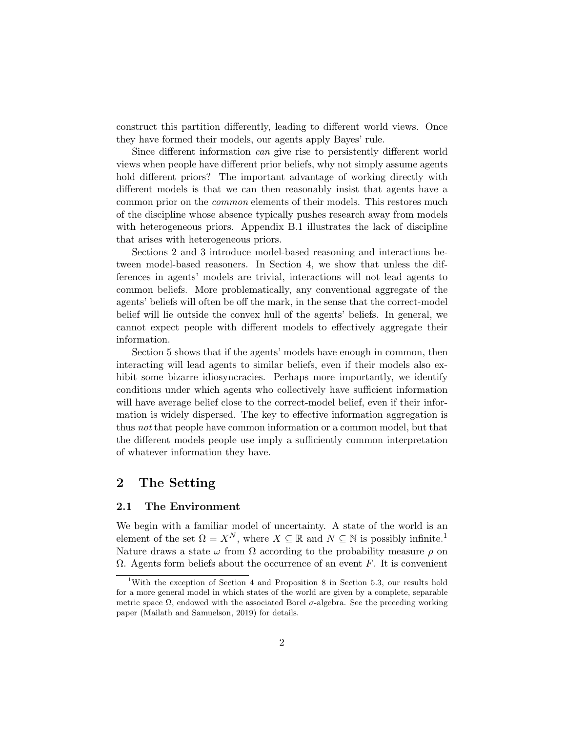construct this partition differently, leading to different world views. Once they have formed their models, our agents apply Bayes' rule.

Since different information can give rise to persistently different world views when people have different prior beliefs, why not simply assume agents hold different priors? The important advantage of working directly with different models is that we can then reasonably insist that agents have a common prior on the common elements of their models. This restores much of the discipline whose absence typically pushes research away from models with heterogeneous priors. Appendix [B.1](#page-44-1) illustrates the lack of discipline that arises with heterogeneous priors.

Sections [2](#page-4-0) and [3](#page-11-0) introduce model-based reasoning and interactions between model-based reasoners. In Section [4,](#page-23-0) we show that unless the differences in agents' models are trivial, interactions will not lead agents to common beliefs. More problematically, any conventional aggregate of the agents' beliefs will often be off the mark, in the sense that the correct-model belief will lie outside the convex hull of the agents' beliefs. In general, we cannot expect people with different models to effectively aggregate their information.

Section [5](#page-28-0) shows that if the agents' models have enough in common, then interacting will lead agents to similar beliefs, even if their models also exhibit some bizarre idiosyncracies. Perhaps more importantly, we identify conditions under which agents who collectively have sufficient information will have average belief close to the correct-model belief, even if their information is widely dispersed. The key to effective information aggregation is thus not that people have common information or a common model, but that the different models people use imply a sufficiently common interpretation of whatever information they have.

# <span id="page-4-0"></span>2 The Setting

#### <span id="page-4-1"></span>2.1 The Environment

We begin with a familiar model of uncertainty. A state of the world is an element of the set  $\Omega = X^N$ , where  $X \subseteq \mathbb{R}$  and  $N \subseteq \mathbb{N}$  is possibly infinite.<sup>[1](#page-4-2)</sup> Nature draws a state  $\omega$  from  $\Omega$  according to the probability measure  $\rho$  on  $\Omega$ . Agents form beliefs about the occurrence of an event F. It is convenient

<span id="page-4-2"></span><sup>1</sup>With the exception of Section [4](#page-23-0) and Proposition [8](#page-32-1) in Section [5.3,](#page-30-0) our results hold for a more general model in which states of the world are given by a complete, separable metric space Ω, endowed with the associated Borel  $\sigma$ -algebra. See the preceding working paper [\(Mailath and Samuelson, 2019\)](#page-56-1) for details.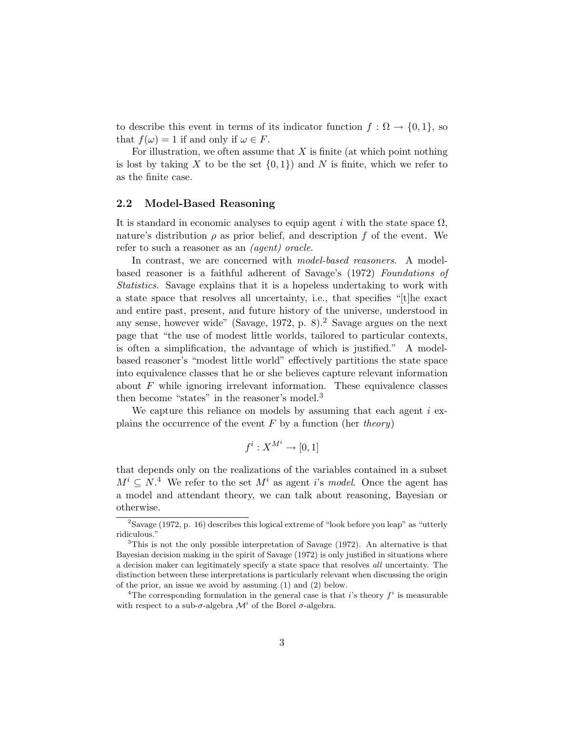to describe this event in terms of its indicator function  $f : \Omega \to \{0,1\}$ , so that  $f(\omega) = 1$  if and only if  $\omega \in F$ .

For illustration, we often assume that  $X$  is finite (at which point nothing is lost by taking X to be the set  $\{0,1\}$  and N is finite, which we refer to as the finite case.

#### <span id="page-5-0"></span>2.2 Model-Based Reasoning

It is standard in economic analyses to equip agent i with the state space  $\Omega$ , nature's distribution  $\rho$  as prior belief, and description f of the event. We refer to such a reasoner as an (agent) oracle.

In contrast, we are concerned with *model-based reasoners*. A modelbased reasoner is a faithful adherent of [Savage'](#page-56-0)s [\(1972\)](#page-56-0) Foundations of Statistics. Savage explains that it is a hopeless undertaking to work with a state space that resolves all uncertainty, i.e., that specifies "[t]he exact and entire past, present, and future history of the universe, understood in any sense, however wide" [\(Savage, 1972,](#page-56-0) p. 8).<sup>[2](#page-5-1)</sup> Savage argues on the next page that "the use of modest little worlds, tailored to particular contexts, is often a simplification, the advantage of which is justified." A modelbased reasoner's "modest little world" effectively partitions the state space into equivalence classes that he or she believes capture relevant information about  $F$  while ignoring irrelevant information. These equivalence classes then become "states" in the reasoner's model.<sup>[3](#page-5-2)</sup>

We capture this reliance on models by assuming that each agent  $i$  explains the occurrence of the event  $F$  by a function (her theory)

$$
f^i: X^{M^i} \to [0,1]
$$

that depends only on the realizations of the variables contained in a subset  $M^i \subseteq N$ .<sup>[4](#page-5-3)</sup> We refer to the set  $M^i$  as agent *i*'s *model*. Once the agent has a model and attendant theory, we can talk about reasoning, Bayesian or otherwise.

<span id="page-5-1"></span> $2$ [Savage](#page-56-0) [\(1972,](#page-56-0) p. 16) describes this logical extreme of "look before you leap" as "utterly ridiculous."

<span id="page-5-2"></span><sup>&</sup>lt;sup>3</sup>This is not the only possible interpretation of [Savage](#page-56-0) [\(1972\)](#page-56-0). An alternative is that Bayesian decision making in the spirit of [Savage](#page-56-0) [\(1972\)](#page-56-0) is only justified in situations where a decision maker can legitimately specify a state space that resolves all uncertainty. The distinction between these interpretations is particularly relevant when discussing the origin of the prior, an issue we avoid by assuming [\(1\)](#page-6-0) and [\(2\)](#page-7-0) below.

<span id="page-5-3"></span><sup>&</sup>lt;sup>4</sup>The corresponding formulation in the general case is that *i*'s theory  $f^i$  is measurable with respect to a sub- $\sigma$ -algebra  $\mathcal{M}^i$  of the Borel  $\sigma$ -algebra.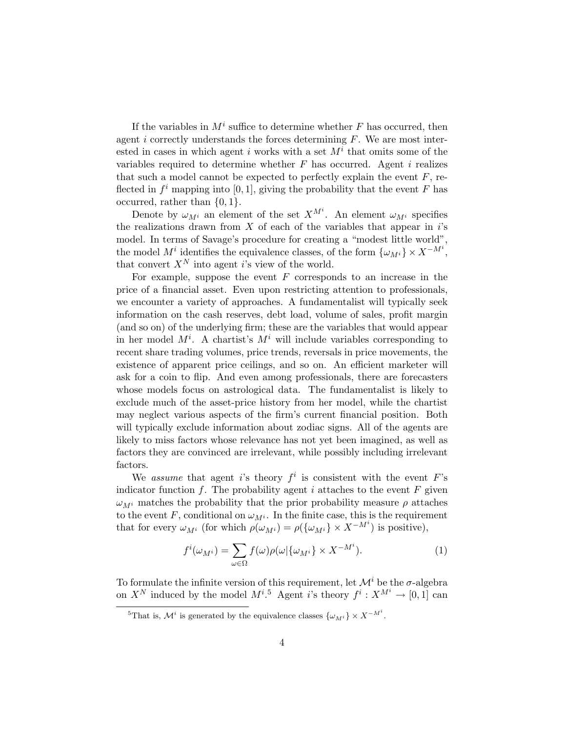If the variables in  $M^i$  suffice to determine whether F has occurred, then agent  $i$  correctly understands the forces determining  $F$ . We are most interested in cases in which agent i works with a set  $M<sup>i</sup>$  that omits some of the variables required to determine whether  $F$  has occurred. Agent i realizes that such a model cannot be expected to perfectly explain the event  $F$ , reflected in  $f^i$  mapping into [0, 1], giving the probability that the event F has occurred, rather than  $\{0, 1\}$ .

Denote by  $\omega_{M^i}$  an element of the set  $X^{M^i}$ . An element  $\omega_{M^i}$  specifies the realizations drawn from  $X$  of each of the variables that appear in  $i$ 's model. In terms of Savage's procedure for creating a "modest little world", the model  $M^i$  identifies the equivalence classes, of the form  $\{\omega_{M^i}\}\times X^{-M^i}$ , that convert  $X^N$  into agent i's view of the world.

For example, suppose the event  $F$  corresponds to an increase in the price of a financial asset. Even upon restricting attention to professionals, we encounter a variety of approaches. A fundamentalist will typically seek information on the cash reserves, debt load, volume of sales, profit margin (and so on) of the underlying firm; these are the variables that would appear in her model  $M^i$ . A chartist's  $M^i$  will include variables corresponding to recent share trading volumes, price trends, reversals in price movements, the existence of apparent price ceilings, and so on. An efficient marketer will ask for a coin to flip. And even among professionals, there are forecasters whose models focus on astrological data. The fundamentalist is likely to exclude much of the asset-price history from her model, while the chartist may neglect various aspects of the firm's current financial position. Both will typically exclude information about zodiac signs. All of the agents are likely to miss factors whose relevance has not yet been imagined, as well as factors they are convinced are irrelevant, while possibly including irrelevant factors.

We assume that agent i's theory  $f^i$  is consistent with the event F's indicator function f. The probability agent i attaches to the event  $F$  given  $\omega_{M}$  matches the probability that the prior probability measure  $\rho$  attaches to the event F, conditional on  $\omega_{M^i}$ . In the finite case, this is the requirement that for every  $\omega_{M^i}$  (for which  $\rho(\omega_{M^i}) = \rho(\{\omega_{M^i}\}\times X^{-M^i})$  is positive),

<span id="page-6-0"></span>
$$
f^{i}(\omega_{M^{i}}) = \sum_{\omega \in \Omega} f(\omega) \rho(\omega | \{\omega_{M^{i}}\} \times X^{-M^{i}}). \tag{1}
$$

To formulate the infinite version of this requirement, let  $\mathcal{M}^i$  be the  $\sigma$ -algebra on  $X^N$  induced by the model  $M^i$ <sup>[5](#page-6-1)</sup> Agent i's theory  $f^i: X^{M^i} \to [0,1]$  can

<span id="page-6-1"></span><sup>&</sup>lt;sup>5</sup>That is,  $\mathcal{M}^i$  is generated by the equivalence classes  $\{\omega_{M^i}\}\times X^{-M^i}$ .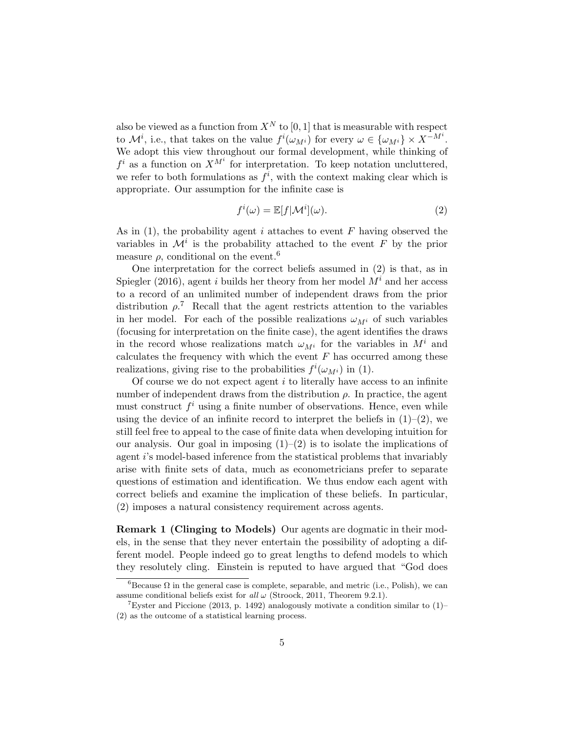also be viewed as a function from  $X^N$  to [0, 1] that is measurable with respect to  $\mathcal{M}^i$ , i.e., that takes on the value  $f^i(\omega_{M^i})$  for every  $\omega \in {\{\omega_{M^i}\}} \times X^{-M^i}$ . We adopt this view throughout our formal development, while thinking of  $f^i$  as a function on  $X^{M^i}$  for interpretation. To keep notation uncluttered, we refer to both formulations as  $f^i$ , with the context making clear which is appropriate. Our assumption for the infinite case is

<span id="page-7-0"></span>
$$
f^{i}(\omega) = \mathbb{E}[f|\mathcal{M}^{i}](\omega).
$$
 (2)

As in  $(1)$ , the probability agent i attaches to event F having observed the variables in  $\mathcal{M}^i$  is the probability attached to the event F by the prior measure  $\rho$ , conditional on the event.<sup>[6](#page-7-1)</sup>

One interpretation for the correct beliefs assumed in [\(2\)](#page-7-0) is that, as in [Spiegler \(2016\)](#page-56-2), agent i builds her theory from her model  $M<sup>i</sup>$  and her access to a record of an unlimited number of independent draws from the prior distribution  $\rho$ <sup>[7](#page-7-2)</sup>. Recall that the agent restricts attention to the variables in her model. For each of the possible realizations  $\omega_{M}$  of such variables (focusing for interpretation on the finite case), the agent identifies the draws in the record whose realizations match  $\omega_{M}$  for the variables in  $M^i$  and calculates the frequency with which the event  $F$  has occurred among these realizations, giving rise to the probabilities  $f^i(\omega_{M^i})$  in [\(1\)](#page-6-0).

Of course we do not expect agent  $i$  to literally have access to an infinite number of independent draws from the distribution  $\rho$ . In practice, the agent must construct  $f^i$  using a finite number of observations. Hence, even while using the device of an infinite record to interpret the beliefs in  $(1)-(2)$  $(1)-(2)$ , we still feel free to appeal to the case of finite data when developing intuition for our analysis. Our goal in imposing  $(1)$ – $(2)$  is to isolate the implications of agent i's model-based inference from the statistical problems that invariably arise with finite sets of data, much as econometricians prefer to separate questions of estimation and identification. We thus endow each agent with correct beliefs and examine the implication of these beliefs. In particular, [\(2\)](#page-7-0) imposes a natural consistency requirement across agents.

Remark 1 (Clinging to Models) Our agents are dogmatic in their models, in the sense that they never entertain the possibility of adopting a different model. People indeed go to great lengths to defend models to which they resolutely cling. Einstein is reputed to have argued that "God does

<span id="page-7-1"></span> ${}^{6}$ Because Ω in the general case is complete, separable, and metric (i.e., Polish), we can assume conditional beliefs exist for all  $\omega$  [\(Stroock, 2011,](#page-56-3) Theorem 9.2.1).

<span id="page-7-2"></span><sup>&</sup>lt;sup>7</sup>[Eyster and Piccione](#page-55-2) [\(2013,](#page-55-2) p. 1492) analogously motivate a condition similar to  $(1)$ – [\(2\)](#page-7-0) as the outcome of a statistical learning process.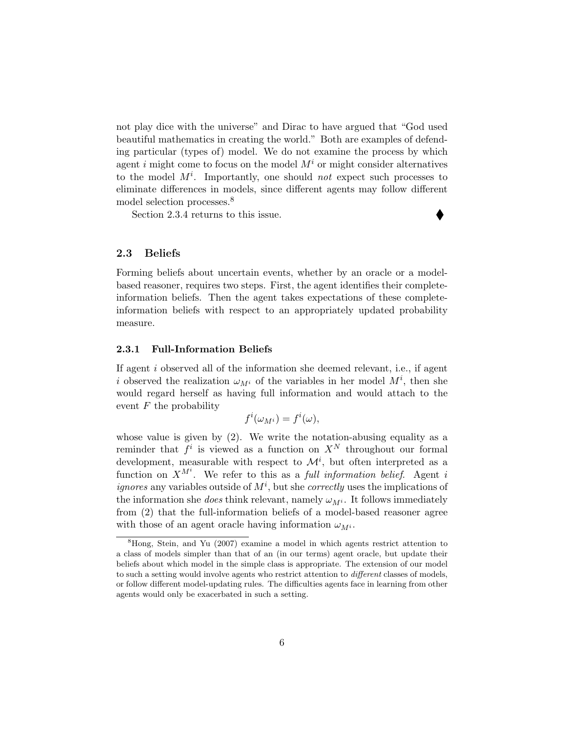not play dice with the universe" and Dirac to have argued that "God used beautiful mathematics in creating the world." Both are examples of defending particular (types of) model. We do not examine the process by which agent i might come to focus on the model  $M<sup>i</sup>$  or might consider alternatives to the model  $M^i$ . Importantly, one should not expect such processes to eliminate differences in models, since different agents may follow different model selection processes.<sup>[8](#page-8-2)</sup>

Section [2.3.4](#page-10-0) returns to this issue.

#### <span id="page-8-0"></span>2.3 Beliefs

Forming beliefs about uncertain events, whether by an oracle or a modelbased reasoner, requires two steps. First, the agent identifies their completeinformation beliefs. Then the agent takes expectations of these completeinformation beliefs with respect to an appropriately updated probability measure.

#### <span id="page-8-1"></span>2.3.1 Full-Information Beliefs

If agent i observed all of the information she deemed relevant, i.e., if agent i observed the realization  $\omega_{M}$  of the variables in her model  $M^i$ , then she would regard herself as having full information and would attach to the event  $F$  the probability

$$
f^i(\omega_{M^i}) = f^i(\omega),
$$

whose value is given by [\(2\)](#page-7-0). We write the notation-abusing equality as a reminder that  $f^i$  is viewed as a function on  $X^N$  throughout our formal development, measurable with respect to  $\mathcal{M}^i$ , but often interpreted as a function on  $X^{M^i}$ . We refer to this as a *full information belief*. Agent i ignores any variables outside of  $M^i$ , but she correctly uses the implications of the information she *does* think relevant, namely  $\omega_{M}$ . It follows immediately from [\(2\)](#page-7-0) that the full-information beliefs of a model-based reasoner agree with those of an agent oracle having information  $\omega_{M^i}$ .

<span id="page-8-2"></span><sup>8</sup>[Hong, Stein, and Yu](#page-55-3) [\(2007\)](#page-55-3) examine a model in which agents restrict attention to a class of models simpler than that of an (in our terms) agent oracle, but update their beliefs about which model in the simple class is appropriate. The extension of our model to such a setting would involve agents who restrict attention to different classes of models, or follow different model-updating rules. The difficulties agents face in learning from other agents would only be exacerbated in such a setting.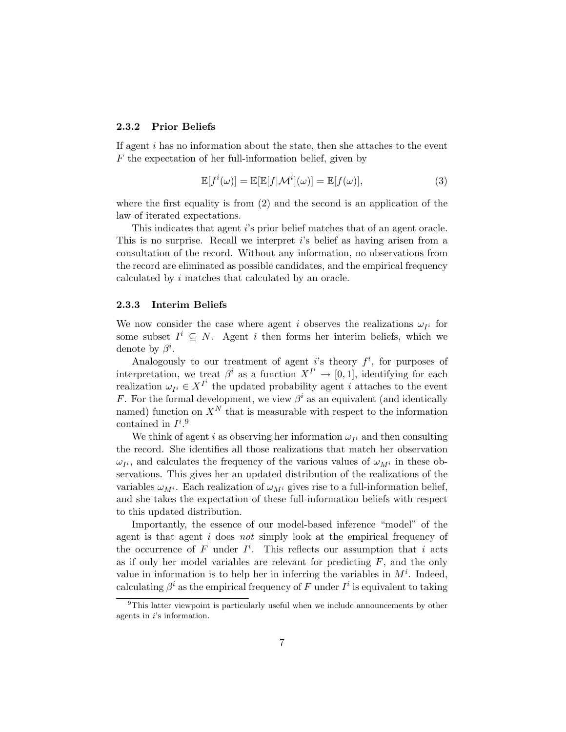#### <span id="page-9-0"></span>2.3.2 Prior Beliefs

If agent i has no information about the state, then she attaches to the event F the expectation of her full-information belief, given by

<span id="page-9-3"></span>
$$
\mathbb{E}[f^{i}(\omega)] = \mathbb{E}[\mathbb{E}[f|\mathcal{M}^{i}](\omega)] = \mathbb{E}[f(\omega)],\tag{3}
$$

where the first equality is from [\(2\)](#page-7-0) and the second is an application of the law of iterated expectations.

This indicates that agent i's prior belief matches that of an agent oracle. This is no surprise. Recall we interpret i's belief as having arisen from a consultation of the record. Without any information, no observations from the record are eliminated as possible candidates, and the empirical frequency calculated by i matches that calculated by an oracle.

#### <span id="page-9-1"></span>2.3.3 Interim Beliefs

We now consider the case where agent i observes the realizations  $\omega_{I^i}$  for some subset  $I^i \subseteq N$ . Agent i then forms her interim beliefs, which we denote by  $\beta^i$ .

Analogously to our treatment of agent i's theory  $f^i$ , for purposes of interpretation, we treat  $\beta^i$  as a function  $X^{I^i} \to [0, 1]$ , identifying for each realization  $\omega_{I^i} \in X^{I^i}$  the updated probability agent i attaches to the event F. For the formal development, we view  $\beta^i$  as an equivalent (and identically named) function on  $X^N$  that is measurable with respect to the information contained in  $I^{i,9}$  $I^{i,9}$  $I^{i,9}$ 

We think of agent i as observing her information  $\omega_{I^i}$  and then consulting the record. She identifies all those realizations that match her observation  $\omega_{I^i}$ , and calculates the frequency of the various values of  $\omega_{M^i}$  in these observations. This gives her an updated distribution of the realizations of the variables  $\omega_{M^i}$ . Each realization of  $\omega_{M^i}$  gives rise to a full-information belief, and she takes the expectation of these full-information beliefs with respect to this updated distribution.

Importantly, the essence of our model-based inference "model" of the agent is that agent i does not simply look at the empirical frequency of the occurrence of  $F$  under  $I^i$ . This reflects our assumption that i acts as if only her model variables are relevant for predicting  $F$ , and the only value in information is to help her in inferring the variables in  $M<sup>i</sup>$ . Indeed, calculating  $\beta^i$  as the empirical frequency of F under  $I^i$  is equivalent to taking

<span id="page-9-2"></span><sup>&</sup>lt;sup>9</sup>This latter viewpoint is particularly useful when we include announcements by other agents in  $i$ 's information.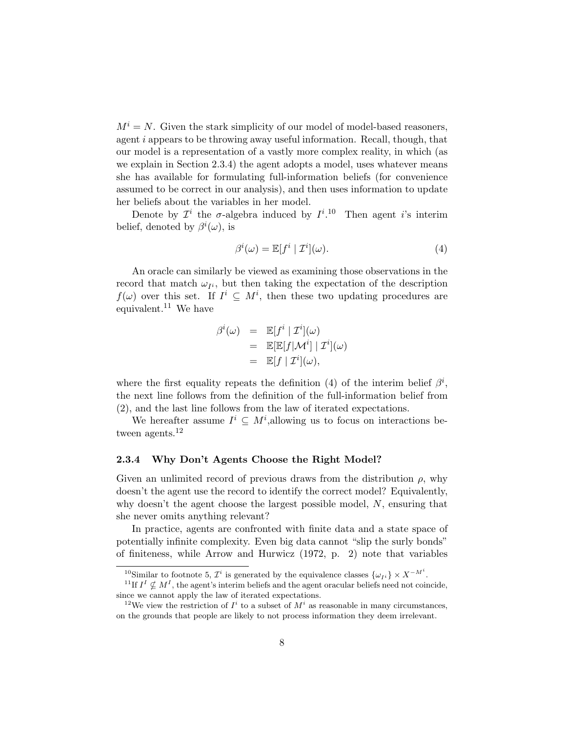$M^i = N$ . Given the stark simplicity of our model of model-based reasoners, agent i appears to be throwing away useful information. Recall, though, that our model is a representation of a vastly more complex reality, in which (as we explain in Section [2.3.4\)](#page-10-0) the agent adopts a model, uses whatever means she has available for formulating full-information beliefs (for convenience assumed to be correct in our analysis), and then uses information to update her beliefs about the variables in her model.

Denote by  $\mathcal{I}^i$  the  $\sigma$ -algebra induced by  $I^i$ .<sup>[10](#page-10-1)</sup> Then agent *i*'s interim belief, denoted by  $\beta^i(\omega)$ , is

<span id="page-10-3"></span>
$$
\beta^{i}(\omega) = \mathbb{E}[f^{i} | \mathcal{I}^{i}](\omega). \tag{4}
$$

An oracle can similarly be viewed as examining those observations in the record that match  $\omega_{I^i}$ , but then taking the expectation of the description  $f(\omega)$  over this set. If  $I^i \subseteq M^i$ , then these two updating procedures are equivalent. $^{11}$  $^{11}$  $^{11}$  We have

$$
\beta^{i}(\omega) = \mathbb{E}[f^{i} | \mathcal{I}^{i}](\omega)
$$
  
= 
$$
\mathbb{E}[\mathbb{E}[f|\mathcal{M}^{i}] | \mathcal{I}^{i}](\omega)
$$
  
= 
$$
\mathbb{E}[f | \mathcal{I}^{i}](\omega),
$$

where the first equality repeats the definition [\(4\)](#page-10-3) of the interim belief  $\beta^i$ , the next line follows from the definition of the full-information belief from [\(2\)](#page-7-0), and the last line follows from the law of iterated expectations.

We hereafter assume  $I^i \subseteq M^i$ , allowing us to focus on interactions be-tween agents.<sup>[12](#page-10-4)</sup>

#### <span id="page-10-0"></span>2.3.4 Why Don't Agents Choose the Right Model?

Given an unlimited record of previous draws from the distribution  $\rho$ , why doesn't the agent use the record to identify the correct model? Equivalently, why doesn't the agent choose the largest possible model, N, ensuring that she never omits anything relevant?

In practice, agents are confronted with finite data and a state space of potentially infinite complexity. Even big data cannot "slip the surly bonds" of finiteness, while [Arrow and Hurwicz \(1972,](#page-54-1) p. 2) note that variables

<span id="page-10-2"></span><span id="page-10-1"></span><sup>&</sup>lt;sup>10</sup>Similar to footnote [5,](#page-6-1)  $\mathcal{I}^i$  is generated by the equivalence classes  $\{\omega_{I^i}\}\times X^{-M^i}$ .

<sup>&</sup>lt;sup>11</sup> If  $I^I \nsubseteq M^I$ , the agent's interim beliefs and the agent oracular beliefs need not coincide, since we cannot apply the law of iterated expectations.

<span id="page-10-4"></span><sup>&</sup>lt;sup>12</sup>We view the restriction of  $I^i$  to a subset of  $M^i$  as reasonable in many circumstances, on the grounds that people are likely to not process information they deem irrelevant.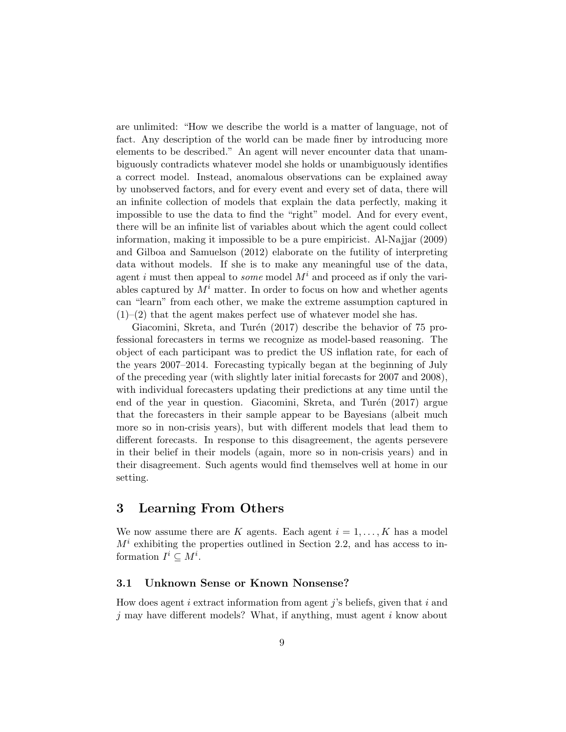are unlimited: "How we describe the world is a matter of language, not of fact. Any description of the world can be made finer by introducing more elements to be described." An agent will never encounter data that unambiguously contradicts whatever model she holds or unambiguously identifies a correct model. Instead, anomalous observations can be explained away by unobserved factors, and for every event and every set of data, there will an infinite collection of models that explain the data perfectly, making it impossible to use the data to find the "right" model. And for every event, there will be an infinite list of variables about which the agent could collect information, making it impossible to be a pure empiricist. [Al-Najjar \(2009\)](#page-54-2) and [Gilboa and Samuelson \(2012\)](#page-55-4) elaborate on the futility of interpreting data without models. If she is to make any meaningful use of the data, agent i must then appeal to *some* model  $M<sup>i</sup>$  and proceed as if only the variables captured by  $M^i$  matter. In order to focus on how and whether agents can "learn" from each other, we make the extreme assumption captured in  $(1)$ – $(2)$  that the agent makes perfect use of whatever model she has.

Giacomini, Skreta, and Turén (2017) describe the behavior of 75 professional forecasters in terms we recognize as model-based reasoning. The object of each participant was to predict the US inflation rate, for each of the years 2007–2014. Forecasting typically began at the beginning of July of the preceding year (with slightly later initial forecasts for 2007 and 2008), with individual forecasters updating their predictions at any time until the end of the year in question. Giacomini, Skreta, and Turén  $(2017)$  argue that the forecasters in their sample appear to be Bayesians (albeit much more so in non-crisis years), but with different models that lead them to different forecasts. In response to this disagreement, the agents persevere in their belief in their models (again, more so in non-crisis years) and in their disagreement. Such agents would find themselves well at home in our setting.

### <span id="page-11-0"></span>3 Learning From Others

We now assume there are K agents. Each agent  $i = 1, \ldots, K$  has a model  $M<sup>i</sup>$  exhibiting the properties outlined in Section [2.2,](#page-5-0) and has access to information  $I^i \subseteq M^i$ .

#### <span id="page-11-1"></span>3.1 Unknown Sense or Known Nonsense?

How does agent i extract information from agent j's beliefs, given that i and  $j$  may have different models? What, if anything, must agent  $i$  know about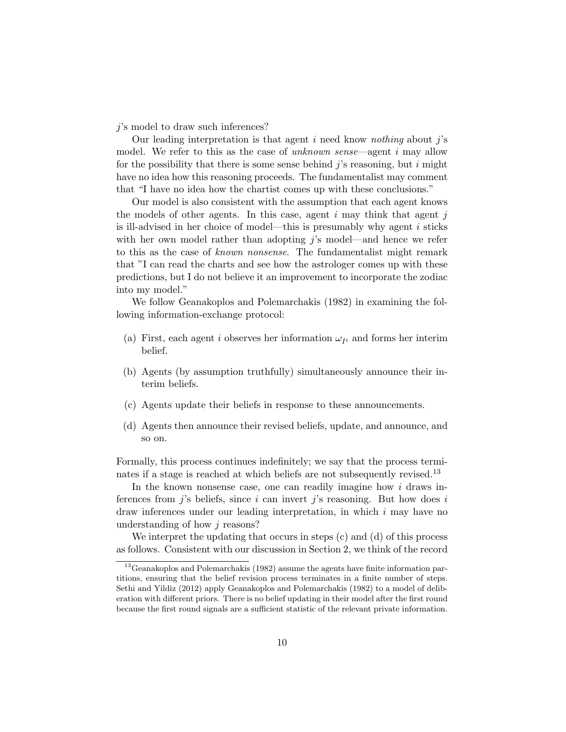j's model to draw such inferences?

Our leading interpretation is that agent  $i$  need know nothing about  $j$ 's model. We refer to this as the case of unknown sense—agent i may allow for the possibility that there is some sense behind  $j$ 's reasoning, but i might have no idea how this reasoning proceeds. The fundamentalist may comment that "I have no idea how the chartist comes up with these conclusions."

Our model is also consistent with the assumption that each agent knows the models of other agents. In this case, agent  $i$  may think that agent  $j$ is ill-advised in her choice of model—this is presumably why agent  $i$  sticks with her own model rather than adopting  $j$ 's model—and hence we refer to this as the case of known nonsense. The fundamentalist might remark that "I can read the charts and see how the astrologer comes up with these predictions, but I do not believe it an improvement to incorporate the zodiac into my model."

We follow [Geanakoplos and Polemarchakis \(1982\)](#page-55-0) in examining the following information-exchange protocol:

- (a) First, each agent i observes her information  $\omega_{I^i}$  and forms her interim belief.
- (b) Agents (by assumption truthfully) simultaneously announce their interim beliefs.
- (c) Agents update their beliefs in response to these announcements.
- (d) Agents then announce their revised beliefs, update, and announce, and so on.

Formally, this process continues indefinitely; we say that the process termi-nates if a stage is reached at which beliefs are not subsequently revised.<sup>[13](#page-12-0)</sup>

In the known nonsense case, one can readily imagine how  $i$  draws inferences from  $i$ 's beliefs, since i can invert  $i$ 's reasoning. But how does i draw inferences under our leading interpretation, in which  $i$  may have no understanding of how j reasons?

We interpret the updating that occurs in steps (c) and (d) of this process as follows. Consistent with our discussion in Section [2,](#page-4-0) we think of the record

<span id="page-12-0"></span><sup>&</sup>lt;sup>13</sup>[Geanakoplos and Polemarchakis](#page-55-0) [\(1982\)](#page-55-0) assume the agents have finite information partitions, ensuring that the belief revision process terminates in a finite number of steps. [Sethi and Yildiz](#page-56-4) [\(2012\)](#page-56-4) apply [Geanakoplos and Polemarchakis](#page-55-0) [\(1982\)](#page-55-0) to a model of deliberation with different priors. There is no belief updating in their model after the first round because the first round signals are a sufficient statistic of the relevant private information.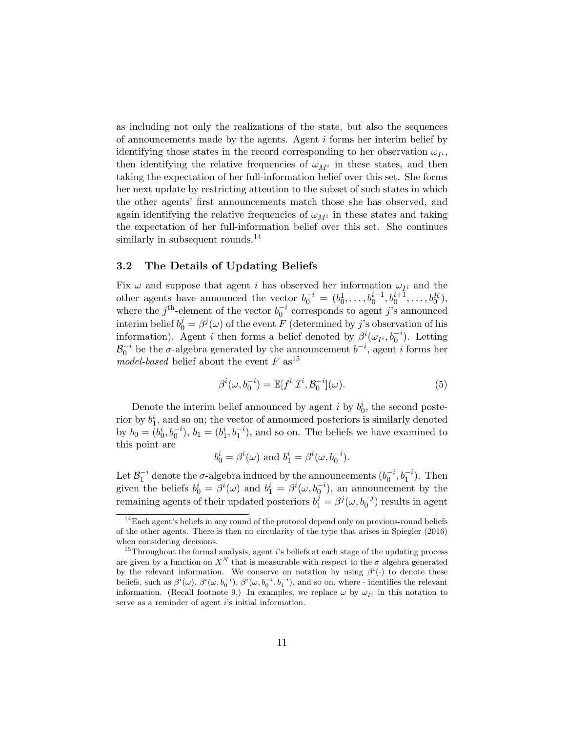as including not only the realizations of the state, but also the sequences of announcements made by the agents. Agent  $i$  forms her interim belief by identifying those states in the record corresponding to her observation  $\omega_{I^i}$ , then identifying the relative frequencies of  $\omega_{M}$  in these states, and then taking the expectation of her full-information belief over this set. She forms her next update by restricting attention to the subset of such states in which the other agents' first announcements match those she has observed, and again identifying the relative frequencies of  $\omega_{M}$  in these states and taking the expectation of her full-information belief over this set. She continues similarly in subsequent rounds.<sup>[14](#page-13-1)</sup>

#### <span id="page-13-0"></span>3.2 The Details of Updating Beliefs

Fix  $\omega$  and suppose that agent *i* has observed her information  $\omega_{I^i}$  and the other agents have announced the vector  $b_0^{-i} = (b_0^1, \ldots, b_0^{i-1}, b_0^{i+1}, \ldots, b_0^K)$ , where the  $j^{\text{th}}$ -element of the vector  $b_0^{-i}$  corresponds to agent  $j$ 's announced interim belief  $b_0^j = \beta^j(\omega)$  of the event F (determined by j's observation of his information). Agent *i* then forms a belief denoted by  $\beta^{i}(\omega_{I^{i}}, b_{0}^{-i})$ . Letting  $\mathcal{B}_0^{-i}$  be the  $\sigma$ -algebra generated by the announcement  $b^{-i}$ , agent *i* forms her model-based belief about the event  $F$  as<sup>[15](#page-13-2)</sup>

<span id="page-13-3"></span>
$$
\beta^i(\omega, b_0^{-i}) = \mathbb{E}[f^i | \mathcal{I}^i, \mathcal{B}_0^{-i}](\omega). \tag{5}
$$

Denote the interim belief announced by agent  $i$  by  $b_0^i$ , the second posterior by  $b_1^i$ , and so on; the vector of announced posteriors is similarly denoted by  $b_0 = (b_0^i, b_0^{-i}), b_1 = (b_1^i, b_1^{-i}),$  and so on. The beliefs we have examined to this point are

$$
b_0^i = \beta^i(\omega) \text{ and } b_1^i = \beta^i(\omega, b_0^{-i}).
$$

Let  $\mathcal{B}_1^{-i}$  denote the  $\sigma$ -algebra induced by the announcements  $(b_0^{-i}, b_1^{-i})$ . Then given the beliefs  $b_0^i = \beta^i(\omega)$  and  $b_1^i = \beta^i(\omega, b_0^{-i})$ , an announcement by the remaining agents of their updated posteriors  $b_1^j = \beta^j(\omega, b_0^{-j})$  results in agent

<span id="page-13-1"></span> $14$ Each agent's beliefs in any round of the protocol depend only on previous-round beliefs of the other agents. There is then no circularity of the type that arises in [Spiegler](#page-56-2) [\(2016\)](#page-56-2) when considering decisions.

<span id="page-13-2"></span><sup>&</sup>lt;sup>15</sup>Throughout the formal analysis, agent  $i$ 's beliefs at each stage of the updating process are given by a function on  $X^N$  that is measurable with respect to the  $\sigma$  algebra generated by the relevant information. We conserve on notation by using  $\beta^{i}(\cdot)$  to denote these beliefs, such as  $\beta^i(\omega)$ ,  $\beta^i(\omega, b_0^{-i})$ ,  $\beta^i(\omega, b_0^{-i}, b_1^{-i})$ , and so on, where  $\cdot$  identifies the relevant information. (Recall footnote [9.](#page-9-2)) In examples, we replace  $\omega$  by  $\omega_{I_i}$  in this notation to serve as a reminder of agent i's initial information.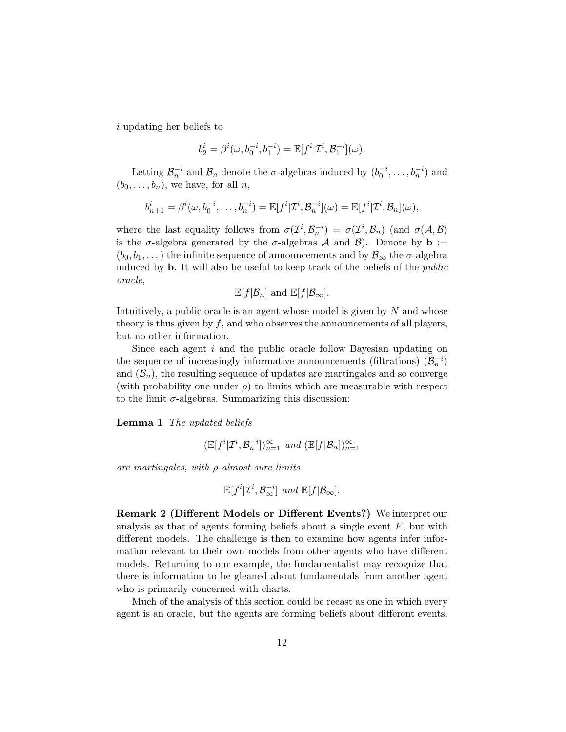i updating her beliefs to

$$
b_2^i = \beta^i(\omega, b_0^{-i}, b_1^{-i}) = \mathbb{E}[f^i | \mathcal{I}^i, \mathcal{B}_1^{-i}] (\omega).
$$

Letting  $\mathcal{B}_n^{-i}$  and  $\mathcal{B}_n$  denote the  $\sigma$ -algebras induced by  $(b_0^{-i}, \ldots, b_n^{-i})$  and  $(b_0, \ldots, b_n)$ , we have, for all n,

$$
b_{n+1}^i = \beta^i(\omega, b_0^{-i}, \dots, b_n^{-i}) = \mathbb{E}[f^i | \mathcal{I}^i, \mathcal{B}_n^{-i}] (\omega) = \mathbb{E}[f^i | \mathcal{I}^i, \mathcal{B}_n] (\omega),
$$

where the last equality follows from  $\sigma(\mathcal{I}^i, \mathcal{B}_n^{-i}) = \sigma(\mathcal{I}^i, \mathcal{B}_n)$  (and  $\sigma(\mathcal{A}, \mathcal{B})$ ) is the  $\sigma$ -algebra generated by the  $\sigma$ -algebras A and B). Denote by  $\mathbf{b} :=$  $(b_0, b_1, \dots)$  the infinite sequence of announcements and by  $\mathcal{B}_{\infty}$  the  $\sigma$ -algebra induced by **b**. It will also be useful to keep track of the beliefs of the *public* oracle,

$$
\mathbb{E}[f|\mathcal{B}_n] \text{ and } \mathbb{E}[f|\mathcal{B}_{\infty}].
$$

Intuitively, a public oracle is an agent whose model is given by  $N$  and whose theory is thus given by  $f$ , and who observes the announcements of all players, but no other information.

Since each agent i and the public oracle follow Bayesian updating on the sequence of increasingly informative announcements (filtrations)  $(\mathcal{B}_n^{-i})$ and  $(\mathcal{B}_n)$ , the resulting sequence of updates are martingales and so converge (with probability one under  $\rho$ ) to limits which are measurable with respect to the limit  $\sigma$ -algebras. Summarizing this discussion:

Lemma 1 The updated beliefs

$$
(\mathbb{E}[f^i|\mathcal{I}^i,\mathcal{B}_n^{-i}])_{n=1}^\infty\ and\ (\mathbb{E}[f|\mathcal{B}_n])_{n=1}^\infty
$$

are martingales, with ρ-almost-sure limits

$$
\mathbb{E}[f^i|\mathcal{I}^i,\mathcal{B}_{\infty}^{-i}] \text{ and } \mathbb{E}[f|\mathcal{B}_{\infty}].
$$

Remark 2 (Different Models or Different Events?) We interpret our analysis as that of agents forming beliefs about a single event  $F$ , but with different models. The challenge is then to examine how agents infer information relevant to their own models from other agents who have different models. Returning to our example, the fundamentalist may recognize that there is information to be gleaned about fundamentals from another agent who is primarily concerned with charts.

Much of the analysis of this section could be recast as one in which every agent is an oracle, but the agents are forming beliefs about different events.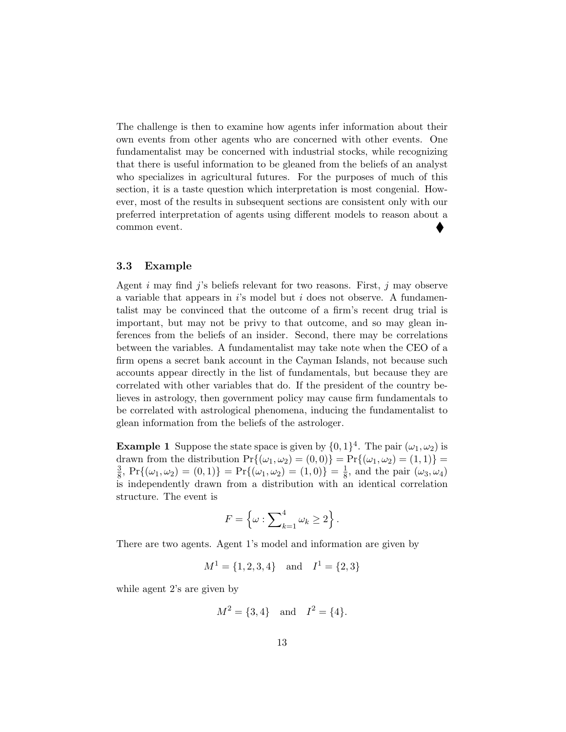The challenge is then to examine how agents infer information about their own events from other agents who are concerned with other events. One fundamentalist may be concerned with industrial stocks, while recognizing that there is useful information to be gleaned from the beliefs of an analyst who specializes in agricultural futures. For the purposes of much of this section, it is a taste question which interpretation is most congenial. However, most of the results in subsequent sections are consistent only with our preferred interpretation of agents using different models to reason about a common event.

#### <span id="page-15-0"></span>3.3 Example

Agent i may find j's beliefs relevant for two reasons. First, j may observe a variable that appears in  $i$ 's model but i does not observe. A fundamentalist may be convinced that the outcome of a firm's recent drug trial is important, but may not be privy to that outcome, and so may glean inferences from the beliefs of an insider. Second, there may be correlations between the variables. A fundamentalist may take note when the CEO of a firm opens a secret bank account in the Cayman Islands, not because such accounts appear directly in the list of fundamentals, but because they are correlated with other variables that do. If the president of the country believes in astrology, then government policy may cause firm fundamentals to be correlated with astrological phenomena, inducing the fundamentalist to glean information from the beliefs of the astrologer.

<span id="page-15-1"></span>**Example 1** Suppose the state space is given by  $\{0, 1\}^4$ . The pair  $(\omega_1, \omega_2)$  is drawn from the distribution  $Pr\{(\omega_1, \omega_2) = (0, 0)\} = Pr\{(\omega_1, \omega_2) = (1, 1)\} =$ 3  $\frac{3}{8}$ , Pr{( $\omega_1, \omega_2$ ) = (0, 1)} = Pr{( $\omega_1, \omega_2$ ) = (1, 0)} =  $\frac{1}{8}$  $\frac{1}{8}$ , and the pair  $(\omega_3, \omega_4)$ is independently drawn from a distribution with an identical correlation structure. The event is

$$
F = \left\{ \omega : \sum_{k=1}^{4} \omega_k \ge 2 \right\}.
$$

There are two agents. Agent 1's model and information are given by

$$
M^1 = \{1, 2, 3, 4\} \quad \text{and} \quad I^1 = \{2, 3\}
$$

while agent 2's are given by

$$
M^2 = \{3, 4\} \text{ and } I^2 = \{4\}.
$$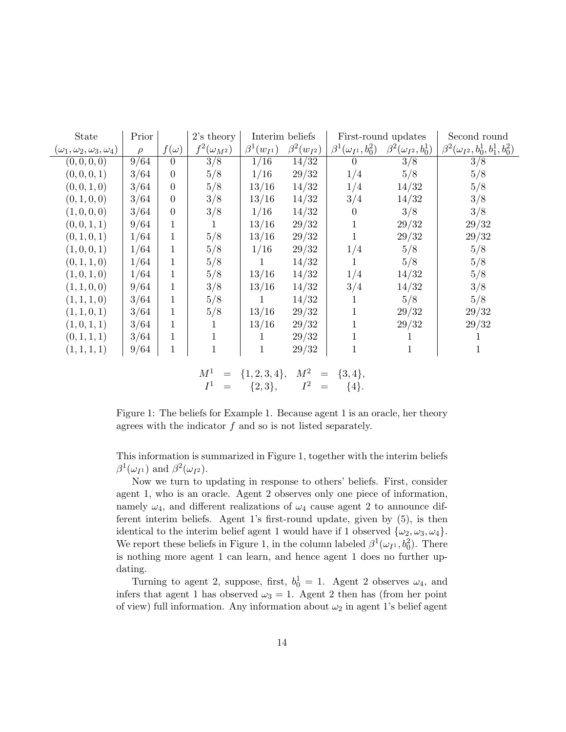| State                                      | Prior  |                | $2's$ theory        |                    | Interim beliefs    |                                       | First-round updates           | Second round                              |
|--------------------------------------------|--------|----------------|---------------------|--------------------|--------------------|---------------------------------------|-------------------------------|-------------------------------------------|
| $(\omega_1, \omega_2, \omega_3, \omega_4)$ | $\rho$ | $f(\omega)$    | $f^2(\omega_{M^2})$ | $\beta^1(w_{I^1})$ | $\beta^2(w_{I^2})$ | $\beta^{1}(\omega_{I^{1}},b_{0}^{2})$ | $\beta^2(\omega_{I^2},b_0^1)$ | $\beta^2(\omega_{I^2},b_0^1,b_1^1,b_0^2)$ |
| (0, 0, 0, 0)                               | 9/64   | $\overline{0}$ | 3/8                 | 1/16               | 14/32              | $\overline{0}$                        | 3/8                           | $\sqrt{3/8}$                              |
| (0, 0, 0, 1)                               | 3/64   | $\theta$       | 5/8                 | 1/16               | 29/32              | 1/4                                   | 5/8                           | 5/8                                       |
| (0, 0, 1, 0)                               | 3/64   | $\overline{0}$ | 5/8                 | 13/16              | 14/32              | 1/4                                   | 14/32                         | 5/8                                       |
| (0, 1, 0, 0)                               | 3/64   | $\Omega$       | 3/8                 | 13/16              | 14/32              | 3/4                                   | 14/32                         | 3/8                                       |
| (1,0,0,0)                                  | 3/64   | $\Omega$       | 3/8                 | 1/16               | 14/32              | $\theta$                              | 3/8                           | 3/8                                       |
| (0, 0, 1, 1)                               | 9/64   |                |                     | 13/16              | 29/32              |                                       | 29/32                         | 29/32                                     |
| (0, 1, 0, 1)                               | 1/64   |                | 5/8                 | 13/16              | 29/32              |                                       | 29/32                         | 29/32                                     |
| (1,0,0,1)                                  | 1/64   |                | 5/8                 | 1/16               | 29/32              | 1/4                                   | 5/8                           | 5/8                                       |
| (0, 1, 1, 0)                               | 1/64   |                | 5/8                 |                    | 14/32              |                                       | 5/8                           | 5/8                                       |
| (1,0,1,0)                                  | 1/64   | 1              | 5/8                 | 13/16              | 14/32              | 1/4                                   | 14/32                         | 5/8                                       |
| (1, 1, 0, 0)                               | 9/64   | 1              | 3/8                 | 13/16              | 14/32              | 3/4                                   | 14/32                         | 3/8                                       |
| (1, 1, 1, 0)                               | 3/64   | 1              | 5/8                 | 1                  | 14/32              |                                       | 5/8                           | 5/8                                       |
| (1, 1, 0, 1)                               | 3/64   | 1              | 5/8                 | 13/16              | 29/32              |                                       | 29/32                         | 29/32                                     |
| (1,0,1,1)                                  | 3/64   | 1              | 1                   | 13/16              | 29/32              |                                       | 29/32                         | 29/32                                     |
| (0, 1, 1, 1)                               | 3/64   | 1              | $\mathbf 1$         | 1                  | 29/32              |                                       | 1                             |                                           |
| (1, 1, 1, 1)                               | 9/64   | $\mathbf{1}$   | $\mathbf{1}$        | $\mathbf{1}$       | 29/32              | $\mathbf 1$                           | 1                             | 1                                         |
|                                            |        |                | 7f                  | $(1 \cap 0)$       | $\overline{11}$    | <u>د، دع</u>                          |                               |                                           |

|         | $M^1$ = {1, 2, 3, 4}, $M^2$ = {3, 4}, |  |  |
|---------|---------------------------------------|--|--|
| $I^1$ = | $\{2,3\}, \hspace{1cm} I^2 = \{4\}.$  |  |  |

<span id="page-16-0"></span>Figure 1: The beliefs for Example [1.](#page-15-1) Because agent 1 is an oracle, her theory agrees with the indicator  $f$  and so is not listed separately.

This information is summarized in Figure [1,](#page-16-0) together with the interim beliefs  $\beta^1(\omega_{I^1})$  and  $\beta^2(\omega_{I^2})$ .

Now we turn to updating in response to others' beliefs. First, consider agent 1, who is an oracle. Agent 2 observes only one piece of information, namely  $\omega_4$ , and different realizations of  $\omega_4$  cause agent 2 to announce different interim beliefs. Agent 1's first-round update, given by [\(5\)](#page-13-3), is then identical to the interim belief agent 1 would have if 1 observed  $\{\omega_2, \omega_3, \omega_4\}.$ We report these beliefs in Figure [1,](#page-16-0) in the column labeled  $\beta^1(\omega_{I^1}, b_0^2)$ . There is nothing more agent 1 can learn, and hence agent 1 does no further updating.

Turning to agent 2, suppose, first,  $b_0^1 = 1$ . Agent 2 observes  $\omega_4$ , and infers that agent 1 has observed  $\omega_3 = 1$ . Agent 2 then has (from her point of view) full information. Any information about  $\omega_2$  in agent 1's belief agent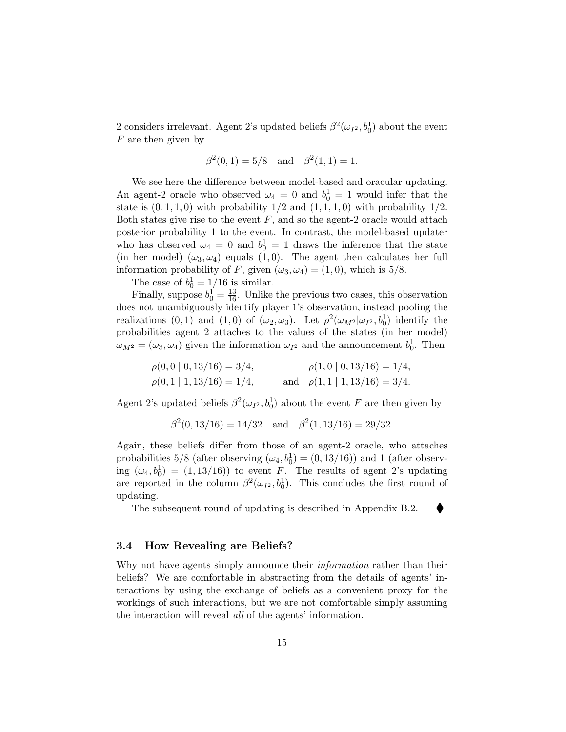2 considers irrelevant. Agent 2's updated beliefs  $\beta^2(\omega_{I^2}, b_0^1)$  about the event  $F$  are then given by

$$
\beta^2(0, 1) = 5/8
$$
 and  $\beta^2(1, 1) = 1$ .

We see here the difference between model-based and oracular updating. An agent-2 oracle who observed  $\omega_4 = 0$  and  $b_0^1 = 1$  would infer that the state is  $(0, 1, 1, 0)$  with probability  $1/2$  and  $(1, 1, 1, 0)$  with probability  $1/2$ . Both states give rise to the event  $F$ , and so the agent-2 oracle would attach posterior probability 1 to the event. In contrast, the model-based updater who has observed  $\omega_4 = 0$  and  $b_0^1 = 1$  draws the inference that the state (in her model)  $(\omega_3, \omega_4)$  equals  $(1, 0)$ . The agent then calculates her full information probability of F, given  $(\omega_3, \omega_4) = (1, 0)$ , which is 5/8.

The case of  $b_0^1 = 1/16$  is similar.

Finally, suppose  $b_0^1 = \frac{13}{16}$ . Unlike the previous two cases, this observation does not unambiguously identify player 1's observation, instead pooling the realizations (0, 1) and (1, 0) of  $(\omega_2, \omega_3)$ . Let  $\rho^2(\omega_{M^2}|\omega_{I^2}, b_0^1)$  identify the probabilities agent 2 attaches to the values of the states (in her model)  $\omega_{M^2} = (\omega_3, \omega_4)$  given the information  $\omega_{I^2}$  and the announcement  $b_0^1$ . Then

| $\rho(0,0 \mid 0,13/16) = 3/4,$ | $\rho(1,0\mid 0,13/16)=1/4,$     |
|---------------------------------|----------------------------------|
| $\rho(0,1   1,13/16) = 1/4,$    | and $\rho(1,1   1,13/16) = 3/4.$ |

Agent 2's updated beliefs  $\beta^2(\omega_{I^2}, b_0^1)$  about the event F are then given by

$$
\beta^2(0, 13/16) = 14/32
$$
 and  $\beta^2(1, 13/16) = 29/32$ .

Again, these beliefs differ from those of an agent-2 oracle, who attaches probabilities  $5/8$  (after observing  $(\omega_4, b_0^1) = (0, 13/16)$ ) and 1 (after observing  $(\omega_4, b_0^1) = (1, 13/16)$  to event F. The results of agent 2's updating are reported in the column  $\beta^2(\omega_{I^2}, b_0^1)$ . This concludes the first round of updating.

The subsequent round of updating is described in Appendix [B.2.](#page-47-0)

#### <span id="page-17-0"></span>3.4 How Revealing are Beliefs?

Why not have agents simply announce their *information* rather than their beliefs? We are comfortable in abstracting from the details of agents' interactions by using the exchange of beliefs as a convenient proxy for the workings of such interactions, but we are not comfortable simply assuming the interaction will reveal *all* of the agents' information.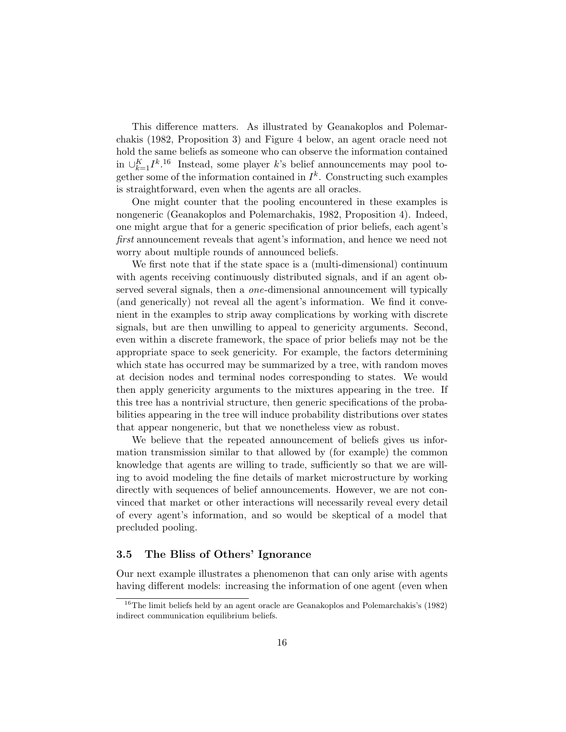This difference matters. As illustrated by [Geanakoplos and Polemar](#page-55-0)[chakis \(1982,](#page-55-0) Proposition 3) and Figure [4](#page-24-0) below, an agent oracle need not hold the same beliefs as someone who can observe the information contained in  $\bigcup_{k=1}^{K} I^k$ .<sup>[16](#page-18-1)</sup> Instead, some player k's belief announcements may pool together some of the information contained in  $I^k$ . Constructing such examples is straightforward, even when the agents are all oracles.

One might counter that the pooling encountered in these examples is nongeneric [\(Geanakoplos and Polemarchakis, 1982,](#page-55-0) Proposition 4). Indeed, one might argue that for a generic specification of prior beliefs, each agent's first announcement reveals that agent's information, and hence we need not worry about multiple rounds of announced beliefs.

We first note that if the state space is a (multi-dimensional) continuum with agents receiving continuously distributed signals, and if an agent observed several signals, then a one-dimensional announcement will typically (and generically) not reveal all the agent's information. We find it convenient in the examples to strip away complications by working with discrete signals, but are then unwilling to appeal to genericity arguments. Second, even within a discrete framework, the space of prior beliefs may not be the appropriate space to seek genericity. For example, the factors determining which state has occurred may be summarized by a tree, with random moves at decision nodes and terminal nodes corresponding to states. We would then apply genericity arguments to the mixtures appearing in the tree. If this tree has a nontrivial structure, then generic specifications of the probabilities appearing in the tree will induce probability distributions over states that appear nongeneric, but that we nonetheless view as robust.

We believe that the repeated announcement of beliefs gives us information transmission similar to that allowed by (for example) the common knowledge that agents are willing to trade, sufficiently so that we are willing to avoid modeling the fine details of market microstructure by working directly with sequences of belief announcements. However, we are not convinced that market or other interactions will necessarily reveal every detail of every agent's information, and so would be skeptical of a model that precluded pooling.

#### <span id="page-18-0"></span>3.5 The Bliss of Others' Ignorance

Our next example illustrates a phenomenon that can only arise with agents having different models: increasing the information of one agent (even when

<span id="page-18-1"></span><sup>&</sup>lt;sup>16</sup>The limit beliefs held by an agent oracle are [Geanakoplos and Polemarchakis'](#page-55-0)s [\(1982\)](#page-55-0) indirect communication equilibrium beliefs.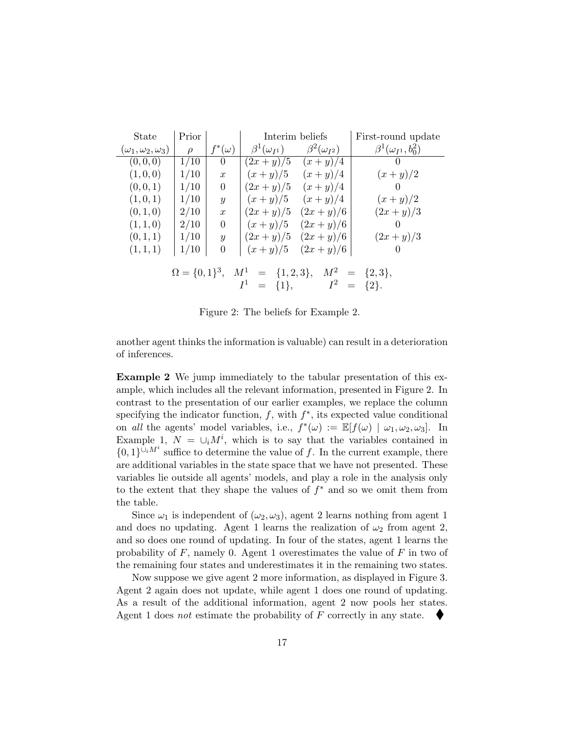| <b>State</b>                                                                                           | Prior  |                  |                         | Interim beliefs         | First-round update                    |  |  |
|--------------------------------------------------------------------------------------------------------|--------|------------------|-------------------------|-------------------------|---------------------------------------|--|--|
| $(\omega_1, \omega_2, \omega_3)$                                                                       | $\rho$ | $f^*(\omega)$    | $\beta^1(\omega_{I^1})$ | $\beta^2(\omega_{I^2})$ | $\beta^{1}(\omega_{I^{1}},b_{0}^{2})$ |  |  |
| (0,0,0)                                                                                                | 1/10   | $\theta$         | $(2x+y)/5$              | $(x+y)/4$               | 0                                     |  |  |
| (1,0,0)                                                                                                | 1/10   | $\boldsymbol{x}$ | $(x+y)/5$               | $(x+y)/4$               | $(x+y)/2$                             |  |  |
| (0,0,1)                                                                                                | 1/10   | $\theta$         | $(2x+y)/5$              | $(x+y)/4$               | $\theta$                              |  |  |
| (1,0,1)                                                                                                | 1/10   | $\mathcal{Y}$    | $(x+y)/5$               | $(x+y)/4$               | $(x+y)/2$                             |  |  |
| (0, 1, 0)                                                                                              | 2/10   | $\boldsymbol{x}$ | $(2x+y)/5$              | $(2x+y)/6$              | $(2x+y)/3$                            |  |  |
| (1, 1, 0)                                                                                              | 2/10   | $\Omega$         | $(x+y)/5$               | $(2x+y)/6$              |                                       |  |  |
| (0, 1, 1)                                                                                              | 1/10   | $\mathcal{Y}$    | $(2x+y)/5$              | $(2x+y)/6$              | $(2x+y)/3$                            |  |  |
| (1, 1, 1)                                                                                              | 1/10   | $\theta$         | $(x+y)/5$               | $(2x+y)/6$              | $\theta$                              |  |  |
| $\Omega = \{0,1\}^3$ , $M^1 = \{1,2,3\}$ , $M^2 = \{2,3\}$ ,<br>$I^2 =$<br>$I^1 = \{1\},\$<br>$\{2\}.$ |        |                  |                         |                         |                                       |  |  |

<span id="page-19-1"></span>Figure 2: The beliefs for Example [2.](#page-19-0)

another agent thinks the information is valuable) can result in a deterioration of inferences.

<span id="page-19-0"></span>Example 2 We jump immediately to the tabular presentation of this example, which includes all the relevant information, presented in Figure [2.](#page-19-1) In contrast to the presentation of our earlier examples, we replace the column specifying the indicator function,  $f$ , with  $f^*$ , its expected value conditional on all the agents' model variables, i.e.,  $f^*(\omega) := \mathbb{E}[f(\omega) | \omega_1, \omega_2, \omega_3]$ . In Example [1,](#page-15-1)  $N = \bigcup_i M^i$ , which is to say that the variables contained in  ${0,1}^{\overline{\bigcup_i M^i}}$  suffice to determine the value of f. In the current example, there are additional variables in the state space that we have not presented. These variables lie outside all agents' models, and play a role in the analysis only to the extent that they shape the values of  $f^*$  and so we omit them from the table.

Since  $\omega_1$  is independent of  $(\omega_2, \omega_3)$ , agent 2 learns nothing from agent 1 and does no updating. Agent 1 learns the realization of  $\omega_2$  from agent 2, and so does one round of updating. In four of the states, agent 1 learns the probability of  $F$ , namely 0. Agent 1 overestimates the value of  $F$  in two of the remaining four states and underestimates it in the remaining two states.

Now suppose we give agent 2 more information, as displayed in Figure [3.](#page-20-1) Agent 2 again does not update, while agent 1 does one round of updating. As a result of the additional information, agent 2 now pools her states. Agent 1 does *not* estimate the probability of  $F$  correctly in any state.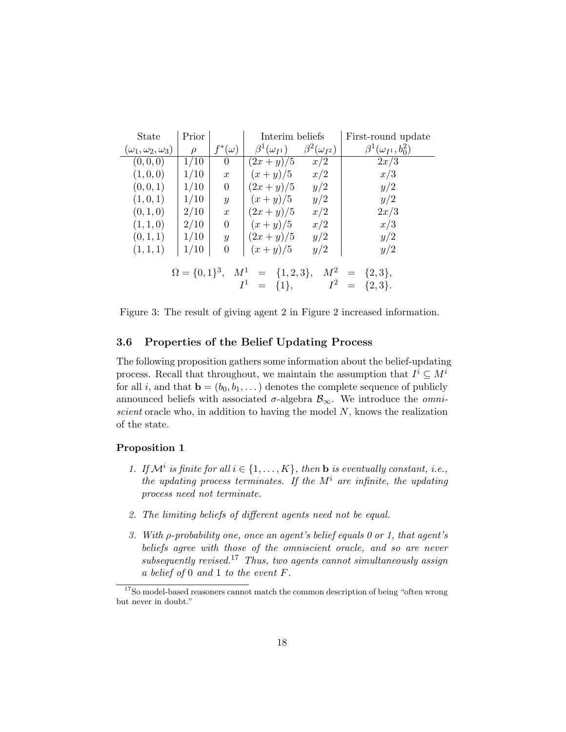| State                                                                                                          | Prior  |                  | Interim beliefs         |                         | First-round update                    |  |  |
|----------------------------------------------------------------------------------------------------------------|--------|------------------|-------------------------|-------------------------|---------------------------------------|--|--|
| $(\omega_1, \omega_2, \omega_3)$                                                                               | $\rho$ | $f^*(\omega)$    | $\beta^1(\omega_{I^1})$ | $\beta^2(\omega_{I^2})$ | $\beta^{1}(\omega_{I^{1}},b_{0}^{2})$ |  |  |
| (0,0,0)                                                                                                        | 1/10   | 0                | $(2x+y)/5$              | x/2                     | 2x/3                                  |  |  |
| (1,0,0)                                                                                                        | 1/10   | $\boldsymbol{x}$ | $(x+y)/5$               | x/2                     | x/3                                   |  |  |
| (0,0,1)                                                                                                        | 1/10   | $\overline{0}$   | $(2x+y)/5$              | y/2                     | y/2                                   |  |  |
| (1,0,1)                                                                                                        | 1/10   | $\overline{y}$   | $(x+y)/5$               | y/2                     | y/2                                   |  |  |
| (0, 1, 0)                                                                                                      | 2/10   | $\boldsymbol{x}$ | $(2x+y)/5$              | x/2                     | 2x/3                                  |  |  |
| (1, 1, 0)                                                                                                      | 2/10   | $\overline{0}$   | $(x+y)/5$               | x/2                     | x/3                                   |  |  |
| (0, 1, 1)                                                                                                      | 1/10   | $\mathcal{Y}$    | $(2x+y)/5$              | y/2                     | y/2                                   |  |  |
| (1, 1, 1)                                                                                                      | 1/10   | $\overline{0}$   | $(x+y)/5$               | y/2                     | y/2                                   |  |  |
| $\Omega = \{0, 1\}^3$ , $M^1 = \{1, 2, 3\}$ ,<br>$M^2$<br>$= \{2,3\},\$<br>$I^2 = \{2,3\}.$<br>$I^1 = \{1\},\$ |        |                  |                         |                         |                                       |  |  |

<span id="page-20-1"></span>Figure 3: The result of giving agent 2 in Figure [2](#page-19-1) increased information.

#### <span id="page-20-0"></span>3.6 Properties of the Belief Updating Process

The following proposition gathers some information about the belief-updating process. Recall that throughout, we maintain the assumption that  $I^i \subseteq M^i$ for all i, and that  $\mathbf{b} = (b_0, b_1, \dots)$  denotes the complete sequence of publicly announced beliefs with associated  $\sigma$ -algebra  $\mathcal{B}_{\infty}$ . We introduce the *omni*scient oracle who, in addition to having the model N, knows the realization of the state.

#### <span id="page-20-3"></span>Proposition 1

- 1. If  $\mathcal{M}^i$  is finite for all  $i \in \{1, \ldots, K\}$ , then **b** is eventually constant, i.e., the updating process terminates. If the  $M<sup>i</sup>$  are infinite, the updating process need not terminate.
- 2. The limiting beliefs of different agents need not be equal.
- 3. With ρ-probability one, once an agent's belief equals 0 or 1, that agent's beliefs agree with those of the omniscient oracle, and so are never  $subsequently revised.<sup>17</sup> Thus, two agents cannot simultaneously assign$  $subsequently revised.<sup>17</sup> Thus, two agents cannot simultaneously assign$  $subsequently revised.<sup>17</sup> Thus, two agents cannot simultaneously assign$ a belief of 0 and 1 to the event F.

<span id="page-20-2"></span><sup>&</sup>lt;sup>17</sup>So model-based reasoners cannot match the common description of being "often wrong but never in doubt."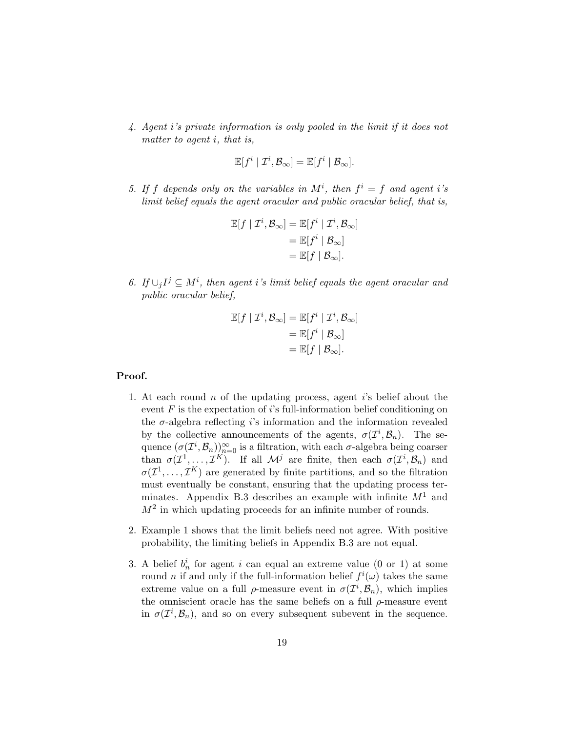<span id="page-21-0"></span>4. Agent i's private information is only pooled in the limit if it does not matter to agent i, that is,

$$
\mathbb{E}[f^i \mid \mathcal{I}^i, \mathcal{B}_{\infty}] = \mathbb{E}[f^i \mid \mathcal{B}_{\infty}].
$$

5. If f depends only on the variables in  $M^i$ , then  $f^i = f$  and agent i's limit belief equals the agent oracular and public oracular belief, that is,

$$
\mathbb{E}[f \mid \mathcal{I}^i, \mathcal{B}_{\infty}] = \mathbb{E}[f^i \mid \mathcal{I}^i, \mathcal{B}_{\infty}]
$$

$$
= \mathbb{E}[f^i \mid \mathcal{B}_{\infty}]
$$

$$
= \mathbb{E}[f \mid \mathcal{B}_{\infty}].
$$

<span id="page-21-1"></span>6. If  $\cup_j I^j \subseteq M^i$ , then agent i's limit belief equals the agent oracular and public oracular belief,

$$
\mathbb{E}[f \mid \mathcal{I}^i, \mathcal{B}_{\infty}] = \mathbb{E}[f^i \mid \mathcal{I}^i, \mathcal{B}_{\infty}]
$$

$$
= \mathbb{E}[f^i \mid \mathcal{B}_{\infty}]
$$

$$
= \mathbb{E}[f \mid \mathcal{B}_{\infty}].
$$

#### Proof.

- 1. At each round n of the updating process, agent  $i$ 's belief about the event  $F$  is the expectation of i's full-information belief conditioning on the  $\sigma$ -algebra reflecting *i*'s information and the information revealed by the collective announcements of the agents,  $\sigma(\mathcal{I}^i, \mathcal{B}_n)$ . The sequence  $(\sigma(\mathcal{I}^i, \mathcal{B}_n))_{n=0}^{\infty}$  is a filtration, with each  $\sigma$ -algebra being coarser than  $\sigma(\mathcal{I}^1,\ldots,\mathcal{I}^K)$ . If all  $\mathcal{M}^j$  are finite, then each  $\sigma(\mathcal{I}^i,\mathcal{B}_n)$  and  $\sigma(\mathcal{I}^1, \ldots, \mathcal{I}^K)$  are generated by finite partitions, and so the filtration must eventually be constant, ensuring that the updating process ter-minates. Appendix [B.3](#page-48-0) describes an example with infinite  $M<sup>1</sup>$  and  $M<sup>2</sup>$  in which updating proceeds for an infinite number of rounds.
- 2. Example [1](#page-15-1) shows that the limit beliefs need not agree. With positive probability, the limiting beliefs in Appendix [B.3](#page-48-0) are not equal.
- 3. A belief  $b_n^i$  for agent i can equal an extreme value (0 or 1) at some round *n* if and only if the full-information belief  $f^i(\omega)$  takes the same extreme value on a full  $\rho$ -measure event in  $\sigma(\mathcal{I}^i, \mathcal{B}_n)$ , which implies the omniscient oracle has the same beliefs on a full  $\rho$ -measure event in  $\sigma(\mathcal{I}^i, \mathcal{B}_n)$ , and so on every subsequent subevent in the sequence.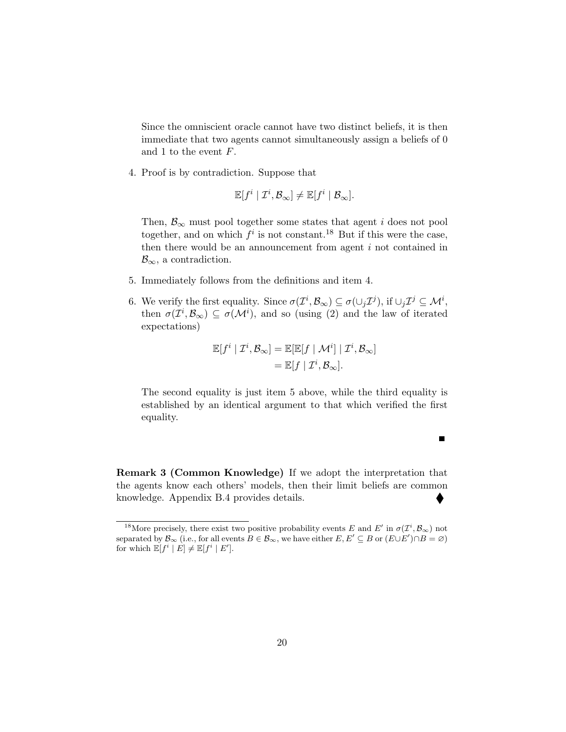Since the omniscient oracle cannot have two distinct beliefs, it is then immediate that two agents cannot simultaneously assign a beliefs of 0 and 1 to the event  $F$ .

4. Proof is by contradiction. Suppose that

$$
\mathbb{E}[f^i \mid \mathcal{I}^i, \mathcal{B}_{\infty}] \neq \mathbb{E}[f^i \mid \mathcal{B}_{\infty}].
$$

Then,  $\mathcal{B}_{\infty}$  must pool together some states that agent *i* does not pool together, and on which  $f^i$  is not constant.<sup>[18](#page-22-0)</sup> But if this were the case, then there would be an announcement from agent  $i$  not contained in  $\mathcal{B}_{\infty}$ , a contradiction.

- 5. Immediately follows from the definitions and item [4.](#page-21-0)
- 6. We verify the first equality. Since  $\sigma(\mathcal{I}^i, \mathcal{B}_{\infty}) \subseteq \sigma(\cup_j \mathcal{I}^j)$ , if  $\cup_j \mathcal{I}^j \subseteq \mathcal{M}^i$ , then  $\sigma(\mathcal{I}^i, \mathcal{B}_{\infty}) \subseteq \sigma(\mathcal{M}^i)$ , and so (using [\(2\)](#page-7-0) and the law of iterated expectations)

$$
\mathbb{E}[f^{i} | \mathcal{I}^{i}, \mathcal{B}_{\infty}] = \mathbb{E}[\mathbb{E}[f | \mathcal{M}^{i}] | \mathcal{I}^{i}, \mathcal{B}_{\infty}]
$$

$$
= \mathbb{E}[f | \mathcal{I}^{i}, \mathcal{B}_{\infty}].
$$

The second equality is just item 5 above, while the third equality is established by an identical argument to that which verified the first equality.

 $\blacksquare$ 

Remark 3 (Common Knowledge) If we adopt the interpretation that the agents know each others' models, then their limit beliefs are common knowledge. Appendix [B.4](#page-50-0) provides details.

<span id="page-22-0"></span><sup>&</sup>lt;sup>18</sup>More precisely, there exist two positive probability events E and E' in  $\sigma(\mathcal{I}^i, \mathcal{B}_{\infty})$  not separated by  $\mathcal{B}_{\infty}$  (i.e., for all events  $B \in \mathcal{B}_{\infty}$ , we have either  $E, E' \subseteq B$  or  $(E \cup E') \cap B = \varnothing$ ) for which  $\mathbb{E}[f^i | E] \neq \mathbb{E}[f^i | E']$ .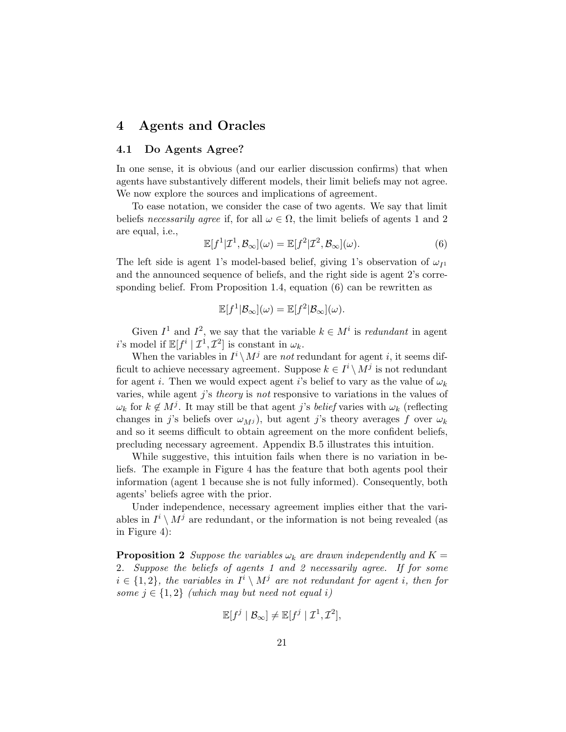# <span id="page-23-0"></span>4 Agents and Oracles

#### <span id="page-23-1"></span>4.1 Do Agents Agree?

In one sense, it is obvious (and our earlier discussion confirms) that when agents have substantively different models, their limit beliefs may not agree. We now explore the sources and implications of agreement.

To ease notation, we consider the case of two agents. We say that limit beliefs necessarily agree if, for all  $\omega \in \Omega$ , the limit beliefs of agents 1 and 2 are equal, i.e.,

<span id="page-23-2"></span>
$$
\mathbb{E}[f^1|\mathcal{I}^1, \mathcal{B}_{\infty}](\omega) = \mathbb{E}[f^2|\mathcal{I}^2, \mathcal{B}_{\infty}](\omega).
$$
 (6)

The left side is agent 1's model-based belief, giving 1's observation of  $\omega_{I}$ and the announced sequence of beliefs, and the right side is agent 2's corresponding belief. From Proposition [1](#page-20-3)[.4,](#page-21-0) equation [\(6\)](#page-23-2) can be rewritten as

$$
\mathbb{E}[f^1|\mathcal{B}_{\infty}](\omega) = \mathbb{E}[f^2|\mathcal{B}_{\infty}](\omega).
$$

Given  $I^1$  and  $I^2$ , we say that the variable  $k \in M^i$  is redundant in agent *i*'s model if  $\mathbb{E}[f^i | \mathcal{I}^1, \mathcal{I}^2]$  is constant in  $\omega_k$ .

When the variables in  $I^i \setminus M^j$  are not redundant for agent i, it seems difficult to achieve necessary agreement. Suppose  $k \in I^i \setminus M^j$  is not redundant for agent i. Then we would expect agent i's belief to vary as the value of  $\omega_k$ varies, while agent j's theory is not responsive to variations in the values of  $\omega_k$  for  $k \notin M^j$ . It may still be that agent j's *belief* varies with  $\omega_k$  (reflecting changes in j's beliefs over  $\omega_{M}$ , but agent j's theory averages f over  $\omega_k$ and so it seems difficult to obtain agreement on the more confident beliefs, precluding necessary agreement. Appendix [B.5](#page-52-0) illustrates this intuition.

While suggestive, this intuition fails when there is no variation in beliefs. The example in Figure [4](#page-24-0) has the feature that both agents pool their information (agent 1 because she is not fully informed). Consequently, both agents' beliefs agree with the prior.

Under independence, necessary agreement implies either that the variables in  $I^i \setminus M^j$  are redundant, or the information is not being revealed (as in Figure [4\)](#page-24-0):

<span id="page-23-3"></span>**Proposition 2** Suppose the variables  $\omega_k$  are drawn independently and  $K =$ 2. Suppose the beliefs of agents 1 and 2 necessarily agree. If for some  $i \in \{1,2\}$ , the variables in  $I^i \setminus M^j$  are not redundant for agent i, then for some  $j \in \{1,2\}$  (which may but need not equal i)

$$
\mathbb{E}[f^j \mid \mathcal{B}_{\infty}] \neq \mathbb{E}[f^j \mid \mathcal{I}^1, \mathcal{I}^2],
$$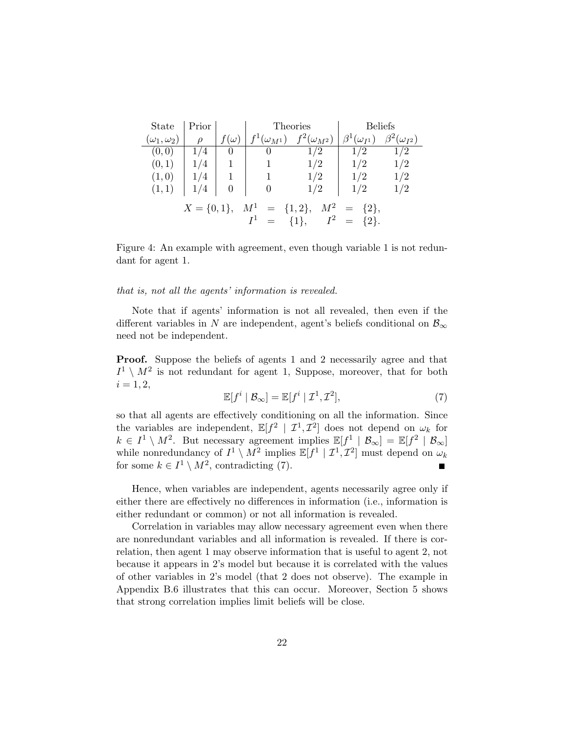| State                 | Prior            |             |                     | Theories            | <b>Beliefs</b>          |                         |
|-----------------------|------------------|-------------|---------------------|---------------------|-------------------------|-------------------------|
| $(\omega_1,\omega_2)$ | $\rho$           | $f(\omega)$ | $f^1(\omega_{M^1})$ | $f^2(\omega_{M^2})$ | $\beta^1(\omega_{I^1})$ | $\beta^2(\omega_{I^2})$ |
| (0, 0)                | 1/4              | $\theta$    | $\theta$            | 1/2                 | 1/2                     | 1/2                     |
| (0,1)                 | 1/4              |             |                     | 1/2                 | 1/2                     | 1/2                     |
| (1,0)                 | 1/4              |             |                     | 1/2                 | 1/2                     | 1/2                     |
| (1,1)                 | 1/4              | 0           | $\theta$            | 1/2                 | 1/2                     | 1/2                     |
|                       | $X = \{0, 1\},\$ |             | $M^1 = \{1,2\},\$   | $M^2$               | $= \{2\},\$             |                         |
|                       |                  |             |                     | $\{1\},\$           | $= \{2\}.$              |                         |

<span id="page-24-0"></span>Figure 4: An example with agreement, even though variable 1 is not redundant for agent 1.

#### that is, not all the agents' information is revealed.

Note that if agents' information is not all revealed, then even if the different variables in N are independent, agent's beliefs conditional on  $\mathcal{B}_{\infty}$ need not be independent.

Proof. Suppose the beliefs of agents 1 and 2 necessarily agree and that  $I^1 \setminus M^2$  is not redundant for agent 1, Suppose, moreover, that for both  $i = 1, 2,$ 

<span id="page-24-1"></span>
$$
\mathbb{E}[f^i \mid \mathcal{B}_{\infty}] = \mathbb{E}[f^i \mid \mathcal{I}^1, \mathcal{I}^2],\tag{7}
$$

so that all agents are effectively conditioning on all the information. Since the variables are independent,  $\mathbb{E}[f^2 | \mathcal{I}^1, \mathcal{I}^2]$  does not depend on  $\omega_k$  for  $k \in I^1 \setminus M^2$ . But necessary agreement implies  $\mathbb{E}[f^1 | \mathcal{B}_{\infty}] = \mathbb{E}[f^2 | \mathcal{B}_{\infty}]$ while nonredundancy of  $I^1 \setminus M^2$  implies  $\mathbb{E}[f^1 | \mathcal{I}^1, \mathcal{I}^2]$  must depend on  $\omega_k$ for some  $k \in I^1 \setminus M^2$ , contradicting [\(7\)](#page-24-1). Г

Hence, when variables are independent, agents necessarily agree only if either there are effectively no differences in information (i.e., information is either redundant or common) or not all information is revealed.

Correlation in variables may allow necessary agreement even when there are nonredundant variables and all information is revealed. If there is correlation, then agent 1 may observe information that is useful to agent 2, not because it appears in 2's model but because it is correlated with the values of other variables in 2's model (that 2 does not observe). The example in Appendix [B.6](#page-53-0) illustrates that this can occur. Moreover, Section [5](#page-28-0) shows that strong correlation implies limit beliefs will be close.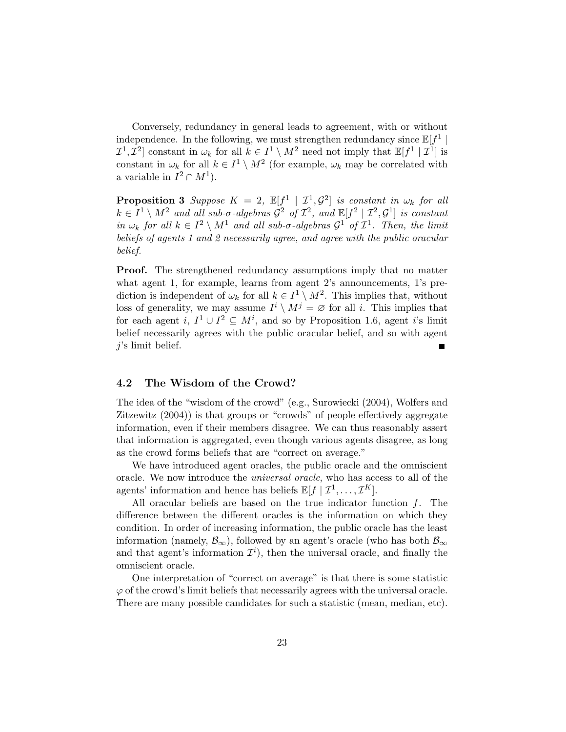Conversely, redundancy in general leads to agreement, with or without independence. In the following, we must strengthen redundancy since  $\mathbb{E}[f^1]$  $\mathcal{I}^1, \mathcal{I}^2$  constant in  $\omega_k$  for all  $k \in I^1 \setminus M^2$  need not imply that  $\mathbb{E}[f^1 | \mathcal{I}^1]$  is constant in  $\omega_k$  for all  $k \in I^1 \setminus M^2$  (for example,  $\omega_k$  may be correlated with a variable in  $I^2 \cap M^1$ ).

**Proposition 3** Suppose  $K = 2$ ,  $\mathbb{E}[f^1 | \mathcal{I}^1, \mathcal{G}^2]$  is constant in  $\omega_k$  for all  $k \in I^1 \setminus M^2$  and all sub- $\sigma$ -algebras  $\mathcal{G}^2$  of  $\mathcal{I}^2$ , and  $\mathbb{E}[f^2 \mid \mathcal{I}^2, \mathcal{G}^1]$  is constant in  $\omega_k$  for all  $k \in I^2 \setminus M^1$  and all sub- $\sigma$ -algebras  $\mathcal{G}^1$  of  $\mathcal{I}^1$ . Then, the limit beliefs of agents 1 and 2 necessarily agree, and agree with the public oracular belief.

Proof. The strengthened redundancy assumptions imply that no matter what agent 1, for example, learns from agent 2's announcements, 1's prediction is independent of  $\omega_k$  for all  $k \in I^1 \setminus M^2$ . This implies that, without loss of generality, we may assume  $I^i \setminus M^j = \emptyset$  for all i. This implies that for each agent i,  $I^1 \cup I^2 \subseteq M^i$ , and so by Proposition [1](#page-20-3)[.6,](#page-21-1) agent i's limit belief necessarily agrees with the public oracular belief, and so with agent j's limit belief.

#### <span id="page-25-0"></span>4.2 The Wisdom of the Crowd?

The idea of the "wisdom of the crowd" (e.g., [Surowiecki \(2004\)](#page-57-0), [Wolfers and](#page-57-1) [Zitzewitz \(2004\)](#page-57-1)) is that groups or "crowds" of people effectively aggregate information, even if their members disagree. We can thus reasonably assert that information is aggregated, even though various agents disagree, as long as the crowd forms beliefs that are "correct on average."

We have introduced agent oracles, the public oracle and the omniscient oracle. We now introduce the universal oracle, who has access to all of the agents' information and hence has beliefs  $\mathbb{E}[f \mid \mathcal{I}^1, \dots, \mathcal{I}^K].$ 

All oracular beliefs are based on the true indicator function  $f$ . The difference between the different oracles is the information on which they condition. In order of increasing information, the public oracle has the least information (namely,  $\mathcal{B}_{\infty}$ ), followed by an agent's oracle (who has both  $\mathcal{B}_{\infty}$ ) and that agent's information  $\mathcal{I}^i$ ), then the universal oracle, and finally the omniscient oracle.

One interpretation of "correct on average" is that there is some statistic  $\varphi$  of the crowd's limit beliefs that necessarily agrees with the universal oracle. There are many possible candidates for such a statistic (mean, median, etc).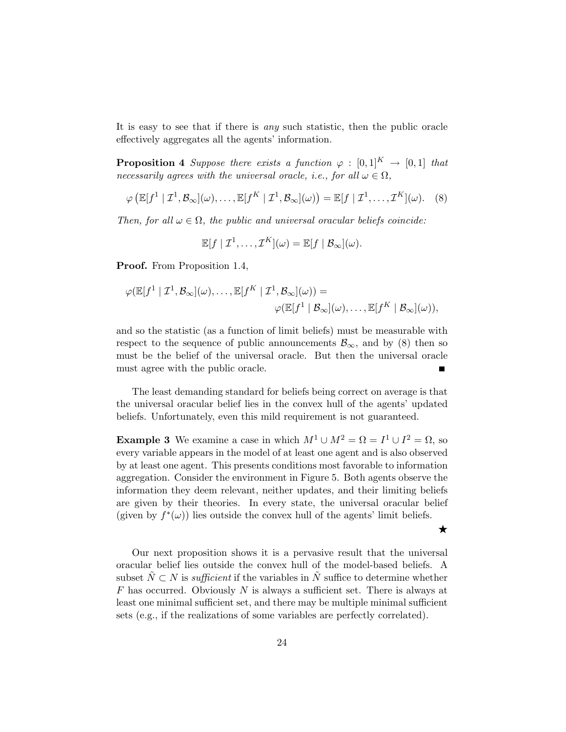It is easy to see that if there is any such statistic, then the public oracle effectively aggregates all the agents' information.

**Proposition 4** Suppose there exists a function  $\varphi : [0,1]^K \to [0,1]$  that necessarily agrees with the universal oracle, i.e., for all  $\omega \in \Omega$ ,

<span id="page-26-0"></span>
$$
\varphi\left(\mathbb{E}[f^1 \mid \mathcal{I}^1, \mathcal{B}_{\infty}](\omega), \ldots, \mathbb{E}[f^K \mid \mathcal{I}^1, \mathcal{B}_{\infty}](\omega)\right) = \mathbb{E}[f \mid \mathcal{I}^1, \ldots, \mathcal{I}^K](\omega). \quad (8)
$$

Then, for all  $\omega \in \Omega$ , the public and universal oracular beliefs coincide:

$$
\mathbb{E}[f | \mathcal{I}^1, \ldots, \mathcal{I}^K](\omega) = \mathbb{E}[f | \mathcal{B}_{\infty}](\omega).
$$

Proof. From Proposition [1](#page-20-3)[.4,](#page-21-0)

$$
\varphi(\mathbb{E}[f^1 | \mathcal{I}^1, \mathcal{B}_{\infty}](\omega), \dots, \mathbb{E}[f^K | \mathcal{I}^1, \mathcal{B}_{\infty}](\omega)) =
$$
  

$$
\varphi(\mathbb{E}[f^1 | \mathcal{B}_{\infty}](\omega), \dots, \mathbb{E}[f^K | \mathcal{B}_{\infty}](\omega)),
$$

and so the statistic (as a function of limit beliefs) must be measurable with respect to the sequence of public announcements  $\mathcal{B}_{\infty}$ , and by [\(8\)](#page-26-0) then so must be the belief of the universal oracle. But then the universal oracle must agree with the public oracle.  $\blacksquare$ 

The least demanding standard for beliefs being correct on average is that the universal oracular belief lies in the convex hull of the agents' updated beliefs. Unfortunately, even this mild requirement is not guaranteed.

**Example 3** We examine a case in which  $M^1 \cup M^2 = \Omega = I^1 \cup I^2 = \Omega$ , so every variable appears in the model of at least one agent and is also observed by at least one agent. This presents conditions most favorable to information aggregation. Consider the environment in Figure [5.](#page-27-0) Both agents observe the information they deem relevant, neither updates, and their limiting beliefs are given by their theories. In every state, the universal oracular belief (given by  $f^*(\omega)$ ) lies outside the convex hull of the agents' limit beliefs.

 $\bigstar$ 

Our next proposition shows it is a pervasive result that the universal oracular belief lies outside the convex hull of the model-based beliefs. A subset  $\tilde{N} \subset N$  is *sufficient* if the variables in  $\tilde{N}$  suffice to determine whether F has occurred. Obviously N is always a sufficient set. There is always at least one minimal sufficient set, and there may be multiple minimal sufficient sets (e.g., if the realizations of some variables are perfectly correlated).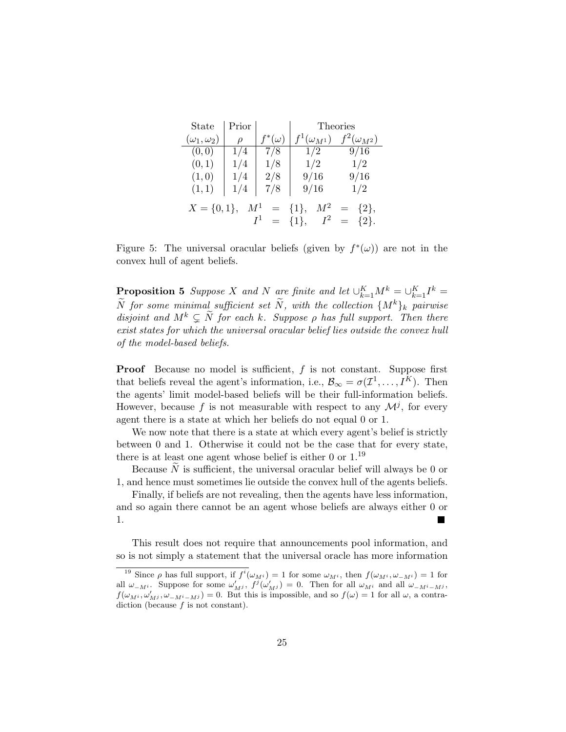| State                 | Prior  |               | Theories             |                     |  |  |
|-----------------------|--------|---------------|----------------------|---------------------|--|--|
| $(\omega_1,\omega_2)$ | $\rho$ | $f^*(\omega)$ | $f^1(\omega_{M^1})$  | $f^2(\omega_{M^2})$ |  |  |
| (0,0)                 | 1/4    | 7/8           | 1/2                  | 9/16                |  |  |
| (0,1)                 | 1/4    | 1/8           | 1/2                  | 1/2                 |  |  |
| (1,0)                 | 1/4    | 2/8           | 9/16                 | 9/16                |  |  |
| (1,1)                 | 1/4    | 7/8           | 9/16                 | 1/2                 |  |  |
| $X = \{0,1\},\$       | $M^1$  | $=$           | $M^2$<br>$\{1\},\$   | $\{2\},\$           |  |  |
|                       |        |               | $I^2$<br>$= \{1\},\$ | $\{2\}.$<br>$=$     |  |  |

<span id="page-27-0"></span>Figure 5: The universal oracular beliefs (given by  $f^*(\omega)$ ) are not in the convex hull of agent beliefs.

**Proposition 5** Suppose X and N are finite and let  $\bigcup_{k=1}^{K} M^k = \bigcup_{k=1}^{K} I^k =$  $\widetilde{N}$  for some minimal sufficient set  $\widetilde{N}$ , with the collection  $\{M^k\}_k$  pairwise disjoint and  $M^k \subseteq \tilde{N}$  for each k. Suppose  $\rho$  has full support. Then there exist states for which the universal oracular belief lies outside the convex hull of the model-based beliefs.

**Proof** Because no model is sufficient,  $f$  is not constant. Suppose first that beliefs reveal the agent's information, i.e.,  $\mathcal{B}_{\infty} = \sigma(\mathcal{I}^1, \ldots, I^K)$ . Then the agents' limit model-based beliefs will be their full-information beliefs. However, because f is not measurable with respect to any  $\mathcal{M}^j$ , for every agent there is a state at which her beliefs do not equal 0 or 1.

We now note that there is a state at which every agent's belief is strictly between 0 and 1. Otherwise it could not be the case that for every state, there is at least one agent whose belief is either 0 or  $1<sup>19</sup>$  $1<sup>19</sup>$  $1<sup>19</sup>$ 

Because  $N$  is sufficient, the universal oracular belief will always be 0 or 1, and hence must sometimes lie outside the convex hull of the agents beliefs.

Finally, if beliefs are not revealing, then the agents have less information, and so again there cannot be an agent whose beliefs are always either 0 or 1.

This result does not require that announcements pool information, and so is not simply a statement that the universal oracle has more information

<span id="page-27-1"></span><sup>&</sup>lt;sup>19</sup> Since  $\rho$  has full support, if  $f^i(\omega_{M^i}) = 1$  for some  $\omega_{M^i}$ , then  $f(\omega_{M^i}, \omega_{-M^i}) = 1$  for all  $\omega_{-M^i}$ . Suppose for some  $\omega'_{M^j}$ ,  $f^j(\omega'_{M^j}) = 0$ . Then for all  $\omega_{M^i}$  and all  $\omega_{-M^i-M^j}$ ,  $f(\omega_{M^i}, \omega'_{M^j}, \omega_{-M^i - M^j}) = 0$ . But this is impossible, and so  $f(\omega) = 1$  for all  $\omega$ , a contradiction (because  $f$  is not constant).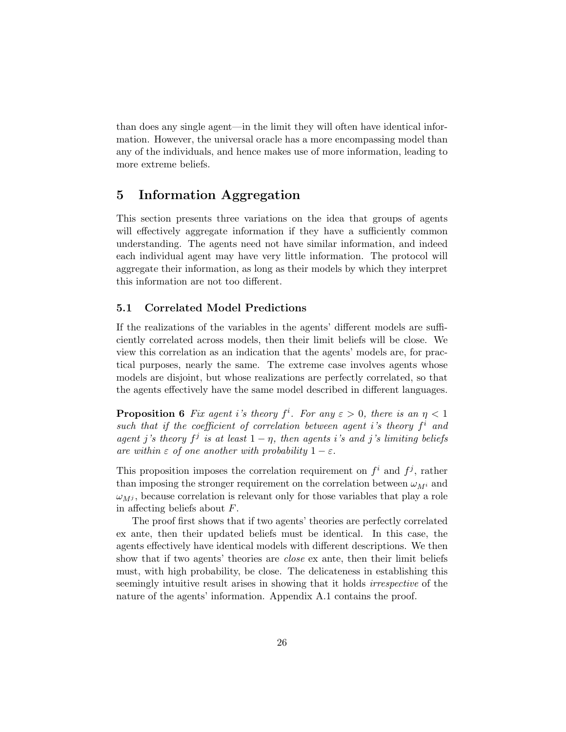than does any single agent—in the limit they will often have identical information. However, the universal oracle has a more encompassing model than any of the individuals, and hence makes use of more information, leading to more extreme beliefs.

# <span id="page-28-0"></span>5 Information Aggregation

This section presents three variations on the idea that groups of agents will effectively aggregate information if they have a sufficiently common understanding. The agents need not have similar information, and indeed each individual agent may have very little information. The protocol will aggregate their information, as long as their models by which they interpret this information are not too different.

#### <span id="page-28-1"></span>5.1 Correlated Model Predictions

If the realizations of the variables in the agents' different models are sufficiently correlated across models, then their limit beliefs will be close. We view this correlation as an indication that the agents' models are, for practical purposes, nearly the same. The extreme case involves agents whose models are disjoint, but whose realizations are perfectly correlated, so that the agents effectively have the same model described in different languages.

<span id="page-28-2"></span>**Proposition 6** Fix agent i's theory  $f^i$ . For any  $\varepsilon > 0$ , there is an  $\eta < 1$ such that if the coefficient of correlation between agent i's theory  $f^i$  and agent j's theory  $f^j$  is at least  $1 - \eta$ , then agents i's and j's limiting beliefs are within  $\varepsilon$  of one another with probability  $1 - \varepsilon$ .

This proposition imposes the correlation requirement on  $f^i$  and  $f^j$ , rather than imposing the stronger requirement on the correlation between  $\omega_{M_i}$  and  $\omega_{Mj}$ , because correlation is relevant only for those variables that play a role in affecting beliefs about F.

The proof first shows that if two agents' theories are perfectly correlated ex ante, then their updated beliefs must be identical. In this case, the agents effectively have identical models with different descriptions. We then show that if two agents' theories are close ex ante, then their limit beliefs must, with high probability, be close. The delicateness in establishing this seemingly intuitive result arises in showing that it holds *irrespective* of the nature of the agents' information. Appendix [A.1](#page-36-1) contains the proof.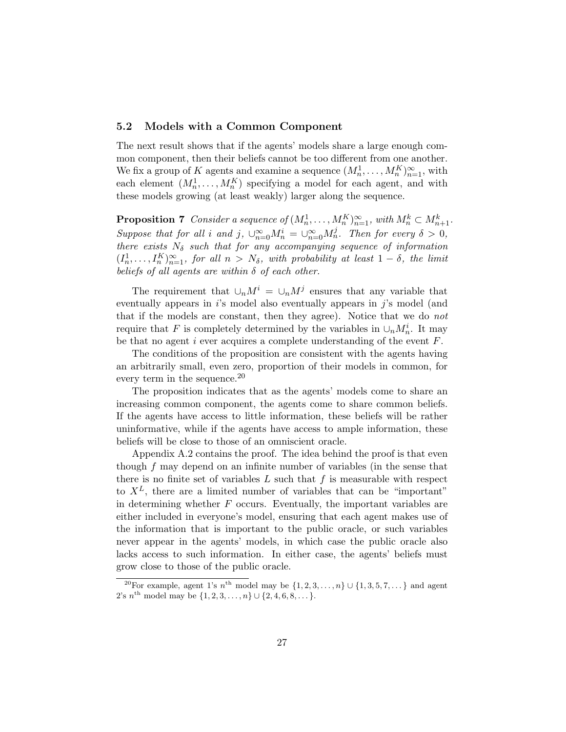#### <span id="page-29-0"></span>5.2 Models with a Common Component

The next result shows that if the agents' models share a large enough common component, then their beliefs cannot be too different from one another. We fix a group of K agents and examine a sequence  $(M_n^1, \ldots, M_n^K)_{n=1}^{\infty}$ , with each element  $(M_n^1, \ldots, M_n^K)$  specifying a model for each agent, and with these models growing (at least weakly) larger along the sequence.

<span id="page-29-1"></span>**Proposition 7** Consider a sequence of  $(M_n^1, \ldots, M_n^K)_{n=1}^{\infty}$ , with  $M_n^k \subset M_{n+1}^k$ . Suppose that for all i and j,  $\bigcup_{n=0}^{\infty} M_n^i = \bigcup_{n=0}^{\infty} M_n^j$ . Then for every  $\delta > 0$ , there exists  $N_{\delta}$  such that for any accompanying sequence of information  $(I_n^1, \ldots, I_n^K)_{n=1}^{\infty}$ , for all  $n > N_\delta$ , with probability at least  $1 - \delta$ , the limit beliefs of all agents are within  $\delta$  of each other.

The requirement that  $\cup_n M^i = \cup_n M^j$  ensures that any variable that eventually appears in  $i$ 's model also eventually appears in  $j$ 's model (and that if the models are constant, then they agree). Notice that we do not require that F is completely determined by the variables in  $\cup_n M_n^i$ . It may be that no agent i ever acquires a complete understanding of the event  $F$ .

The conditions of the proposition are consistent with the agents having an arbitrarily small, even zero, proportion of their models in common, for every term in the sequence.<sup>[20](#page-29-2)</sup>

The proposition indicates that as the agents' models come to share an increasing common component, the agents come to share common beliefs. If the agents have access to little information, these beliefs will be rather uninformative, while if the agents have access to ample information, these beliefs will be close to those of an omniscient oracle.

Appendix [A.2](#page-39-0) contains the proof. The idea behind the proof is that even though  $f$  may depend on an infinite number of variables (in the sense that there is no finite set of variables  $L$  such that  $f$  is measurable with respect to  $X<sup>L</sup>$ , there are a limited number of variables that can be "important" in determining whether  $F$  occurs. Eventually, the important variables are either included in everyone's model, ensuring that each agent makes use of the information that is important to the public oracle, or such variables never appear in the agents' models, in which case the public oracle also lacks access to such information. In either case, the agents' beliefs must grow close to those of the public oracle.

<span id="page-29-2"></span><sup>&</sup>lt;sup>20</sup>For example, agent 1's  $n^{\text{th}}$  model may be  $\{1, 2, 3, ..., n\} \cup \{1, 3, 5, 7, ...\}$  and agent 2's  $n^{\text{th}}$  model may be  $\{1, 2, 3, ..., n\} \cup \{2, 4, 6, 8, ...\}$ .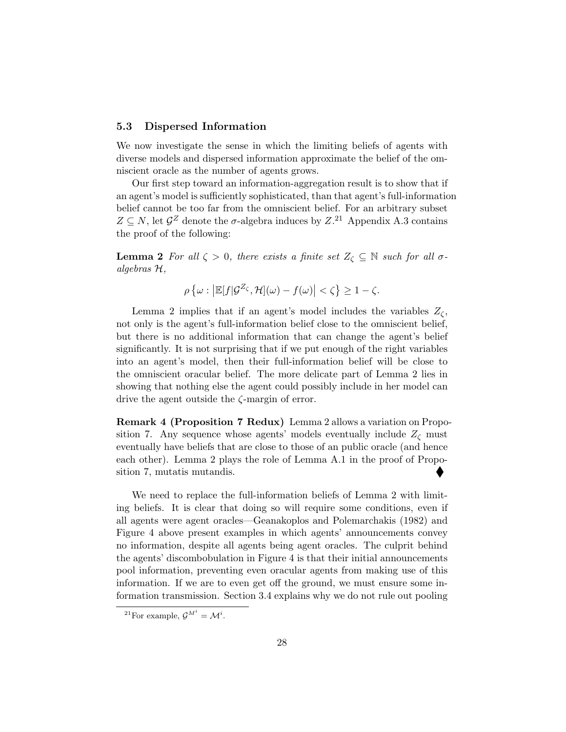#### <span id="page-30-0"></span>5.3 Dispersed Information

We now investigate the sense in which the limiting beliefs of agents with diverse models and dispersed information approximate the belief of the omniscient oracle as the number of agents grows.

Our first step toward an information-aggregation result is to show that if an agent's model is sufficiently sophisticated, than that agent's full-information belief cannot be too far from the omniscient belief. For an arbitrary subset  $Z \subseteq N$ , let  $\mathcal{G}^Z$  denote the  $\sigma$ -algebra induces by  $Z$ .<sup>[21](#page-30-2)</sup> Appendix [A.3](#page-40-0) contains the proof of the following:

<span id="page-30-1"></span>**Lemma 2** For all  $\zeta > 0$ , there exists a finite set  $Z_{\zeta} \subseteq \mathbb{N}$  such for all  $\sigma$ algebras H,

$$
\rho\left\{\omega: \left|\mathbb{E}[f|\mathcal{G}^{Z_{\zeta}},\mathcal{H}](\omega)-f(\omega)\right|<\zeta\right\}\geq 1-\zeta.
$$

Lemma [2](#page-30-1) implies that if an agent's model includes the variables  $Z_{\zeta}$ , not only is the agent's full-information belief close to the omniscient belief, but there is no additional information that can change the agent's belief significantly. It is not surprising that if we put enough of the right variables into an agent's model, then their full-information belief will be close to the omniscient oracular belief. The more delicate part of Lemma [2](#page-30-1) lies in showing that nothing else the agent could possibly include in her model can drive the agent outside the ζ-margin of error.

Remark 4 (Proposition [7](#page-29-1) Redux) Lemma [2](#page-30-1) allows a variation on Propo-sition [7.](#page-29-1) Any sequence whose agents' models eventually include  $Z_{\zeta}$  must eventually have beliefs that are close to those of an public oracle (and hence each other). Lemma [2](#page-30-1) plays the role of Lemma [A.1](#page-36-2) in the proof of Proposition [7,](#page-29-1) mutatis mutandis.

We need to replace the full-information beliefs of Lemma [2](#page-30-1) with limiting beliefs. It is clear that doing so will require some conditions, even if all agents were agent oracles[—Geanakoplos and Polemarchakis \(1982\)](#page-55-0) and Figure [4](#page-24-0) above present examples in which agents' announcements convey no information, despite all agents being agent oracles. The culprit behind the agents' discombobulation in Figure [4](#page-24-0) is that their initial announcements pool information, preventing even oracular agents from making use of this information. If we are to even get off the ground, we must ensure some information transmission. Section [3.4](#page-17-0) explains why we do not rule out pooling

<span id="page-30-2"></span><sup>&</sup>lt;sup>21</sup>For example,  $\mathcal{G}^{M^i} = \mathcal{M}^i$ .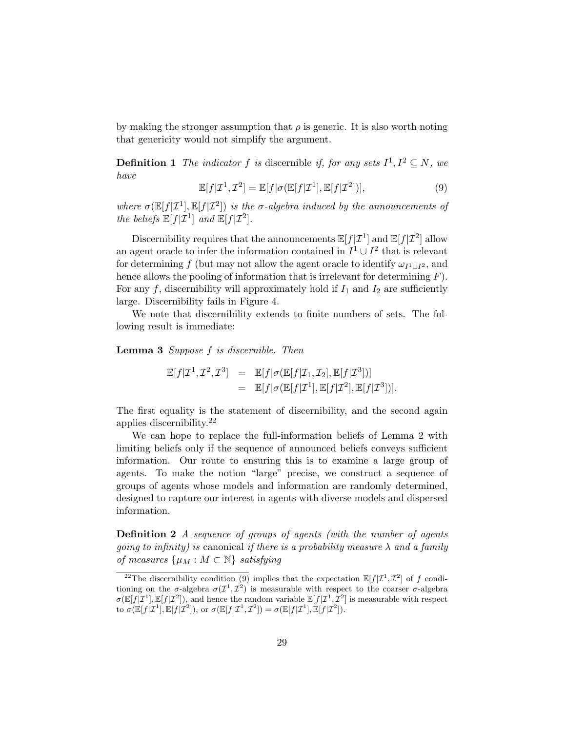by making the stronger assumption that  $\rho$  is generic. It is also worth noting that genericity would not simplify the argument.

**Definition 1** The indicator f is discernible if, for any sets  $I^1, I^2 \subseteq N$ , we have

<span id="page-31-1"></span>
$$
\mathbb{E}[f|\mathcal{I}^1, \mathcal{I}^2] = \mathbb{E}[f|\sigma(\mathbb{E}[f|\mathcal{I}^1], \mathbb{E}[f|\mathcal{I}^2])],\tag{9}
$$

where  $\sigma(\mathbb{E}[f|\mathcal{I}^1], \mathbb{E}[f|\mathcal{I}^2])$  is the  $\sigma$ -algebra induced by the announcements of the beliefs  $\mathbb{E}[f|\mathcal{I}^1]$  and  $\mathbb{E}[f|\mathcal{I}^2]$ .

Discernibility requires that the announcements  $\mathbb{E}[f|\mathcal{I}^1]$  and  $\mathbb{E}[f|\mathcal{I}^2]$  allow an agent oracle to infer the information contained in  $I^1 \cup I^2$  that is relevant for determining f (but may not allow the agent oracle to identify  $\omega_{I^1 \cup I^2}$ , and hence allows the pooling of information that is irrelevant for determining  $F$ ). For any f, discernibility will approximately hold if  $I_1$  and  $I_2$  are sufficiently large. Discernibility fails in Figure [4.](#page-24-0)

We note that discernibility extends to finite numbers of sets. The following result is immediate:

Lemma 3 Suppose f is discernible. Then

$$
\mathbb{E}[f|\mathcal{I}^1, \mathcal{I}^2, \mathcal{I}^3] = \mathbb{E}[f|\sigma(\mathbb{E}[f|\mathcal{I}_1, \mathcal{I}_2], \mathbb{E}[f|\mathcal{I}^3])]
$$
  
=  $\mathbb{E}[f|\sigma(\mathbb{E}[f|\mathcal{I}^1], \mathbb{E}[f|\mathcal{I}^2], \mathbb{E}[f|\mathcal{I}^3])].$ 

The first equality is the statement of discernibility, and the second again applies discernibility.<sup>[22](#page-31-0)</sup>

We can hope to replace the full-information beliefs of Lemma [2](#page-30-1) with limiting beliefs only if the sequence of announced beliefs conveys sufficient information. Our route to ensuring this is to examine a large group of agents. To make the notion "large" precise, we construct a sequence of groups of agents whose models and information are randomly determined, designed to capture our interest in agents with diverse models and dispersed information.

Definition 2 A sequence of groups of agents (with the number of agents going to infinity) is canonical if there is a probability measure  $\lambda$  and a family of measures  $\{\mu_M : M \subset \mathbb{N}\}\$  satisfying

<span id="page-31-0"></span><sup>&</sup>lt;sup>22</sup>The discernibility condition [\(9\)](#page-31-1) implies that the expectation  $\mathbb{E}[f|\mathcal{I}^1, \mathcal{I}^2]$  of f conditioning on the  $\sigma$ -algebra  $\sigma(\mathcal{I}^1, \mathcal{I}^2)$  is measurable with respect to the coarser  $\sigma$ -algebra  $\sigma(\mathbb{E}[f|\mathcal{I}^1], \mathbb{E}[f|\mathcal{I}^2])$ , and hence the random variable  $\mathbb{E}[f|\mathcal{I}^1, \mathcal{I}^2]$  is measurable with respect to  $\sigma(\mathbb{E}[f|\mathcal{I}^1], \mathbb{E}[f|\mathcal{I}^2]),$  or  $\sigma(\mathbb{E}[f|\mathcal{I}^1, \mathcal{I}^2]) = \sigma(\mathbb{E}[f|\mathcal{I}^1], \mathbb{E}[f|\mathcal{I}^2]).$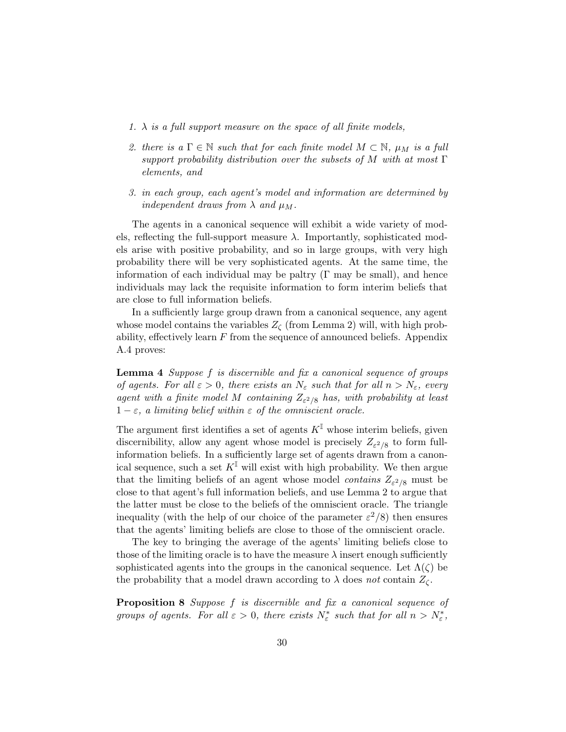- 1.  $\lambda$  is a full support measure on the space of all finite models,
- 2. there is a  $\Gamma \in \mathbb{N}$  such that for each finite model  $M \subset \mathbb{N}$ ,  $\mu_M$  is a full support probability distribution over the subsets of M with at most  $\Gamma$ elements, and
- 3. in each group, each agent's model and information are determined by independent draws from  $\lambda$  and  $\mu_M$ .

The agents in a canonical sequence will exhibit a wide variety of models, reflecting the full-support measure  $\lambda$ . Importantly, sophisticated models arise with positive probability, and so in large groups, with very high probability there will be very sophisticated agents. At the same time, the information of each individual may be paltry  $(\Gamma \text{ may be small})$ , and hence individuals may lack the requisite information to form interim beliefs that are close to full information beliefs.

In a sufficiently large group drawn from a canonical sequence, any agent whose model contains the variables  $Z_{\zeta}$  (from Lemma [2\)](#page-30-1) will, with high probability, effectively learn  $F$  from the sequence of announced beliefs. Appendix [A.4](#page-42-0) proves:

<span id="page-32-0"></span>Lemma 4 Suppose f is discernible and fix a canonical sequence of groups of agents. For all  $\varepsilon > 0$ , there exists an  $N_{\varepsilon}$  such that for all  $n > N_{\varepsilon}$ , every agent with a finite model M containing  $Z_{\varepsilon^2/8}$  has, with probability at least  $1 - \varepsilon$ , a limiting belief within  $\varepsilon$  of the omniscient oracle.

The argument first identifies a set of agents  $K^{\mathbb{I}}$  whose interim beliefs, given discernibility, allow any agent whose model is precisely  $Z_{\varepsilon^2/8}$  to form fullinformation beliefs. In a sufficiently large set of agents drawn from a canonical sequence, such a set  $K^{\mathbb{I}}$  will exist with high probability. We then argue that the limiting beliefs of an agent whose model *contains*  $Z_{\varepsilon^2/8}$  must be close to that agent's full information beliefs, and use Lemma [2](#page-30-1) to argue that the latter must be close to the beliefs of the omniscient oracle. The triangle inequality (with the help of our choice of the parameter  $\varepsilon^2/8$ ) then ensures that the agents' limiting beliefs are close to those of the omniscient oracle.

The key to bringing the average of the agents' limiting beliefs close to those of the limiting oracle is to have the measure  $\lambda$  insert enough sufficiently sophisticated agents into the groups in the canonical sequence. Let  $\Lambda(\zeta)$  be the probability that a model drawn according to  $\lambda$  does not contain  $Z_{\zeta}$ .

<span id="page-32-1"></span>**Proposition 8** Suppose f is discernible and fix a canonical sequence of groups of agents. For all  $\varepsilon > 0$ , there exists  $N_{\varepsilon}^*$  such that for all  $n > N_{\varepsilon}^*$ ,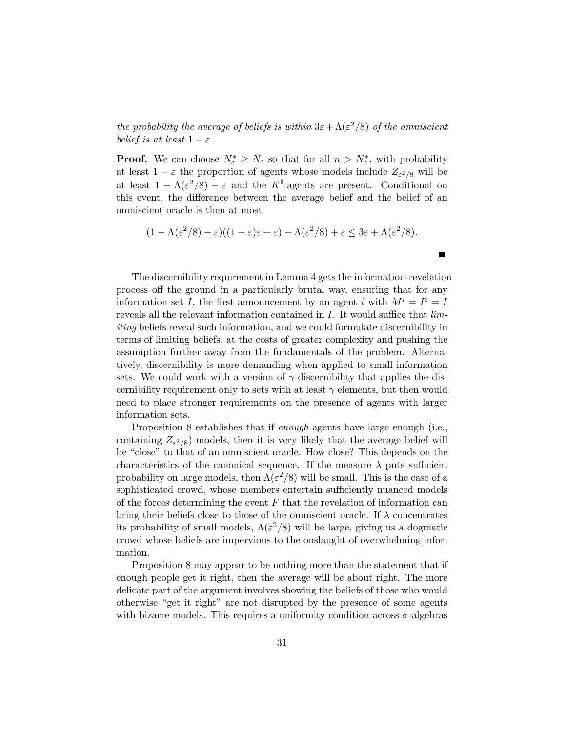the probability the average of beliefs is within  $3\varepsilon + \Lambda(\varepsilon^2/8)$  of the omniscient belief is at least  $1 - \varepsilon$ .

**Proof.** We can choose  $N_{\varepsilon}^* \geq N_{\varepsilon}$  so that for all  $n > N_{\varepsilon}^*$ , with probability at least  $1 - \varepsilon$  the proportion of agents whose models include  $Z_{\varepsilon^2/8}$  will be at least  $1 - \Lambda(\varepsilon^2/8) - \varepsilon$  and the K<sup>I</sup>-agents are present. Conditional on this event, the difference between the average belief and the belief of an omniscient oracle is then at most

$$
(1 - \Lambda(\varepsilon^2/8) - \varepsilon)((1 - \varepsilon)\varepsilon + \varepsilon) + \Lambda(\varepsilon^2/8) + \varepsilon \leq 3\varepsilon + \Lambda(\varepsilon^2/8).
$$

The discernibility requirement in Lemma [4](#page-32-0) gets the information-revelation process off the ground in a particularly brutal way, ensuring that for any information set I, the first announcement by an agent i with  $M^{i} = I^{i} = I$ reveals all the relevant information contained in I. It would suffice that limiting beliefs reveal such information, and we could formulate discernibility in terms of limiting beliefs, at the costs of greater complexity and pushing the assumption further away from the fundamentals of the problem. Alternatively, discernibility is more demanding when applied to small information sets. We could work with a version of  $\gamma$ -discernibility that applies the discernibility requirement only to sets with at least  $\gamma$  elements, but then would need to place stronger requirements on the presence of agents with larger information sets.

Proposition [8](#page-32-1) establishes that if *enough* agents have large enough (i.e., containing  $Z_{\varepsilon^2/8}$  models, then it is very likely that the average belief will be "close" to that of an omniscient oracle. How close? This depends on the characteristics of the canonical sequence. If the measure  $\lambda$  puts sufficient probability on large models, then  $\Lambda(\varepsilon^2/8)$  will be small. This is the case of a sophisticated crowd, whose members entertain sufficiently nuanced models of the forces determining the event  $F$  that the revelation of information can bring their beliefs close to those of the omniscient oracle. If  $\lambda$  concentrates its probability of small models,  $\Lambda(\varepsilon^2/8)$  will be large, giving us a dogmatic crowd whose beliefs are impervious to the onslaught of overwhelming information.

Proposition [8](#page-32-1) may appear to be nothing more than the statement that if enough people get it right, then the average will be about right. The more delicate part of the argument involves showing the beliefs of those who would otherwise "get it right" are not disrupted by the presence of some agents with bizarre models. This requires a uniformity condition across  $\sigma$ -algebras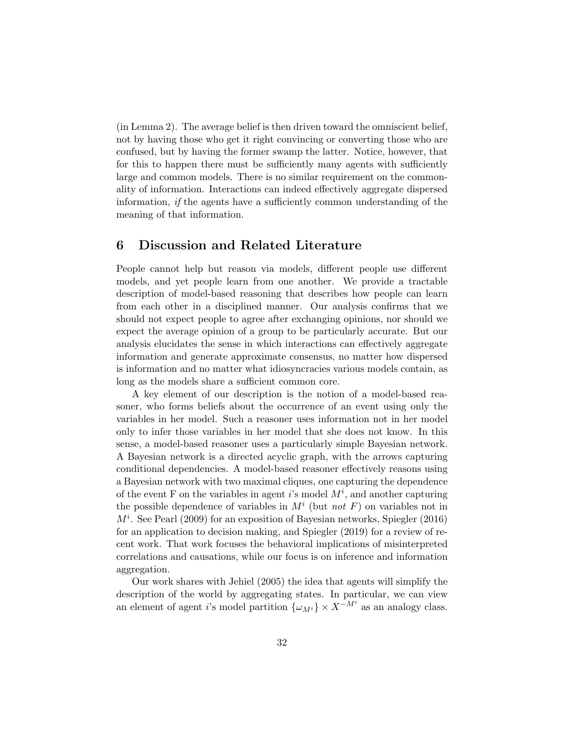(in Lemma [2\)](#page-30-1). The average belief is then driven toward the omniscient belief, not by having those who get it right convincing or converting those who are confused, but by having the former swamp the latter. Notice, however, that for this to happen there must be sufficiently many agents with sufficiently large and common models. There is no similar requirement on the commonality of information. Interactions can indeed effectively aggregate dispersed information, if the agents have a sufficiently common understanding of the meaning of that information.

### <span id="page-34-0"></span>6 Discussion and Related Literature

People cannot help but reason via models, different people use different models, and yet people learn from one another. We provide a tractable description of model-based reasoning that describes how people can learn from each other in a disciplined manner. Our analysis confirms that we should not expect people to agree after exchanging opinions, nor should we expect the average opinion of a group to be particularly accurate. But our analysis elucidates the sense in which interactions can effectively aggregate information and generate approximate consensus, no matter how dispersed is information and no matter what idiosyncracies various models contain, as long as the models share a sufficient common core.

A key element of our description is the notion of a model-based reasoner, who forms beliefs about the occurrence of an event using only the variables in her model. Such a reasoner uses information not in her model only to infer those variables in her model that she does not know. In this sense, a model-based reasoner uses a particularly simple Bayesian network. A Bayesian network is a directed acyclic graph, with the arrows capturing conditional dependencies. A model-based reasoner effectively reasons using a Bayesian network with two maximal cliques, one capturing the dependence of the event F on the variables in agent i's model  $M^i$ , and another capturing the possible dependence of variables in  $M^i$  (but not F) on variables not in  $M<sup>i</sup>$ . See [Pearl \(2009\)](#page-56-5) for an exposition of Bayesian networks, [Spiegler \(2016\)](#page-56-2) for an application to decision making, and [Spiegler \(2019\)](#page-56-6) for a review of recent work. That work focuses the behavioral implications of misinterpreted correlations and causations, while our focus is on inference and information aggregation.

Our work shares with [Jehiel \(2005\)](#page-56-7) the idea that agents will simplify the description of the world by aggregating states. In particular, we can view an element of agent i's model partition  $\{\omega_{M^i}\}\times X^{-M^i}$  as an analogy class.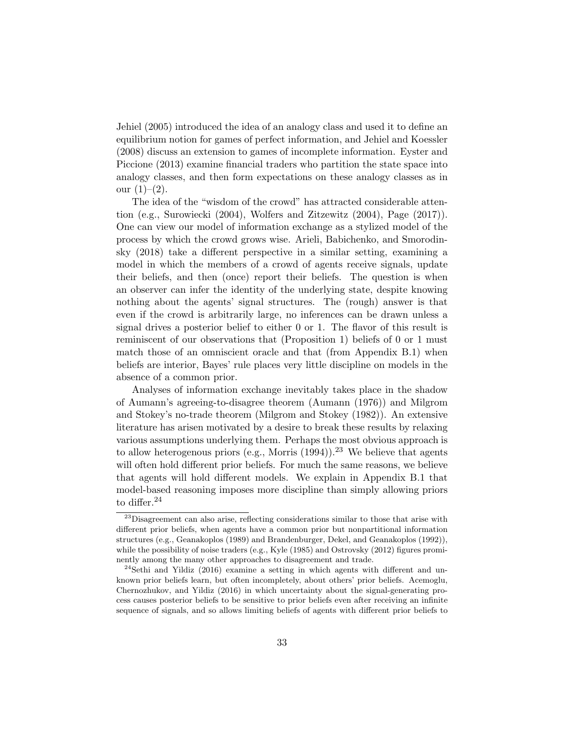[Jehiel \(2005\)](#page-56-7) introduced the idea of an analogy class and used it to define an equilibrium notion for games of perfect information, and [Jehiel and Koessler](#page-56-8) [\(2008\)](#page-56-8) discuss an extension to games of incomplete information. [Eyster and](#page-55-2) [Piccione \(2013\)](#page-55-2) examine financial traders who partition the state space into analogy classes, and then form expectations on these analogy classes as in our  $(1)–(2)$  $(1)–(2)$ .

The idea of the "wisdom of the crowd" has attracted considerable attention (e.g., [Surowiecki \(2004\)](#page-57-0), [Wolfers and Zitzewitz \(2004\)](#page-57-1), [Page \(2017\)](#page-56-9)). One can view our model of information exchange as a stylized model of the process by which the crowd grows wise. [Arieli, Babichenko, and Smorodin](#page-54-3)[sky \(2018\)](#page-54-3) take a different perspective in a similar setting, examining a model in which the members of a crowd of agents receive signals, update their beliefs, and then (once) report their beliefs. The question is when an observer can infer the identity of the underlying state, despite knowing nothing about the agents' signal structures. The (rough) answer is that even if the crowd is arbitrarily large, no inferences can be drawn unless a signal drives a posterior belief to either 0 or 1. The flavor of this result is reminiscent of our observations that (Proposition [1\)](#page-20-3) beliefs of 0 or 1 must match those of an omniscient oracle and that (from Appendix [B.1\)](#page-44-1) when beliefs are interior, Bayes' rule places very little discipline on models in the absence of a common prior.

Analyses of information exchange inevitably takes place in the shadow of Aumann's agreeing-to-disagree theorem [\(Aumann \(1976\)](#page-55-1)) and Milgrom and Stokey's no-trade theorem [\(Milgrom and Stokey \(1982\)](#page-56-10)). An extensive literature has arisen motivated by a desire to break these results by relaxing various assumptions underlying them. Perhaps the most obvious approach is to allow heterogenous priors (e.g., Morris  $(1994)$ ).<sup>[23](#page-35-0)</sup> We believe that agents will often hold different prior beliefs. For much the same reasons, we believe that agents will hold different models. We explain in Appendix [B.1](#page-44-1) that model-based reasoning imposes more discipline than simply allowing priors to differ.<sup>[24](#page-35-1)</sup>

<span id="page-35-0"></span><sup>23</sup>Disagreement can also arise, reflecting considerations similar to those that arise with different prior beliefs, when agents have a common prior but nonpartitional information structures (e.g., [Geanakoplos](#page-55-6) [\(1989\)](#page-55-6) and [Brandenburger, Dekel, and Geanakoplos](#page-55-7) [\(1992\)](#page-55-7)), while the possibility of noise traders (e.g., [Kyle](#page-56-12) [\(1985\)](#page-56-12) and [Ostrovsky](#page-56-13) [\(2012\)](#page-56-13) figures prominently among the many other approaches to disagreement and trade.

<span id="page-35-1"></span> $24$ [Sethi and Yildiz](#page-56-14) [\(2016\)](#page-56-14) examine a setting in which agents with different and unknown prior beliefs learn, but often incompletely, about others' prior beliefs. [Acemoglu,](#page-54-4) [Chernozhukov, and Yildiz](#page-54-4) [\(2016\)](#page-54-4) in which uncertainty about the signal-generating process causes posterior beliefs to be sensitive to prior beliefs even after receiving an infinite sequence of signals, and so allows limiting beliefs of agents with different prior beliefs to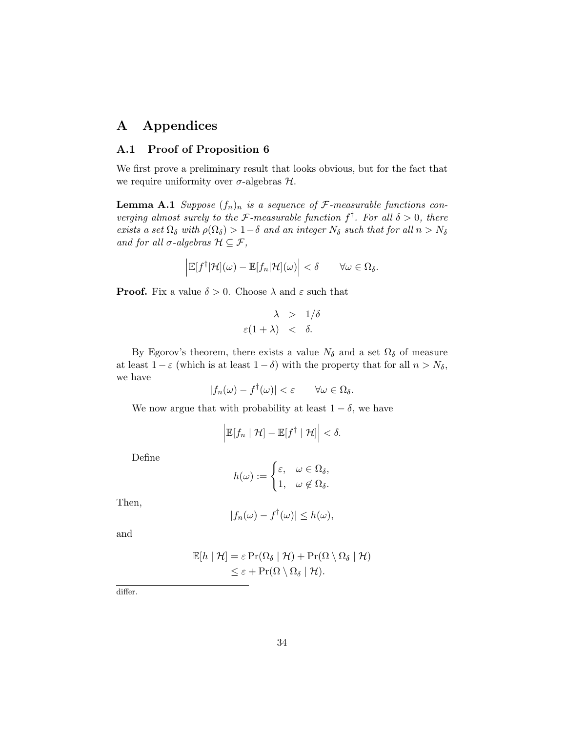# <span id="page-36-0"></span>A Appendices

#### <span id="page-36-1"></span>A.1 Proof of Proposition [6](#page-28-2)

We first prove a preliminary result that looks obvious, but for the fact that we require uniformity over  $\sigma$ -algebras  $\mathcal{H}$ .

<span id="page-36-2"></span>**Lemma A.1** Suppose  $(f_n)_n$  is a sequence of F-measurable functions converging almost surely to the F-measurable function  $f^{\dagger}$ . For all  $\delta > 0$ , there exists a set  $\Omega_{\delta}$  with  $\rho(\Omega_{\delta}) > 1-\delta$  and an integer  $N_{\delta}$  such that for all  $n > N_{\delta}$ and for all  $\sigma$ -algebras  $\mathcal{H} \subseteq \mathcal{F}$ ,

$$
\left|\mathbb{E}[f^{\dagger}|\mathcal{H}](\omega)-\mathbb{E}[f_n|\mathcal{H}](\omega)\right|<\delta\qquad\forall\omega\in\Omega_{\delta}.
$$

**Proof.** Fix a value  $\delta > 0$ . Choose  $\lambda$  and  $\varepsilon$  such that

$$
\lambda > 1/\delta
$$
  

$$
\varepsilon(1+\lambda) < \delta.
$$

By Egorov's theorem, there exists a value  $N_{\delta}$  and a set  $\Omega_{\delta}$  of measure at least  $1 - \varepsilon$  (which is at least  $1 - \delta$ ) with the property that for all  $n > N_{\delta}$ , we have

$$
|f_n(\omega) - f^{\dagger}(\omega)| < \varepsilon \qquad \forall \omega \in \Omega_{\delta}.
$$

We now argue that with probability at least  $1 - \delta$ , we have

$$
\left|\mathbb{E}[f_n \mid \mathcal{H}] - \mathbb{E}[f^\dagger \mid \mathcal{H}] \right| < \delta.
$$

Define

$$
h(\omega) := \begin{cases} \varepsilon, & \omega \in \Omega_{\delta}, \\ 1, & \omega \notin \Omega_{\delta}. \end{cases}
$$

Then,

$$
|f_n(\omega) - f^{\dagger}(\omega)| \le h(\omega),
$$

and

$$
\mathbb{E}[h \mid \mathcal{H}] = \varepsilon \Pr(\Omega_{\delta} \mid \mathcal{H}) + \Pr(\Omega \setminus \Omega_{\delta} \mid \mathcal{H})
$$
  
\$\leq \varepsilon + \Pr(\Omega \setminus \Omega\_{\delta} \mid \mathcal{H}).\$

differ.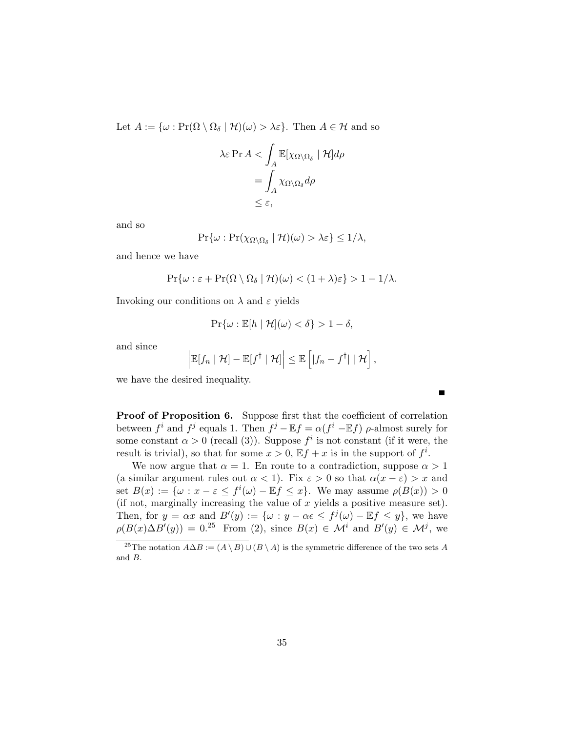Let  $A := {\omega : \Pr(\Omega \setminus \Omega_{\delta} | \mathcal{H})(\omega) > \lambda \varepsilon}.$  Then  $A \in \mathcal{H}$  and so

$$
\lambda \varepsilon \Pr A < \int_A \mathbb{E}[\chi_{\Omega \setminus \Omega_\delta} \mid \mathcal{H}] d\rho
$$
\n
$$
= \int_A \chi_{\Omega \setminus \Omega_\delta} d\rho
$$
\n
$$
\leq \varepsilon,
$$

and so

$$
\Pr\{\omega : \Pr(\chi_{\Omega \setminus \Omega_{\delta}} \mid \mathcal{H})(\omega) > \lambda \varepsilon\} \leq 1/\lambda,
$$

and hence we have

$$
\Pr\{\omega : \varepsilon + \Pr(\Omega \setminus \Omega_{\delta} \mid \mathcal{H})(\omega) < (1 + \lambda)\varepsilon\} > 1 - 1/\lambda.
$$

Invoking our conditions on  $\lambda$  and  $\varepsilon$  yields

$$
\Pr\{\omega : \mathbb{E}[h \mid \mathcal{H}](\omega) < \delta\} > 1 - \delta,
$$

and since

$$
\left|\mathbb{E}[f_n \mid \mathcal{H}] - \mathbb{E}[f^{\dagger} \mid \mathcal{H}]\right| \leq \mathbb{E}\left[|f_n - f^{\dagger}| \mid \mathcal{H}\right],
$$

Г

we have the desired inequality.

Proof of Proposition [6.](#page-28-2) Suppose first that the coefficient of correlation between  $f^i$  and  $f^j$  equals 1. Then  $f^j - \mathbb{E} f = \alpha(f^i - \mathbb{E} f)$   $\rho$ -almost surely for some constant  $\alpha > 0$  (recall [\(3\)](#page-9-3)). Suppose  $f^i$  is not constant (if it were, the result is trivial), so that for some  $x > 0$ ,  $\mathbb{E} f + x$  is in the support of  $f^i$ .

We now argue that  $\alpha = 1$ . En route to a contradiction, suppose  $\alpha > 1$ (a similar argument rules out  $\alpha < 1$ ). Fix  $\varepsilon > 0$  so that  $\alpha(x - \varepsilon) > x$  and set  $B(x) := \{ \omega : x - \varepsilon \leq f^i(\omega) - \mathbb{E}f \leq x \}.$  We may assume  $\rho(B(x)) > 0$ (if not, marginally increasing the value of  $x$  yields a positive measure set). Then, for  $y = \alpha x$  and  $B'(y) := \{ \omega : y - \alpha \epsilon \leq f^j(\omega) - \mathbb{E} f \leq y \}$ , we have  $\rho(B(x)\Delta B'(y)) = 0^{25}$  $\rho(B(x)\Delta B'(y)) = 0^{25}$  $\rho(B(x)\Delta B'(y)) = 0^{25}$  From [\(2\)](#page-7-0), since  $B(x) \in \mathcal{M}^i$  and  $B'(y) \in \mathcal{M}^j$ , we

<span id="page-37-0"></span><sup>&</sup>lt;sup>25</sup>The notation  $A\Delta B := (A \setminus B) \cup (B \setminus A)$  is the symmetric difference of the two sets A and B.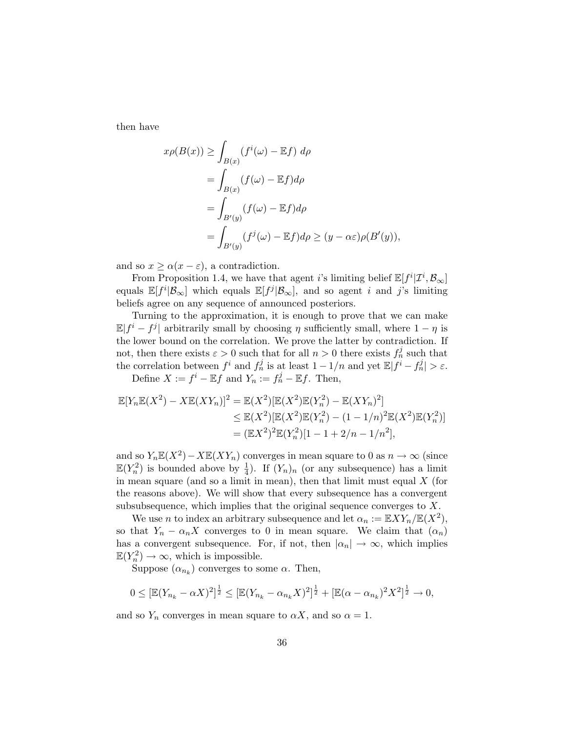then have

$$
x\rho(B(x)) \ge \int_{B(x)} (f^i(\omega) - \mathbb{E}f) d\rho
$$
  
= 
$$
\int_{B(x)} (f(\omega) - \mathbb{E}f) d\rho
$$
  
= 
$$
\int_{B'(y)} (f(\omega) - \mathbb{E}f) d\rho
$$
  
= 
$$
\int_{B'(y)} (f^j(\omega) - \mathbb{E}f) d\rho \ge (y - \alpha \varepsilon) \rho(B'(y)),
$$

and so  $x \geq \alpha(x - \varepsilon)$ , a contradiction.

From Proposition [1](#page-20-3)[.4,](#page-21-0) we have that agent *i*'s limiting belief  $\mathbb{E}[f^i|\mathcal{I}^i, \mathcal{B}_{\infty}]$ equals  $\mathbb{E}[f^i|\mathcal{B}_{\infty}]$  which equals  $\mathbb{E}[f^j|\mathcal{B}_{\infty}]$ , and so agent *i* and *j*'s limiting beliefs agree on any sequence of announced posteriors.

Turning to the approximation, it is enough to prove that we can make  $\mathbb{E}|f^i - f^j|$  arbitrarily small by choosing  $\eta$  sufficiently small, where  $1 - \eta$  is the lower bound on the correlation. We prove the latter by contradiction. If not, then there exists  $\varepsilon > 0$  such that for all  $n > 0$  there exists  $f_n^j$  such that the correlation between  $f^i$  and  $f_n^j$  is at least  $1 - 1/n$  and yet  $\mathbb{E}|f^i - f_n^j| > \varepsilon$ .

Define  $X := f^i - \mathbb{E} f$  and  $Y_n := f_n^j - \mathbb{E} f$ . Then,

$$
\mathbb{E}[Y_n \mathbb{E}(X^2) - X \mathbb{E}(XY_n)]^2 = \mathbb{E}(X^2) [\mathbb{E}(X^2) \mathbb{E}(Y_n^2) - \mathbb{E}(XY_n)^2]
$$
  
\n
$$
\leq \mathbb{E}(X^2) [\mathbb{E}(X^2) \mathbb{E}(Y_n^2) - (1 - 1/n)^2 \mathbb{E}(X^2) \mathbb{E}(Y_n^2)]
$$
  
\n
$$
= (\mathbb{E}X^2)^2 \mathbb{E}(Y_n^2)[1 - 1 + 2/n - 1/n^2],
$$

and so  $Y_n \mathbb{E}(X^2) - X \mathbb{E}(XY_n)$  converges in mean square to 0 as  $n \to \infty$  (since  $\mathbb{E}(Y_n^2)$  is bounded above by  $\frac{1}{4}$ ). If  $(Y_n)_n$  (or any subsequence) has a limit in mean square (and so a limit in mean), then that limit must equal  $X$  (for the reasons above). We will show that every subsequence has a convergent subsubsequence, which implies that the original sequence converges to  $X$ .

We use *n* to index an arbitrary subsequence and let  $\alpha_n := \mathbb{E} XY_n / \mathbb{E}(X^2)$ , so that  $Y_n - \alpha_n X$  converges to 0 in mean square. We claim that  $(\alpha_n)$ has a convergent subsequence. For, if not, then  $|\alpha_n| \to \infty$ , which implies  $\mathbb{E}(Y_n^2) \to \infty$ , which is impossible.

Suppose  $(\alpha_{n_k})$  converges to some  $\alpha$ . Then,

$$
0 \leq [\mathbb{E}(Y_{n_k} - \alpha X)^2]^{\frac{1}{2}} \leq [\mathbb{E}(Y_{n_k} - \alpha_{n_k} X)^2]^{\frac{1}{2}} + [\mathbb{E}(\alpha - \alpha_{n_k})^2 X^2]^{\frac{1}{2}} \to 0,
$$

and so  $Y_n$  converges in mean square to  $\alpha X$ , and so  $\alpha = 1$ .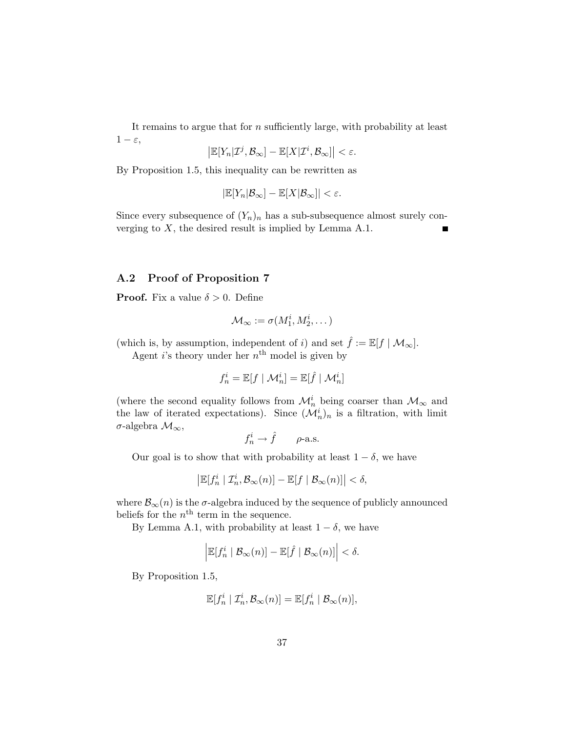It remains to argue that for n sufficiently large, with probability at least  $1 - \varepsilon$ ,

$$
\left|\mathbb{E}[Y_n|\mathcal{I}^j,\mathcal{B}_{\infty}]-\mathbb{E}[X|\mathcal{I}^i,\mathcal{B}_{\infty}]\right|<\varepsilon.
$$

By Proposition [1.](#page-20-3)5, this inequality can be rewritten as

$$
|\mathbb{E}[Y_n|\mathcal{B}_{\infty}] - \mathbb{E}[X|\mathcal{B}_{\infty}]| < \varepsilon.
$$

Since every subsequence of  $(Y_n)_n$  has a sub-subsequence almost surely converging to  $X$ , the desired result is implied by Lemma [A.1.](#page-36-2)

#### <span id="page-39-0"></span>A.2 Proof of Proposition [7](#page-29-1)

**Proof.** Fix a value  $\delta > 0$ . Define

$$
\mathcal{M}_\infty:=\sigma(M^i_1,M^i_2,\dots)
$$

(which is, by assumption, independent of i) and set  $\hat{f} := \mathbb{E}[f \mid \mathcal{M}_{\infty}].$ 

Agent *i*'s theory under her  $n<sup>th</sup>$  model is given by

$$
f_n^i = \mathbb{E}[f \mid \mathcal{M}_n^i] = \mathbb{E}[\hat{f} \mid \mathcal{M}_n^i]
$$

(where the second equality follows from  $\mathcal{M}_n^i$  being coarser than  $\mathcal{M}_{\infty}$  and the law of iterated expectations). Since  $(\mathcal{M}_n^i)_n$  is a filtration, with limit σ-algebra M∞,

$$
f_n^i \to \hat{f} \qquad \rho\text{-a.s.}
$$

Our goal is to show that with probability at least  $1 - \delta$ , we have

$$
\left|\mathbb{E}[f_n^i \mid \mathcal{I}_n^i, \mathcal{B}_{\infty}(n)] - \mathbb{E}[f \mid \mathcal{B}_{\infty}(n)]\right| < \delta,
$$

where  $\mathcal{B}_{\infty}(n)$  is the  $\sigma$ -algebra induced by the sequence of publicly announced beliefs for the  $n<sup>th</sup>$  term in the sequence.

By Lemma [A.1,](#page-36-2) with probability at least  $1 - \delta$ , we have

$$
\left|\mathbb{E}[f_n^i \mid \mathcal{B}_{\infty}(n)] - \mathbb{E}[\hat{f} \mid \mathcal{B}_{\infty}(n)]\right| < \delta.
$$

By Proposition [1.](#page-20-3)5,

$$
\mathbb{E}[f_n^i \mid \mathcal{I}_n^i, \mathcal{B}_{\infty}(n)] = \mathbb{E}[f_n^i \mid \mathcal{B}_{\infty}(n)],
$$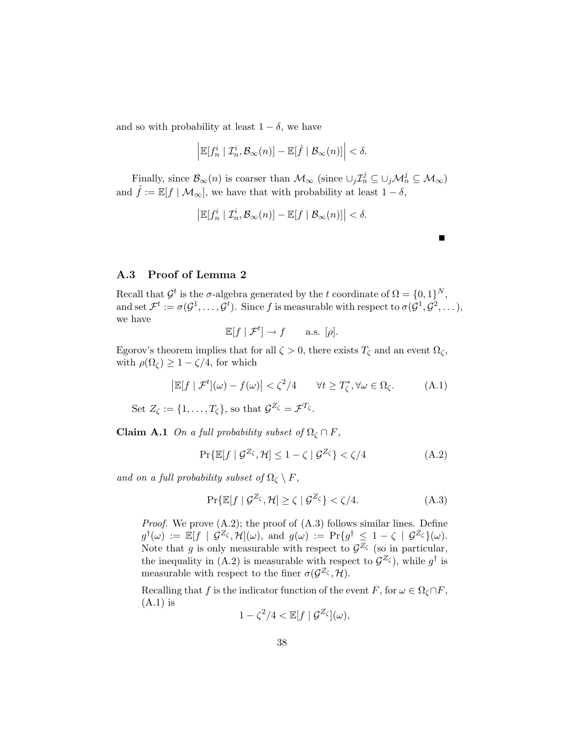and so with probability at least  $1 - \delta$ , we have

$$
\left|\mathbb{E}[f_n^i \mid \mathcal{I}_n^i, \mathcal{B}_{\infty}(n)] - \mathbb{E}[\hat{f} \mid \mathcal{B}_{\infty}(n)]\right| < \delta.
$$

Finally, since  $\mathcal{B}_{\infty}(n)$  is coarser than  $\mathcal{M}_{\infty}$  (since  $\cup_j \mathcal{I}_n^j \subseteq \cup_j \mathcal{M}_n^j \subseteq \mathcal{M}_{\infty}$ ) and  $\hat{f} := \mathbb{E}[f \mid \mathcal{M}_{\infty}],$  we have that with probability at least  $1 - \delta$ ,

$$
\left|\mathbb{E}[f_n^i \mid \mathcal{I}_n^i, \mathcal{B}_{\infty}(n)] - \mathbb{E}[f \mid \mathcal{B}_{\infty}(n)]\right| < \delta.
$$

#### <span id="page-40-0"></span>A.3 Proof of Lemma [2](#page-30-1)

Recall that  $\mathcal{G}^t$  is the  $\sigma$ -algebra generated by the t coordinate of  $\Omega = \{0, 1\}^N$ , and set  $\mathcal{F}^t := \sigma(\mathcal{G}^1, \ldots, \mathcal{G}^t)$ . Since f is measurable with respect to  $\sigma(\mathcal{G}^1, \mathcal{G}^2, \ldots)$ , we have

$$
\mathbb{E}[f \mid \mathcal{F}^t] \to f \quad \text{a.s. } [\rho].
$$

Egorov's theorem implies that for all  $\zeta > 0$ , there exists  $T_{\zeta}$  and an event  $\Omega_{\zeta}$ , with  $\rho(\Omega_{\zeta}) \geq 1 - \zeta/4$ , for which

<span id="page-40-3"></span>
$$
\left|\mathbb{E}[f \mid \mathcal{F}^t](\omega) - f(\omega)\right| < \zeta^2/4 \qquad \forall t \ge T_{\zeta}^*, \forall \omega \in \Omega_{\zeta}.\tag{A.1}
$$

Set  $Z_{\zeta} := \{1, \ldots, T_{\zeta}\}\$ , so that  $\mathcal{G}^{Z_{\zeta}} = \mathcal{F}^{T_{\zeta}}\$ .

**Claim A.1** On a full probability subset of  $\Omega_{\zeta} \cap F$ ,

<span id="page-40-1"></span>
$$
\Pr\{\mathbb{E}[f \mid \mathcal{G}^{Z_{\zeta}}, \mathcal{H}] \le 1 - \zeta \mid \mathcal{G}^{Z_{\zeta}}\} < \zeta/4 \tag{A.2}
$$

and on a full probability subset of  $\Omega_{\zeta} \setminus F$ ,

<span id="page-40-2"></span>
$$
\Pr\{\mathbb{E}[f \mid \mathcal{G}^{Z_{\zeta}}, \mathcal{H}] \ge \zeta \mid \mathcal{G}^{Z_{\zeta}}\} < \zeta/4. \tag{A.3}
$$

*Proof.* We prove  $(A.2)$ ; the proof of  $(A.3)$  follows similar lines. Define  $g^{\dagger}(\omega) := \mathbb{E}[f \mid \mathcal{G}^{Z_{\zeta}}, \mathcal{H}](\omega), \text{ and } g(\omega) := \Pr\{g^{\dagger} \leq 1 - \zeta \mid \mathcal{G}^{Z_{\zeta}}\}(\omega).$ Note that g is only measurable with respect to  $\mathcal{G}^{Z_{\zeta}}$  (so in particular, the inequality in [\(A.2\)](#page-40-1) is measurable with respect to  $\mathcal{G}^{Z_{\zeta}}$ ), while  $g^{\dagger}$  is measurable with respect to the finer  $\sigma(\mathcal{G}^{Z_{\zeta}}, \mathcal{H})$ .

Recalling that f is the indicator function of the event F, for  $\omega \in \Omega$ <sub>*i*</sub> ∩F,  $(A.1)$  is

$$
1 - \zeta^2/4 < \mathbb{E}[f \mid \mathcal{G}^{Z_\zeta}](\omega),
$$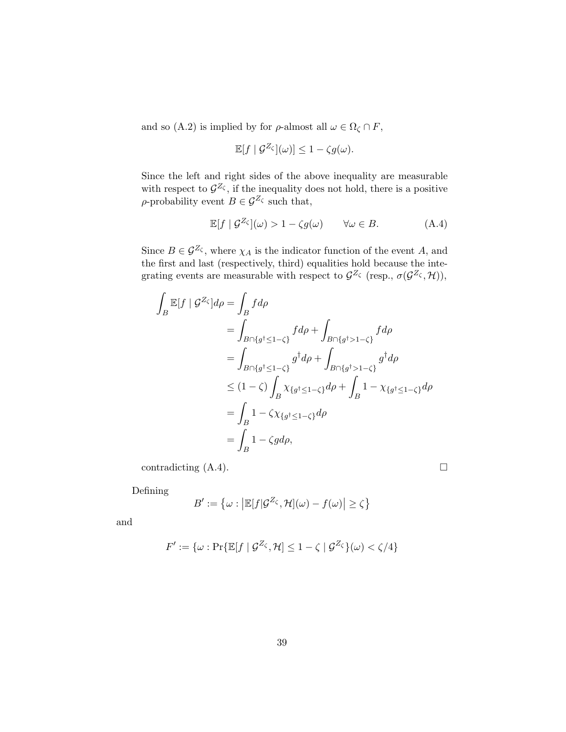and so [\(A.2\)](#page-40-1) is implied by for  $\rho$ -almost all  $\omega \in \Omega_{\zeta} \cap F$ ,

$$
\mathbb{E}[f \mid \mathcal{G}^{Z_{\zeta}}](\omega)] \le 1 - \zeta g(\omega).
$$

Since the left and right sides of the above inequality are measurable with respect to  $\mathcal{G}^{Z_{\zeta}}$ , if the inequality does not hold, there is a positive ρ-probability event  $B \in \mathcal{G}^{Z_{\zeta}}$  such that,

<span id="page-41-0"></span>
$$
\mathbb{E}[f \mid \mathcal{G}^{Z_{\zeta}}](\omega) > 1 - \zeta g(\omega) \qquad \forall \omega \in B. \tag{A.4}
$$

Since  $B \in \mathcal{G}^{\mathbb{Z}_{\zeta}}$ , where  $\chi_A$  is the indicator function of the event A, and the first and last (respectively, third) equalities hold because the integrating events are measurable with respect to  $\mathcal{G}^{Z_{\zeta}}$  (resp.,  $\sigma(\mathcal{G}^{Z_{\zeta}}, \mathcal{H})$ ),

$$
\int_{B} \mathbb{E}[f | \mathcal{G}^{Z_{\zeta}}] d\rho = \int_{B} f d\rho
$$
\n
$$
= \int_{B \cap \{g^{\dagger} \le 1 - \zeta\}} f d\rho + \int_{B \cap \{g^{\dagger} > 1 - \zeta\}} f d\rho
$$
\n
$$
= \int_{B \cap \{g^{\dagger} \le 1 - \zeta\}} g^{\dagger} d\rho + \int_{B \cap \{g^{\dagger} > 1 - \zeta\}} g^{\dagger} d\rho
$$
\n
$$
\le (1 - \zeta) \int_{B} \chi_{\{g^{\dagger} \le 1 - \zeta\}} d\rho + \int_{B} 1 - \chi_{\{g^{\dagger} \le 1 - \zeta\}} d\rho
$$
\n
$$
= \int_{B} 1 - \zeta \chi_{\{g^{\dagger} \le 1 - \zeta\}} d\rho
$$
\n
$$
= \int_{B} 1 - \zeta g d\rho,
$$

contradicting  $(A.4)$ .

Defining

$$
B' := \left\{ \omega : \left| \mathbb{E}[f|\mathcal{G}^{Z_{\zeta}}, \mathcal{H}](\omega) - f(\omega) \right| \ge \zeta \right\}
$$

and

$$
F' := \{ \omega : \Pr\{\mathbb{E}[f \mid \mathcal{G}^{Z_{\zeta}}, \mathcal{H}] \le 1 - \zeta \mid \mathcal{G}^{Z_{\zeta}} \}(\omega) < \zeta/4 \}
$$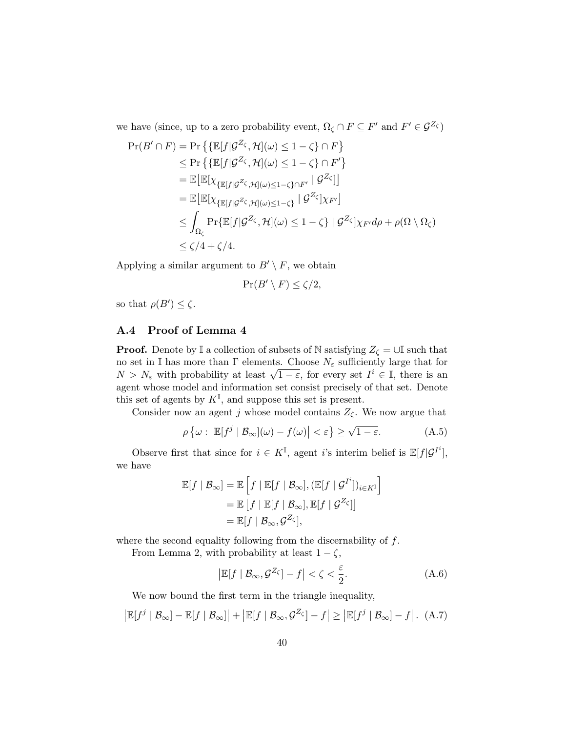we have (since, up to a zero probability event,  $\Omega_{\zeta} \cap F \subseteq F'$  and  $F' \in \mathcal{G}^{Z_{\zeta}}$ )

$$
\Pr(B' \cap F) = \Pr \left\{ \mathbb{E}[f|\mathcal{G}^{Z_{\zeta}}, \mathcal{H}](\omega) \le 1 - \zeta \} \cap F \right\}
$$
  
\n
$$
\le \Pr \left\{ \mathbb{E}[f|\mathcal{G}^{Z_{\zeta}}, \mathcal{H}](\omega) \le 1 - \zeta \} \cap F' \right\}
$$
  
\n
$$
= \mathbb{E} \left[ \mathbb{E}[\chi_{\{\mathbb{E}[f|\mathcal{G}^{Z_{\zeta}}, \mathcal{H}](\omega) \le 1 - \zeta\} \cap F'} | \mathcal{G}^{Z_{\zeta}}] \right]
$$
  
\n
$$
= \mathbb{E} \left[ \mathbb{E}[\chi_{\{\mathbb{E}[f|\mathcal{G}^{Z_{\zeta}}, \mathcal{H}](\omega) \le 1 - \zeta\}} | \mathcal{G}^{Z_{\zeta}}] \chi_{F'} \right]
$$
  
\n
$$
\le \int_{\Omega_{\zeta}} \Pr \{ \mathbb{E}[f|\mathcal{G}^{Z_{\zeta}}, \mathcal{H}](\omega) \le 1 - \zeta \} | \mathcal{G}^{Z_{\zeta}}] \chi_{F'} d\rho + \rho(\Omega \setminus \Omega_{\zeta})
$$
  
\n
$$
\le \zeta/4 + \zeta/4.
$$

Applying a similar argument to  $B' \setminus F$ , we obtain

$$
\Pr(B' \setminus F) \le \zeta/2,
$$

so that  $\rho(B') \leq \zeta$ .

#### <span id="page-42-0"></span>A.4 Proof of Lemma [4](#page-32-0)

**Proof.** Denote by I a collection of subsets of N satisfying  $Z_{\zeta} = \cup I$  such that no set in  $\mathbb I$  has more than  $\Gamma$  elements. Choose  $N_\varepsilon$  sufficiently large that for no set in  $\mathbb{I}$  has more than 1 elements. Choose  $N_{\varepsilon}$  sumclemtly large that for  $N > N_{\varepsilon}$  with probability at least  $\sqrt{1-\varepsilon}$ , for every set  $I^i \in \mathbb{I}$ , there is an agent whose model and information set consist precisely of that set. Denote this set of agents by  $K^{\mathbb{I}}$ , and suppose this set is present.

Consider now an agent j whose model contains  $Z_{\zeta}$ . We now argue that

<span id="page-42-3"></span>
$$
\rho\left\{\omega : \left|\mathbb{E}[f^j \mid \mathcal{B}_{\infty}](\omega) - f(\omega)\right| < \varepsilon\right\} \ge \sqrt{1 - \varepsilon}.\tag{A.5}
$$

Observe first that since for  $i \in K^{\mathbb{I}}$ , agent i's interim belief is  $\mathbb{E}[f|\mathcal{G}^{I^i}]$ , we have

$$
\mathbb{E}[f | \mathcal{B}_{\infty}] = \mathbb{E}\left[f | \mathbb{E}[f | \mathcal{B}_{\infty}], (\mathbb{E}[f | \mathcal{G}^{I^{i}}])_{i \in K^{I}}\right]
$$
  
=  $\mathbb{E}\left[f | \mathbb{E}[f | \mathcal{B}_{\infty}], \mathbb{E}[f | \mathcal{G}^{Z_{\zeta}}]\right]$   
=  $\mathbb{E}[f | \mathcal{B}_{\infty}, \mathcal{G}^{Z_{\zeta}}],$ 

where the second equality following from the discernability of  $f$ .

From Lemma [2,](#page-30-1) with probability at least  $1 - \zeta$ ,

<span id="page-42-1"></span>
$$
\left|\mathbb{E}[f \mid \mathcal{B}_{\infty}, \mathcal{G}^{Z_{\zeta}}] - f\right| < \zeta < \frac{\varepsilon}{2}.\tag{A.6}
$$

We now bound the first term in the triangle inequality,

<span id="page-42-2"></span>
$$
\left|\mathbb{E}[f^j \mid \mathcal{B}_{\infty}] - \mathbb{E}[f \mid \mathcal{B}_{\infty}] \right| + \left|\mathbb{E}[f \mid \mathcal{B}_{\infty}, \mathcal{G}^{Z_{\zeta}}] - f\right| \ge \left|\mathbb{E}[f^j \mid \mathcal{B}_{\infty}] - f\right|.
$$
 (A.7)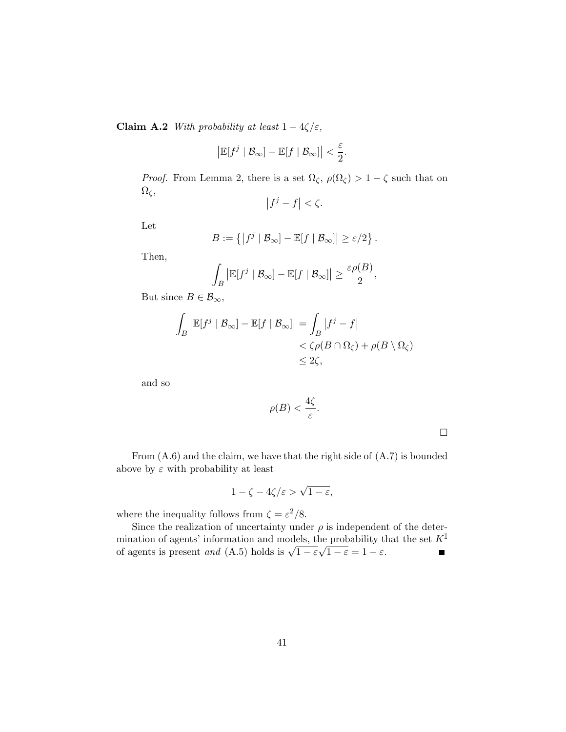Claim A.2 With probability at least  $1 - 4\zeta/\varepsilon$ ,

$$
\left|\mathbb{E}[f^j \mid \mathcal{B}_{\infty}]-\mathbb{E}[f \mid \mathcal{B}_{\infty}]\right| < \frac{\varepsilon}{2}.
$$

*Proof.* From Lemma [2,](#page-30-1) there is a set  $\Omega_{\zeta}$ ,  $\rho(\Omega_{\zeta}) > 1 - \zeta$  such that on  $Ω<sub>ζ</sub>$ ,

 $|f^j-f|<\zeta$ .

Let

$$
B := \left\{ \left| f^j \mid \mathcal{B}_{\infty} \right| - \mathbb{E}[f \mid \mathcal{B}_{\infty}] \right| \geq \varepsilon/2 \right\}.
$$

Then,

$$
\int_B \left| \mathbb{E}[f^j \mid \mathcal{B}_{\infty}] - \mathbb{E}[f \mid \mathcal{B}_{\infty}] \right| \geq \frac{\varepsilon \rho(B)}{2},
$$

But since  $B \in \mathcal{B}_{\infty}$ ,

$$
\int_{B} |\mathbb{E}[f^{j} | \mathcal{B}_{\infty}] - \mathbb{E}[f | \mathcal{B}_{\infty}]| = \int_{B} |f^{j} - f|
$$
  
<  $\langle \rho(B \cap \Omega_{\zeta}) + \rho(B \setminus \Omega_{\zeta}) \rangle$   
 $\leq 2\zeta,$ 

and so

$$
\rho(B) < \frac{4\zeta}{\varepsilon}
$$

.

 $\Box$ 

From [\(A.6\)](#page-42-1) and the claim, we have that the right side of [\(A.7\)](#page-42-2) is bounded above by  $\varepsilon$  with probability at least

$$
1 - \zeta - 4\zeta/\varepsilon > \sqrt{1 - \varepsilon},
$$

where the inequality follows from  $\zeta = \varepsilon^2/8$ .

Since the realization of uncertainty under  $\rho$  is independent of the determination of agents' information and models, the probability that the set  $K^{\mathbb{I}}$ mination of agents information and models,  $\frac{1}{\sqrt{1-\varepsilon}}$ <br>of agents is present *and* [\(A.5\)](#page-42-3) holds is  $\sqrt{1-\varepsilon}$ µe  $\overline{1-\varepsilon}=1-\varepsilon.$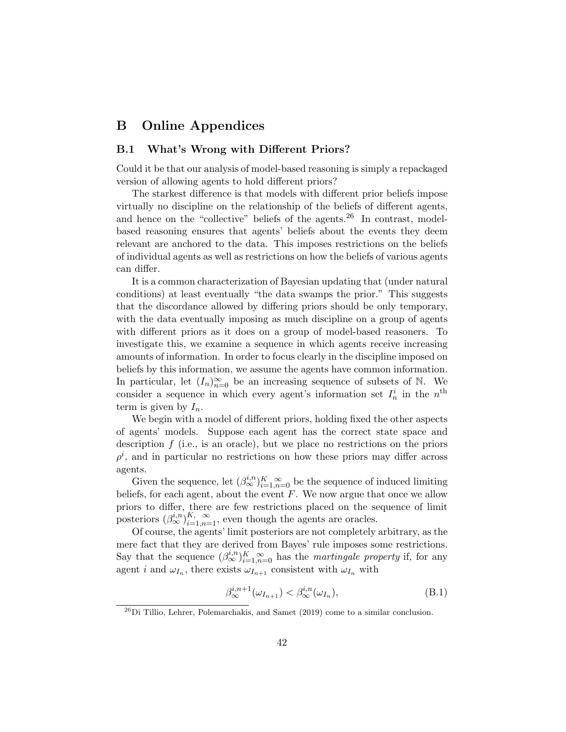# <span id="page-44-0"></span>B Online Appendices

#### <span id="page-44-1"></span>B.1 What's Wrong with Different Priors?

Could it be that our analysis of model-based reasoning is simply a repackaged version of allowing agents to hold different priors?

The starkest difference is that models with different prior beliefs impose virtually no discipline on the relationship of the beliefs of different agents, and hence on the "collective" beliefs of the agents.<sup>[26](#page-44-2)</sup> In contrast, modelbased reasoning ensures that agents' beliefs about the events they deem relevant are anchored to the data. This imposes restrictions on the beliefs of individual agents as well as restrictions on how the beliefs of various agents can differ.

It is a common characterization of Bayesian updating that (under natural conditions) at least eventually "the data swamps the prior." This suggests that the discordance allowed by differing priors should be only temporary, with the data eventually imposing as much discipline on a group of agents with different priors as it does on a group of model-based reasoners. To investigate this, we examine a sequence in which agents receive increasing amounts of information. In order to focus clearly in the discipline imposed on beliefs by this information, we assume the agents have common information. In particular, let  $(I_n)_{n=0}^{\infty}$  be an increasing sequence of subsets of N. We consider a sequence in which every agent's information set  $I_n^i$  in the  $n^{\text{th}}$ term is given by  $I_n$ .

We begin with a model of different priors, holding fixed the other aspects of agents' models. Suppose each agent has the correct state space and description  $f$  (i.e., is an oracle), but we place no restrictions on the priors  $\rho^i$ , and in particular no restrictions on how these priors may differ across agents.

Given the sequence, let  $(\beta_{\infty}^{i,n})_{i=1,n=0}^K$  be the sequence of induced limiting beliefs, for each agent, about the event  $F$ . We now argue that once we allow priors to differ, there are few restrictions placed on the sequence of limit posteriors  $(\beta_{\infty}^{i,n})_{i=1,n=1}^{K, \infty}$ , even though the agents are oracles.

Of course, the agents' limit posteriors are not completely arbitrary, as the mere fact that they are derived from Bayes' rule imposes some restrictions. Say that the sequence  $(\beta_{\infty}^{i,n})_{i=1,n=0}^K$  has the martingale property if, for any agent *i* and  $\omega_{I_n}$ , there exists  $\omega_{I_{n+1}}$  consistent with  $\omega_{I_n}$  with

<span id="page-44-3"></span>
$$
\beta_{\infty}^{i,n+1}(\omega_{I_{n+1}}) < \beta_{\infty}^{i,n}(\omega_{I_n}),\tag{B.1}
$$

<span id="page-44-2"></span> $^{26}$ [Di Tillio, Lehrer, Polemarchakis, and Samet](#page-55-8) [\(2019\)](#page-55-8) come to a similar conclusion.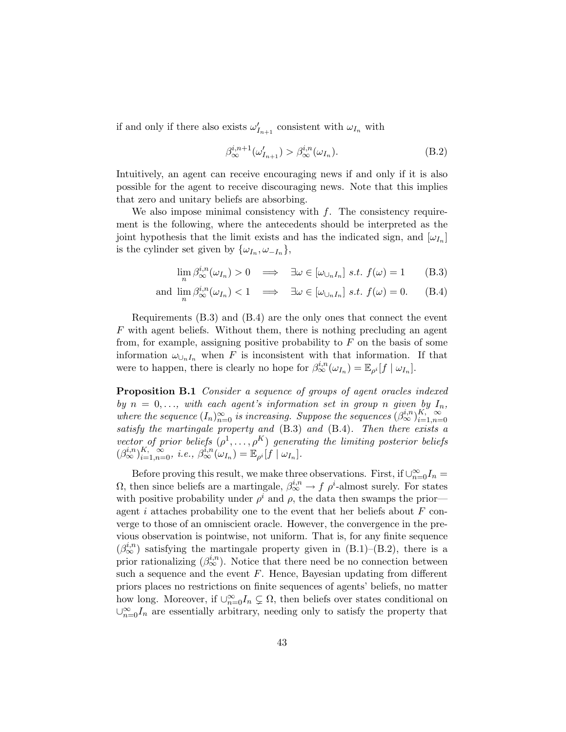if and only if there also exists  $\omega'_{I_{n+1}}$  consistent with  $\omega_{I_n}$  with

<span id="page-45-1"></span>
$$
\beta_{\infty}^{i,n+1}(\omega'_{I_{n+1}}) > \beta_{\infty}^{i,n}(\omega_{I_n}).
$$
\n(B.2)

Intuitively, an agent can receive encouraging news if and only if it is also possible for the agent to receive discouraging news. Note that this implies that zero and unitary beliefs are absorbing.

We also impose minimal consistency with  $f$ . The consistency requirement is the following, where the antecedents should be interpreted as the joint hypothesis that the limit exists and has the indicated sign, and  $[\omega_{I_n}]$ is the cylinder set given by  $\{\omega_{I_n}, \omega_{-I_n}\},\$ 

<span id="page-45-0"></span>
$$
\lim_{n} \beta^{i,n}_{\infty}(\omega_{I_n}) > 0 \implies \exists \omega \in [\omega_{\cup_n I_n}] \text{ s.t. } f(\omega) = 1 \quad (B.3)
$$

and 
$$
\lim_{n} \beta_{\infty}^{i,n}(\omega_{I_n}) < 1 \implies \exists \omega \in [\omega_{\cup_n I_n}] \text{ s.t. } f(\omega) = 0.
$$
 (B.4)

Requirements [\(B.3\)](#page-45-0) and [\(B.4\)](#page-45-0) are the only ones that connect the event F with agent beliefs. Without them, there is nothing precluding an agent from, for example, assigning positive probability to  $F$  on the basis of some information  $\omega_{\cup_n I_n}$  when F is inconsistent with that information. If that were to happen, there is clearly no hope for  $\beta^{i,n}_{\infty}(\omega_{I_n}) = \mathbb{E}_{\rho^i}[f \mid \omega_{I_n}].$ 

Proposition B.1 Consider a sequence of groups of agent oracles indexed by  $n = 0, \ldots$ , with each agent's information set in group n given by  $I_n$ , where the sequence  $(I_n)_{n=0}^{\infty}$  is increasing. Suppose the sequences  $(\beta_{\infty}^{i,n})_{i=1,n=0}^{K,\infty}$  $i=1,n=0$ satisfy the martingale property and  $(B.3)$  and  $(B.4)$ . Then there exists a vector of prior beliefs  $(\rho^1, \ldots, \rho^K)$  generating the limiting posterior beliefs  $(\beta^{i,n}_{\infty})_{i=1,n=0}^{K,~\infty},~i.e.,~\beta^{i,n}_{\infty}(\omega_{I_n})=\mathbb{E}_{\rho^i}[f~|~\omega_{I_n}].$ 

Before proving this result, we make three observations. First, if  $\cup_{n=0}^{\infty} I_n =$  $Ω$ , then since beliefs are a martingale,  $β_{\infty}^{i,n} \rightarrow f \rho^{i}$ -almost surely. For states with positive probability under  $\rho^i$  and  $\rho$ , the data then swamps the prior agent i attaches probability one to the event that her beliefs about  $F$  converge to those of an omniscient oracle. However, the convergence in the previous observation is pointwise, not uniform. That is, for any finite sequence  $(\beta_{\infty}^{i,n})$  satisfying the martingale property given in [\(B.1\)](#page-44-3)–[\(B.2\)](#page-45-1), there is a prior rationalizing  $(\beta_{\infty}^{i,n})$ . Notice that there need be no connection between such a sequence and the event  $F$ . Hence, Bayesian updating from different priors places no restrictions on finite sequences of agents' beliefs, no matter how long. Moreover, if  $\cup_{n=0}^{\infty} I_n \subsetneq \Omega$ , then beliefs over states conditional on  $\bigcup_{n=0}^{\infty} I_n$  are essentially arbitrary, needing only to satisfy the property that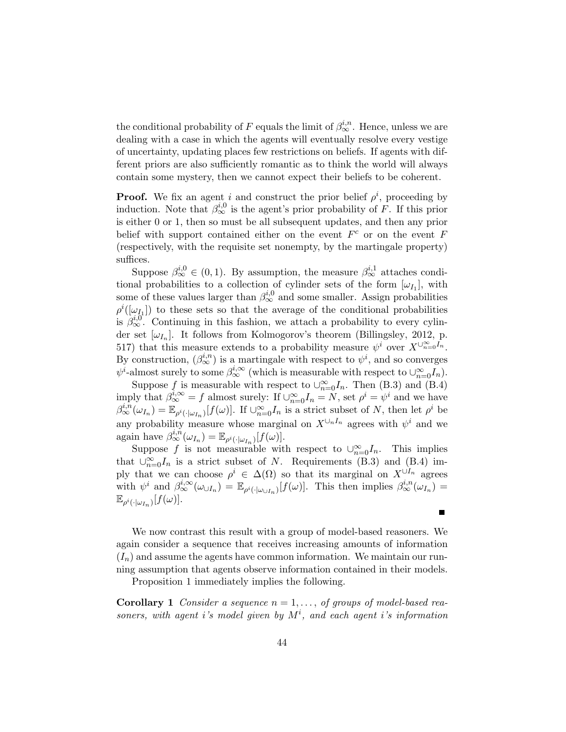the conditional probability of F equals the limit of  $\beta_{\infty}^{i,n}$ . Hence, unless we are dealing with a case in which the agents will eventually resolve every vestige of uncertainty, updating places few restrictions on beliefs. If agents with different priors are also sufficiently romantic as to think the world will always contain some mystery, then we cannot expect their beliefs to be coherent.

**Proof.** We fix an agent i and construct the prior belief  $\rho^i$ , proceeding by induction. Note that  $\beta_{\infty}^{i,0}$  is the agent's prior probability of F. If this prior is either 0 or 1, then so must be all subsequent updates, and then any prior belief with support contained either on the event  $F<sup>c</sup>$  or on the event F (respectively, with the requisite set nonempty, by the martingale property) suffices.

Suppose  $\beta^{i,0}_{\infty} \in (0,1)$ . By assumption, the measure  $\beta^{i,1}_{\infty}$  attaches conditional probabilities to a collection of cylinder sets of the form  $[\omega_{I_1}]$ , with some of these values larger than  $\beta_{\infty}^{i,0}$  and some smaller. Assign probabilities  $\rho^{i}([\omega_{I_1}])$  to these sets so that the average of the conditional probabilities is  $\beta_{\infty}^{i,0}$ . Continuing in this fashion, we attach a probability to every cylinder set  $[\omega_{I_n}]$ . It follows from Kolmogorov's theorem [\(Billingsley, 2012,](#page-55-9) p. 517) that this measure extends to a probability measure  $\psi^i$  over  $X^{\cup_{n=0}^{\infty} \bar{I}_n}$ . By construction,  $(\beta_{\infty}^{i,n})$  is a martingale with respect to  $\psi^{i}$ , and so converges  $\psi^i$ -almost surely to some  $\beta^{i,\infty}_{\infty}$  (which is measurable with respect to  $\cup_{n=0}^{\infty} I_n$ ).

Suppose f is measurable with respect to  $\bigcup_{n=0}^{\infty} I_n$ . Then [\(B.3\)](#page-45-0) and [\(B.4\)](#page-45-0) imply that  $\beta_{\infty}^{i,\infty} = f$  almost surely: If  $\bigcup_{n=0}^{\infty} I_n = N$ , set  $\rho^i = \psi^i$  and we have  $\beta^{i,n}_{\infty}(\omega_{I_n}) = \mathbb{E}_{\rho^i(\cdot|\omega_{I_n})}[f(\omega)]$ . If  $\cup_{n=0}^{\infty}I_n$  is a strict subset of N, then let  $\rho^i$  be any probability measure whose marginal on  $X^{\cup_n I_n}$  agrees with  $\psi^i$  and we again have  $\beta^{i,n}_{\infty}(\omega_{I_n}) = \mathbb{E}_{\rho^i(\cdot|\omega_{I_n})}[f(\omega)].$ 

Suppose f is not measurable with respect to  $\cup_{n=0}^{\infty} I_n$ . This implies that  $\bigcup_{n=0}^{\infty} I_n$  is a strict subset of N. Requirements [\(B.3\)](#page-45-0) and [\(B.4\)](#page-45-0) imply that we can choose  $\rho^i \in \Delta(\Omega)$  so that its marginal on  $X^{\cup I_n}$  agrees with  $\psi^i$  and  $\beta^{i,\infty}_{\infty}(\omega_{\cup I_n}) = \mathbb{E}_{\rho^i(\cdot|\omega_{\cup I_n})}[f(\omega)]$ . This then implies  $\beta^{i,n}_{\infty}(\omega_{I_n}) =$  $\mathbb{E}_{\rho^i(\cdot|\omega_{I_n})}[f(\omega)].$ 

Е

We now contrast this result with a group of model-based reasoners. We again consider a sequence that receives increasing amounts of information  $(I_n)$  and assume the agents have common information. We maintain our running assumption that agents observe information contained in their models.

Proposition [1](#page-20-3) immediately implies the following.

**Corollary 1** Consider a sequence  $n = 1, \ldots$ , of groups of model-based reasoners, with agent i's model given by  $M^i$ , and each agent i's information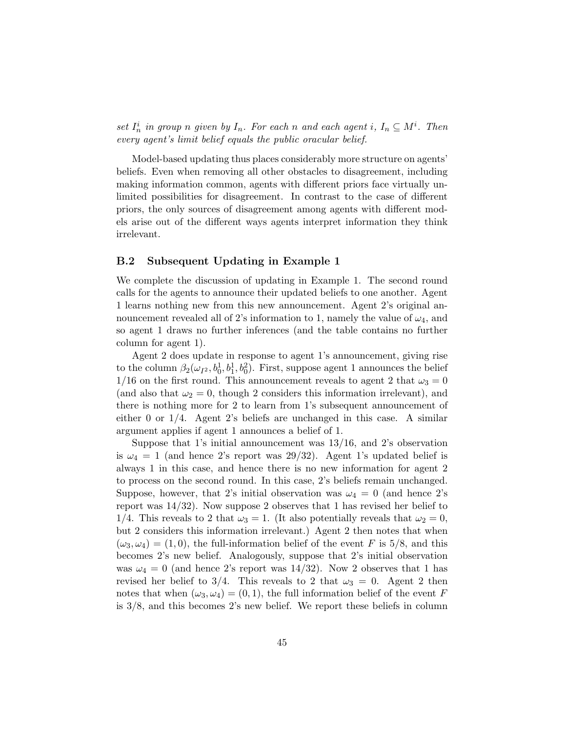set  $I_n^i$  in group n given by  $I_n$ . For each n and each agent i,  $I_n \subseteq M^i$ . Then every agent's limit belief equals the public oracular belief.

Model-based updating thus places considerably more structure on agents' beliefs. Even when removing all other obstacles to disagreement, including making information common, agents with different priors face virtually unlimited possibilities for disagreement. In contrast to the case of different priors, the only sources of disagreement among agents with different models arise out of the different ways agents interpret information they think irrelevant.

#### <span id="page-47-0"></span>B.2 Subsequent Updating in Example [1](#page-15-1)

We complete the discussion of updating in Example [1.](#page-15-1) The second round calls for the agents to announce their updated beliefs to one another. Agent 1 learns nothing new from this new announcement. Agent 2's original announcement revealed all of 2's information to 1, namely the value of  $\omega_4$ , and so agent 1 draws no further inferences (and the table contains no further column for agent 1).

Agent 2 does update in response to agent 1's announcement, giving rise to the column  $\beta_2(\omega_{I^2}, b_0^1, b_1^1, b_0^2)$ . First, suppose agent 1 announces the belief 1/16 on the first round. This announcement reveals to agent 2 that  $\omega_3 = 0$ (and also that  $\omega_2 = 0$ , though 2 considers this information irrelevant), and there is nothing more for 2 to learn from 1's subsequent announcement of either 0 or 1/4. Agent 2's beliefs are unchanged in this case. A similar argument applies if agent 1 announces a belief of 1.

Suppose that 1's initial announcement was 13/16, and 2's observation is  $\omega_4 = 1$  (and hence 2's report was 29/32). Agent 1's updated belief is always 1 in this case, and hence there is no new information for agent 2 to process on the second round. In this case, 2's beliefs remain unchanged. Suppose, however, that 2's initial observation was  $\omega_4 = 0$  (and hence 2's report was 14/32). Now suppose 2 observes that 1 has revised her belief to 1/4. This reveals to 2 that  $\omega_3 = 1$ . (It also potentially reveals that  $\omega_2 = 0$ , but 2 considers this information irrelevant.) Agent 2 then notes that when  $(\omega_3, \omega_4) = (1, 0)$ , the full-information belief of the event F is 5/8, and this becomes 2's new belief. Analogously, suppose that 2's initial observation was  $\omega_4 = 0$  (and hence 2's report was 14/32). Now 2 observes that 1 has revised her belief to 3/4. This reveals to 2 that  $\omega_3 = 0$ . Agent 2 then notes that when  $(\omega_3, \omega_4) = (0, 1)$ , the full information belief of the event F is 3/8, and this becomes 2's new belief. We report these beliefs in column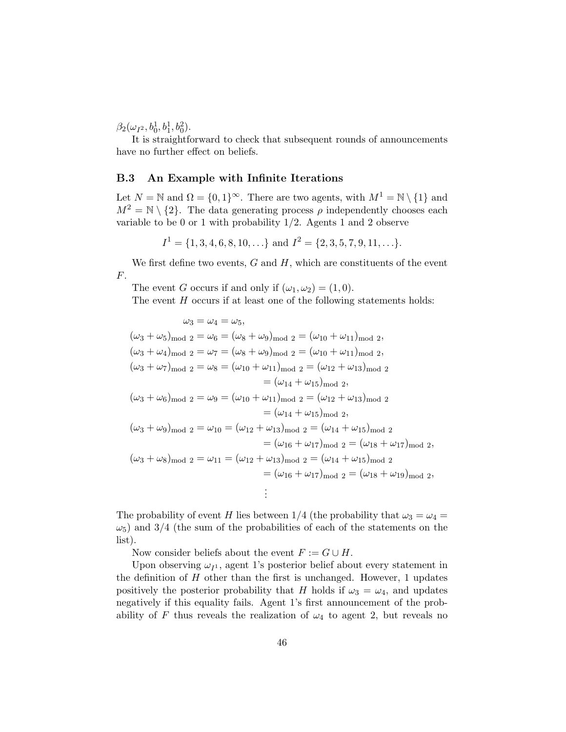$\beta_2(\omega_{I^2},b_0^1,b_1^1,b_0^2).$ 

It is straightforward to check that subsequent rounds of announcements have no further effect on beliefs.

#### <span id="page-48-0"></span>B.3 An Example with Infinite Iterations

Let  $N = \mathbb{N}$  and  $\Omega = \{0, 1\}^{\infty}$ . There are two agents, with  $M^1 = \mathbb{N} \setminus \{1\}$  and  $M^2 = \mathbb{N} \setminus \{2\}$ . The data generating process  $\rho$  independently chooses each variable to be 0 or 1 with probability  $1/2$ . Agents 1 and 2 observe

$$
I1 = \{1, 3, 4, 6, 8, 10, \ldots\} \text{ and } I2 = \{2, 3, 5, 7, 9, 11, \ldots\}.
$$

We first define two events,  $G$  and  $H$ , which are constituents of the event F.

The event G occurs if and only if  $(\omega_1, \omega_2) = (1, 0)$ .

The event  $H$  occurs if at least one of the following statements holds:

$$
\omega_3 = \omega_4 = \omega_5,
$$
  
\n
$$
(\omega_3 + \omega_5)_{\text{mod }2} = \omega_6 = (\omega_8 + \omega_9)_{\text{mod }2} = (\omega_{10} + \omega_{11})_{\text{mod }2},
$$
  
\n
$$
(\omega_3 + \omega_4)_{\text{mod }2} = \omega_7 = (\omega_8 + \omega_9)_{\text{mod }2} = (\omega_{10} + \omega_{11})_{\text{mod }2},
$$
  
\n
$$
(\omega_3 + \omega_7)_{\text{mod }2} = \omega_8 = (\omega_{10} + \omega_{11})_{\text{mod }2} = (\omega_{12} + \omega_{13})_{\text{mod }2} = (\omega_{14} + \omega_{15})_{\text{mod }2},
$$
  
\n
$$
(\omega_3 + \omega_6)_{\text{mod }2} = \omega_9 = (\omega_{10} + \omega_{11})_{\text{mod }2} = (\omega_{12} + \omega_{13})_{\text{mod }2} = (\omega_{14} + \omega_{15})_{\text{mod }2},
$$
  
\n
$$
(\omega_3 + \omega_9)_{\text{mod }2} = \omega_{10} = (\omega_{12} + \omega_{13})_{\text{mod }2} = (\omega_{14} + \omega_{15})_{\text{mod }2} = (\omega_{18} + \omega_{17})_{\text{mod }2},
$$
  
\n
$$
(\omega_3 + \omega_8)_{\text{mod }2} = \omega_{11} = (\omega_{12} + \omega_{13})_{\text{mod }2} = (\omega_{14} + \omega_{15})_{\text{mod }2} = (\omega_{18} + \omega_{17})_{\text{mod }2},
$$
  
\n
$$
= (\omega_{16} + \omega_{17})_{\text{mod }2} = (\omega_{18} + \omega_{19})_{\text{mod }2},
$$
  
\n
$$
\vdots
$$

The probability of event H lies between 1/4 (the probability that  $\omega_3 = \omega_4 =$  $\omega_5$ ) and 3/4 (the sum of the probabilities of each of the statements on the list).

Now consider beliefs about the event  $F := G \cup H$ .

Upon observing  $\omega_{I^1}$ , agent 1's posterior belief about every statement in the definition of  $H$  other than the first is unchanged. However, 1 updates positively the posterior probability that H holds if  $\omega_3 = \omega_4$ , and updates negatively if this equality fails. Agent 1's first announcement of the probability of F thus reveals the realization of  $\omega_4$  to agent 2, but reveals no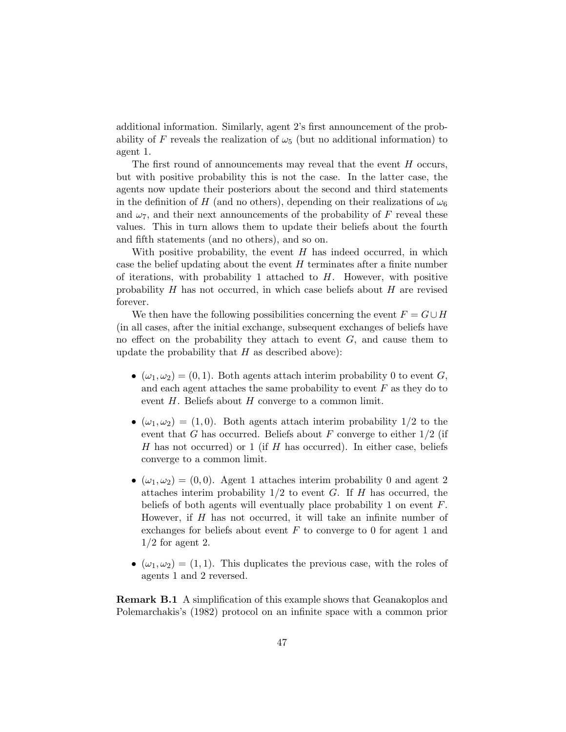additional information. Similarly, agent 2's first announcement of the probability of F reveals the realization of  $\omega_5$  (but no additional information) to agent 1.

The first round of announcements may reveal that the event  $H$  occurs, but with positive probability this is not the case. In the latter case, the agents now update their posteriors about the second and third statements in the definition of H (and no others), depending on their realizations of  $\omega_6$ and  $\omega_7$ , and their next announcements of the probability of F reveal these values. This in turn allows them to update their beliefs about the fourth and fifth statements (and no others), and so on.

With positive probability, the event  $H$  has indeed occurred, in which case the belief updating about the event  $H$  terminates after a finite number of iterations, with probability 1 attached to  $H$ . However, with positive probability  $H$  has not occurred, in which case beliefs about  $H$  are revised forever.

We then have the following possibilities concerning the event  $F = G \cup H$ (in all cases, after the initial exchange, subsequent exchanges of beliefs have no effect on the probability they attach to event  $G$ , and cause them to update the probability that  $H$  as described above):

- $(\omega_1, \omega_2) = (0, 1)$ . Both agents attach interim probability 0 to event G, and each agent attaches the same probability to event  $F$  as they do to event  $H$ . Beliefs about  $H$  converge to a common limit.
- $(\omega_1, \omega_2) = (1, 0)$ . Both agents attach interim probability  $1/2$  to the event that G has occurred. Beliefs about F converge to either  $1/2$  (if H has not occurred) or 1 (if  $H$  has occurred). In either case, beliefs converge to a common limit.
- $(\omega_1, \omega_2) = (0, 0)$ . Agent 1 attaches interim probability 0 and agent 2 attaches interim probability  $1/2$  to event G. If H has occurred, the beliefs of both agents will eventually place probability 1 on event  $F$ . However, if  $H$  has not occurred, it will take an infinite number of exchanges for beliefs about event  $F$  to converge to 0 for agent 1 and  $1/2$  for agent 2.
- $(\omega_1, \omega_2) = (1, 1)$ . This duplicates the previous case, with the roles of agents 1 and 2 reversed.

Remark B.1 A simplification of this example shows that [Geanakoplos and](#page-55-0) [Polemarchakis'](#page-55-0)s [\(1982\)](#page-55-0) protocol on an infinite space with a common prior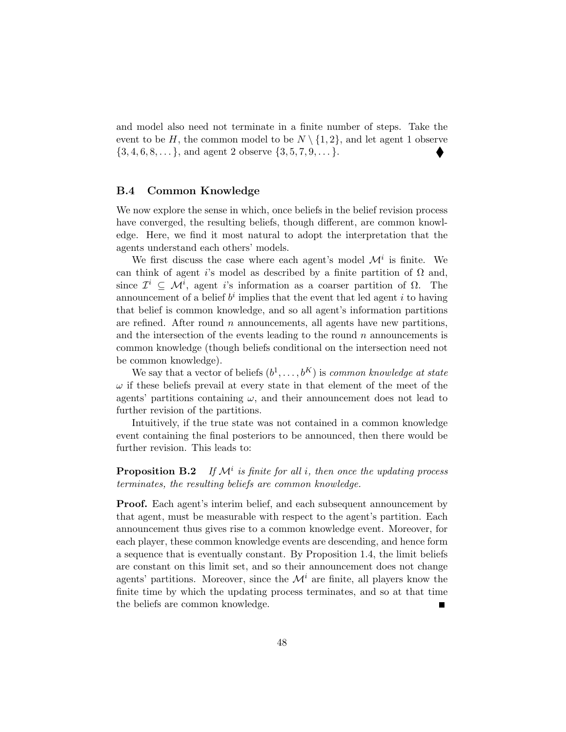and model also need not terminate in a finite number of steps. Take the event to be H, the common model to be  $N \setminus \{1,2\}$ , and let agent 1 observe  $\{3, 4, 6, 8, \ldots\}$ , and agent 2 observe  $\{3, 5, 7, 9, \ldots\}$ .

#### <span id="page-50-0"></span>B.4 Common Knowledge

We now explore the sense in which, once beliefs in the belief revision process have converged, the resulting beliefs, though different, are common knowledge. Here, we find it most natural to adopt the interpretation that the agents understand each others' models.

We first discuss the case where each agent's model  $\mathcal{M}^i$  is finite. We can think of agent i's model as described by a finite partition of  $\Omega$  and, since  $\mathcal{I}^i \subseteq \mathcal{M}^i$ , agent i's information as a coarser partition of  $\Omega$ . The announcement of a belief  $b^i$  implies that the event that led agent i to having that belief is common knowledge, and so all agent's information partitions are refined. After round  $n$  announcements, all agents have new partitions, and the intersection of the events leading to the round  $n$  announcements is common knowledge (though beliefs conditional on the intersection need not be common knowledge).

We say that a vector of beliefs  $(b^1, \ldots, b^K)$  is common knowledge at state  $\omega$  if these beliefs prevail at every state in that element of the meet of the agents' partitions containing  $\omega$ , and their announcement does not lead to further revision of the partitions.

Intuitively, if the true state was not contained in a common knowledge event containing the final posteriors to be announced, then there would be further revision. This leads to:

Proposition B.2 If  $\mathcal{M}^i$  is finite for all i, then once the updating process terminates, the resulting beliefs are common knowledge.

**Proof.** Each agent's interim belief, and each subsequent announcement by that agent, must be measurable with respect to the agent's partition. Each announcement thus gives rise to a common knowledge event. Moreover, for each player, these common knowledge events are descending, and hence form a sequence that is eventually constant. By Proposition [1.](#page-20-3)[4,](#page-21-0) the limit beliefs are constant on this limit set, and so their announcement does not change agents' partitions. Moreover, since the  $\mathcal{M}^i$  are finite, all players know the finite time by which the updating process terminates, and so at that time the beliefs are common knowledge.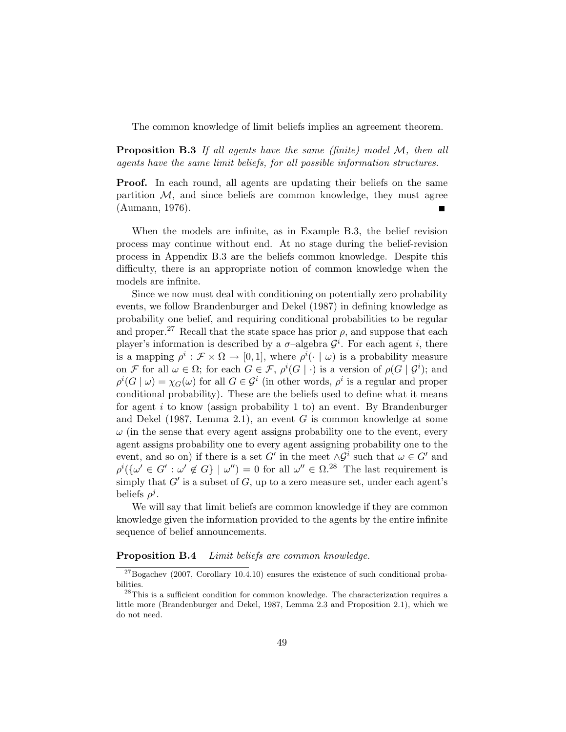The common knowledge of limit beliefs implies an agreement theorem.

<span id="page-51-2"></span>**Proposition B.3** If all agents have the same (finite) model  $M$ , then all agents have the same limit beliefs, for all possible information structures.

Proof. In each round, all agents are updating their beliefs on the same partition  $M$ , and since beliefs are common knowledge, they must agree [\(Aumann, 1976\)](#page-55-1).

When the models are infinite, as in Example [B.3,](#page-48-0) the belief revision process may continue without end. At no stage during the belief-revision process in Appendix [B.3](#page-48-0) are the beliefs common knowledge. Despite this difficulty, there is an appropriate notion of common knowledge when the models are infinite.

Since we now must deal with conditioning on potentially zero probability events, we follow [Brandenburger and Dekel \(1987\)](#page-55-10) in defining knowledge as probability one belief, and requiring conditional probabilities to be regular and proper.<sup>[27](#page-51-0)</sup> Recall that the state space has prior  $\rho$ , and suppose that each player's information is described by a  $\sigma$ -algebra  $\mathcal{G}^i$ . For each agent i, there is a mapping  $\rho^i : \mathcal{F} \times \Omega \to [0,1]$ , where  $\rho^i(\cdot \mid \omega)$  is a probability measure on F for all  $\omega \in \Omega$ ; for each  $G \in \mathcal{F}$ ,  $\rho^{i}(G | \cdot)$  is a version of  $\rho(G | \mathcal{G}^{i})$ ; and  $\rho^{i}(G | \omega) = \chi_G(\omega)$  for all  $G \in \mathcal{G}^i$  (in other words,  $\rho^{i}$  is a regular and proper conditional probability). These are the beliefs used to define what it means for agent  $i$  to know (assign probability 1 to) an event. By [Brandenburger](#page-55-10) [and Dekel \(1987,](#page-55-10) Lemma 2.1), an event G is common knowledge at some  $\omega$  (in the sense that every agent assigns probability one to the event, every agent assigns probability one to every agent assigning probability one to the event, and so on) if there is a set G' in the meet  $\wedge \mathcal{G}^i$  such that  $\omega \in G'$  and  $\rho^i(\{\omega' \in G': \omega' \notin G\} \mid \omega'') = 0$  for all  $\omega'' \in \Omega^{28}$  $\omega'' \in \Omega^{28}$  $\omega'' \in \Omega^{28}$  The last requirement is simply that  $G'$  is a subset of  $G$ , up to a zero measure set, under each agent's beliefs  $\rho^j$ .

We will say that limit beliefs are common knowledge if they are common knowledge given the information provided to the agents by the entire infinite sequence of belief announcements.

#### Proposition B.4 Limit beliefs are common knowledge.

<span id="page-51-0"></span> $^{27}$ [Bogachev](#page-55-11) [\(2007,](#page-55-11) Corollary 10.4.10) ensures the existence of such conditional probabilities.

<span id="page-51-1"></span> $^{28}\mathrm{This}$  is a sufficient condition for common knowledge. The characterization requires a little more [\(Brandenburger and Dekel, 1987,](#page-55-10) Lemma 2.3 and Proposition 2.1), which we do not need.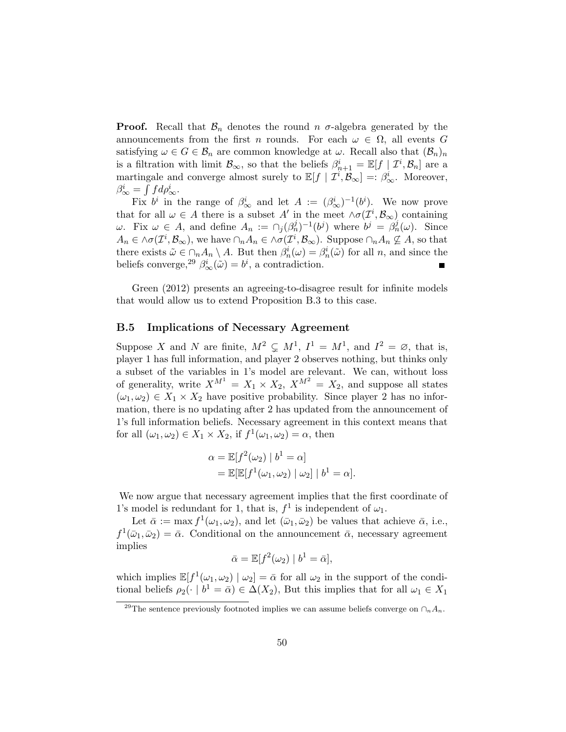**Proof.** Recall that  $\mathcal{B}_n$  denotes the round n  $\sigma$ -algebra generated by the announcements from the first n rounds. For each  $\omega \in \Omega$ , all events G satisfying  $\omega \in G \in \mathcal{B}_n$  are common knowledge at  $\omega$ . Recall also that  $(\mathcal{B}_n)_n$ is a filtration with limit  $\mathcal{B}_{\infty}$ , so that the beliefs  $\beta_{n+1}^i = \mathbb{E}[f \mid \mathcal{I}^i, \mathcal{B}_n]$  are a martingale and converge almost surely to  $\mathbb{E}[f \mid \mathcal{I}^i, \mathcal{B}_{\infty}] =: \beta_{\infty}^i$ . Moreover,  $\beta_{\infty}^i = \int f d\rho_{\infty}^i$ .

Fix  $b^i$  in the range of  $\beta^i_{\infty}$  and let  $A := (\beta^i_{\infty})^{-1}(b^i)$ . We now prove that for all  $\omega \in A$  there is a subset A' in the meet  $\wedge \sigma(\mathcal{I}^i, \mathcal{B}_{\infty})$  containing w. Fix  $\omega \in A$ , and define  $A_n := \bigcap_j (\beta_n^j)^{-1}(b^j)$  where  $b^j = \beta_n^j(\omega)$ . Since  $A_n \in \wedge \sigma(\mathcal{I}^i, \mathcal{B}_{\infty}),$  we have  $\cap_n A_n \in \wedge \sigma(\mathcal{I}^i, \mathcal{B}_{\infty}).$  Suppose  $\cap_n A_n \nsubseteq A$ , so that there exists  $\tilde{\omega} \in \bigcap_n A_n \setminus A$ . But then  $\beta_n^i(\omega) = \beta_n^i(\tilde{\omega})$  for all n, and since the beliefs converge,<sup>[29](#page-52-1)</sup>  $\beta_{\infty}^{i}(\tilde{\omega}) = b^{i}$ , a contradiction.

[Green \(2012\)](#page-55-12) presents an agreeing-to-disagree result for infinite models that would allow us to extend Proposition [B.3](#page-51-2) to this case.

#### <span id="page-52-0"></span>B.5 Implications of Necessary Agreement

Suppose X and N are finite,  $M^2 \subsetneq M^1$ ,  $I^1 = M^1$ , and  $I^2 = \emptyset$ , that is, player 1 has full information, and player 2 observes nothing, but thinks only a subset of the variables in 1's model are relevant. We can, without loss of generality, write  $X^{M^1} = X_1 \times X_2$ ,  $X^{M^2} = X_2$ , and suppose all states  $(\omega_1, \omega_2) \in X_1 \times X_2$  have positive probability. Since player 2 has no information, there is no updating after 2 has updated from the announcement of 1's full information beliefs. Necessary agreement in this context means that for all  $(\omega_1, \omega_2) \in X_1 \times X_2$ , if  $f^1(\omega_1, \omega_2) = \alpha$ , then

$$
\alpha = \mathbb{E}[f^2(\omega_2) | b^1 = \alpha]
$$
  
= 
$$
\mathbb{E}[\mathbb{E}[f^1(\omega_1, \omega_2) | \omega_2] | b^1 = \alpha].
$$

We now argue that necessary agreement implies that the first coordinate of 1's model is redundant for 1, that is,  $f^1$  is independent of  $\omega_1$ .

Let  $\bar{\alpha} := \max f^{1}(\omega_1, \omega_2)$ , and let  $(\bar{\omega}_1, \bar{\omega}_2)$  be values that achieve  $\bar{\alpha}$ , i.e.,  $f^1(\bar{\omega}_1, \bar{\omega}_2) = \bar{\alpha}$ . Conditional on the announcement  $\bar{\alpha}$ , necessary agreement implies

$$
\bar{\alpha} = \mathbb{E}[f^2(\omega_2) | b^1 = \bar{\alpha}],
$$

which implies  $\mathbb{E}[f^1(\omega_1, \omega_2) | \omega_2] = \overline{\alpha}$  for all  $\omega_2$  in the support of the conditional beliefs  $\rho_2(\cdot \mid b^1 = \bar{\alpha}) \in \Delta(X_2)$ , But this implies that for all  $\omega_1 \in X_1$ 

<span id="page-52-1"></span><sup>&</sup>lt;sup>29</sup>The sentence previously footnoted implies we can assume beliefs converge on  $\cap_n A_n$ .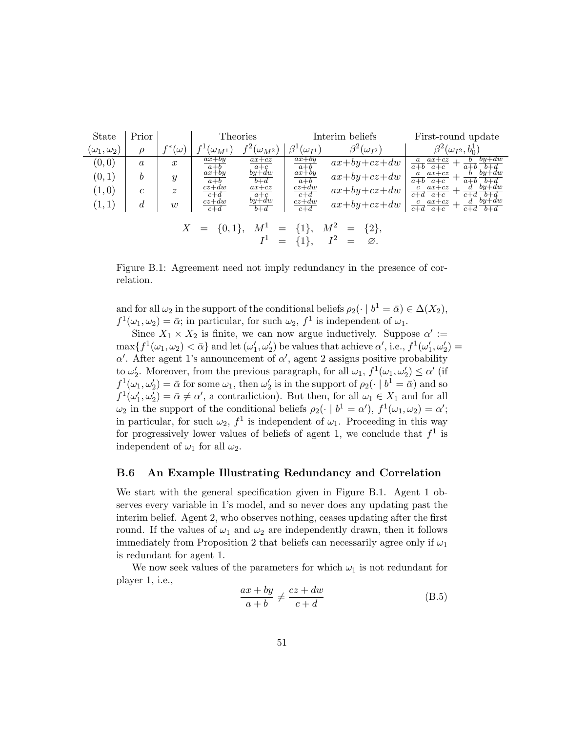| <b>State</b>          | Prior            |                  |                              | <b>Theories</b>     |                         | Interim beliefs          | First-round update                                                                                 |
|-----------------------|------------------|------------------|------------------------------|---------------------|-------------------------|--------------------------|----------------------------------------------------------------------------------------------------|
| $(\omega_1,\omega_2)$ | $\varrho$        | $f^*(\omega)$    | $+f^1(\omega_{M^1})$         | $f^2(\omega_{M^2})$ | $\beta^1(\omega_{I^1})$ | $\beta^2(\omega_{I2})$   | $\beta^{2}(\omega_{I^{2}},b_{0}^{1})$                                                              |
| (0, 0)                | $\boldsymbol{a}$ | $\boldsymbol{x}$ | $ax+by$<br>$\frac{a+b}{a+b}$ | $ax+cz$<br>$a+c$    | $\frac{ax+by}{a+b}$     | $ax+by+cz+dw$            | $by+dw$<br>b<br>$ax+cz$<br>$\boldsymbol{a}$<br>$\overline{a+b}$ $\overline{a+c}$<br>$b+d$<br>$a+b$ |
| (0,1)                 | b                | $\boldsymbol{y}$ | $ax+by$<br>$a+b$             | $by + dw$<br>$b+d$  | $\frac{ax+by}{a+b}$     | $ax+by+cz+dw$            | $by+dw$<br>b<br>$ax + cz$<br>$\overline{a+b}$<br>$a+c$<br>$a+b$<br>$b+d$                           |
| (1,0)                 | $\,c\,$          | $\boldsymbol{z}$ | $rac{cz+dw}{c+d}$            | $ax + cz$<br>$a+c$  | $rac{cz+dw}{c+d}$       | $ax+by+cz+dw$            | $by+dw$<br>d<br>$ax+cz$<br>$\mathbf{c}$<br>$\overline{c+d}$<br>$a+c$<br>$b+d$<br>$c+d$             |
| (1,1)                 | $\boldsymbol{d}$ | w                | $rac{cz+dw}{c+d}$            | $by + dw$<br>$b+d$  | $rac{cz+dw}{c+d}$       | $ax+by+cz+dw$            | $by+dw$<br>$rac{c}{c+d} \frac{ax+cz}{a+c}$<br>d<br>$b+d$<br>$c+d$                                  |
|                       |                  |                  | $X = \{0,1\},\$              | $M^1$<br>$=$        |                         | $M^2$<br>$\{2\},\$<br>Ø. |                                                                                                    |

<span id="page-53-1"></span>Figure B.1: Agreement need not imply redundancy in the presence of correlation.

and for all  $\omega_2$  in the support of the conditional beliefs  $\rho_2(\cdot \mid b^1 = \bar{\alpha}) \in \Delta(X_2)$ ,  $f^1(\omega_1, \omega_2) = \bar{\alpha}$ ; in particular, for such  $\omega_2$ ,  $f^1$  is independent of  $\omega_1$ .

Since  $X_1 \times X_2$  is finite, we can now argue inductively. Suppose  $\alpha' :=$  $\max\{f^1(\omega_1,\omega_2)<\bar{\alpha}\}\$ and let  $(\omega_1',\omega_2')$  be values that achieve  $\alpha',$  i.e.,  $f^1(\omega_1',\omega_2')=$  $\alpha'$ . After agent 1's announcement of  $\alpha'$ , agent 2 assigns positive probability to  $\omega'_2$ . Moreover, from the previous paragraph, for all  $\omega_1$ ,  $f^1(\omega_1, \omega'_2) \leq \alpha'$  (if  $f^1(\omega_1, \omega'_2) = \bar{\alpha}$  for some  $\omega_1$ , then  $\omega'_2$  is in the support of  $\rho_2(\cdot \mid b^1 = \bar{\alpha})$  and so  $f^1(\omega'_1, \omega'_2) = \bar{\alpha} \neq \alpha'$ , a contradiction). But then, for all  $\omega_1 \in X_1$  and for all  $\omega_2$  in the support of the conditional beliefs  $\rho_2(\cdot \mid b^1 = \alpha')$ ,  $f^1(\omega_1, \omega_2) = \alpha'$ ; in particular, for such  $\omega_2$ ,  $f^1$  is independent of  $\omega_1$ . Proceeding in this way for progressively lower values of beliefs of agent 1, we conclude that  $f^1$  is independent of  $\omega_1$  for all  $\omega_2$ .

#### <span id="page-53-0"></span>B.6 An Example Illustrating Redundancy and Correlation

We start with the general specification given in Figure [B.1.](#page-53-1) Agent 1 observes every variable in 1's model, and so never does any updating past the interim belief. Agent 2, who observes nothing, ceases updating after the first round. If the values of  $\omega_1$  and  $\omega_2$  are independently drawn, then it follows immediately from Proposition [2](#page-23-3) that beliefs can necessarily agree only if  $\omega_1$ is redundant for agent 1.

We now seek values of the parameters for which  $\omega_1$  is not redundant for player 1, i.e.,

<span id="page-53-2"></span>
$$
\frac{ax + by}{a + b} \neq \frac{cz + dw}{c + d} \tag{B.5}
$$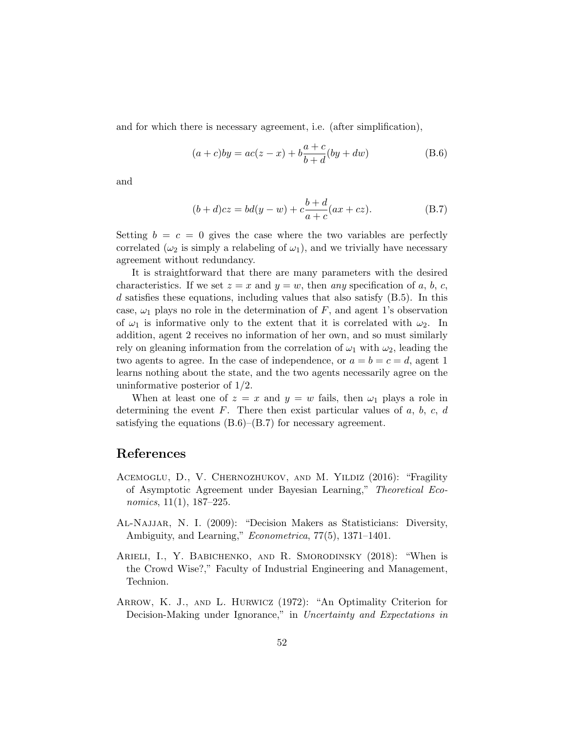and for which there is necessary agreement, i.e. (after simplification),

<span id="page-54-5"></span>
$$
(a + c)by = ac(z - x) + b\frac{a + c}{b + d}(by + dw)
$$
 (B.6)

and

<span id="page-54-6"></span>
$$
(b+d)cz = bd(y-w) + c\frac{b+d}{a+c}(ax+cz).
$$
 (B.7)

Setting  $b = c = 0$  gives the case where the two variables are perfectly correlated ( $\omega_2$  is simply a relabeling of  $\omega_1$ ), and we trivially have necessary agreement without redundancy.

It is straightforward that there are many parameters with the desired characteristics. If we set  $z = x$  and  $y = w$ , then any specification of a, b, c,  $d$  satisfies these equations, including values that also satisfy  $(B.5)$ . In this case,  $\omega_1$  plays no role in the determination of F, and agent 1's observation of  $\omega_1$  is informative only to the extent that it is correlated with  $\omega_2$ . In addition, agent 2 receives no information of her own, and so must similarly rely on gleaning information from the correlation of  $\omega_1$  with  $\omega_2$ , leading the two agents to agree. In the case of independence, or  $a = b = c = d$ , agent 1 learns nothing about the state, and the two agents necessarily agree on the uninformative posterior of 1/2.

When at least one of  $z = x$  and  $y = w$  fails, then  $\omega_1$  plays a role in determining the event  $F$ . There then exist particular values of  $a, b, c, d$ satisfying the equations  $(B.6)$ – $(B.7)$  for necessary agreement.

# <span id="page-54-0"></span>References

- <span id="page-54-4"></span>Acemoglu, D., V. Chernozhukov, and M. Yildiz (2016): "Fragility of Asymptotic Agreement under Bayesian Learning," Theoretical Economics, 11(1), 187–225.
- <span id="page-54-2"></span>Al-Najjar, N. I. (2009): "Decision Makers as Statisticians: Diversity, Ambiguity, and Learning," Econometrica, 77(5), 1371–1401.
- <span id="page-54-3"></span>Arieli, I., Y. Babichenko, and R. Smorodinsky (2018): "When is the Crowd Wise?," Faculty of Industrial Engineering and Management, Technion.
- <span id="page-54-1"></span>Arrow, K. J., and L. Hurwicz (1972): "An Optimality Criterion for Decision-Making under Ignorance," in Uncertainty and Expectations in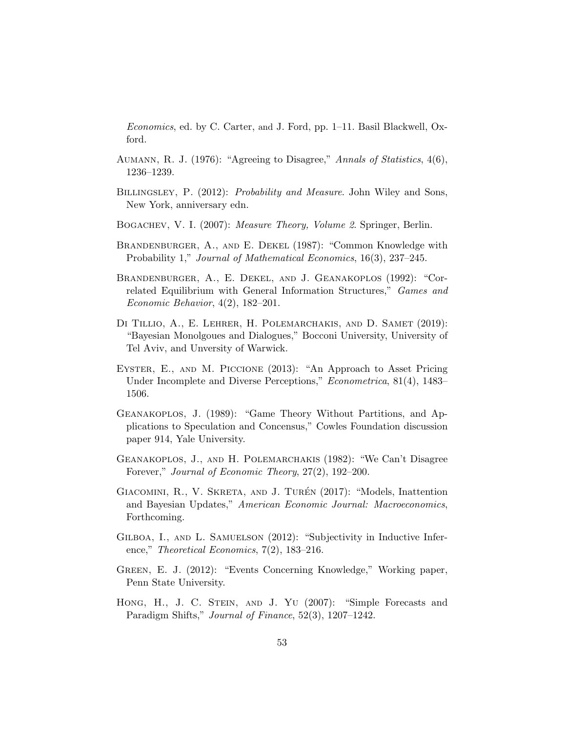Economics, ed. by C. Carter, and J. Ford, pp. 1–11. Basil Blackwell, Oxford.

- <span id="page-55-1"></span>AUMANN, R. J. (1976): "Agreeing to Disagree," Annals of Statistics, 4(6), 1236–1239.
- <span id="page-55-9"></span>BILLINGSLEY, P. (2012): *Probability and Measure*. John Wiley and Sons, New York, anniversary edn.
- <span id="page-55-11"></span>Bogachev, V. I. (2007): Measure Theory, Volume 2. Springer, Berlin.
- <span id="page-55-10"></span>BRANDENBURGER, A., AND E. DEKEL (1987): "Common Knowledge with Probability 1," Journal of Mathematical Economics, 16(3), 237–245.
- <span id="page-55-7"></span>Brandenburger, A., E. Dekel, and J. Geanakoplos (1992): "Correlated Equilibrium with General Information Structures," Games and Economic Behavior, 4(2), 182–201.
- <span id="page-55-8"></span>Di Tillio, A., E. Lehrer, H. Polemarchakis, and D. Samet (2019): "Bayesian Monolgoues and Dialogues," Bocconi University, University of Tel Aviv, and Unversity of Warwick.
- <span id="page-55-2"></span>Eyster, E., and M. Piccione (2013): "An Approach to Asset Pricing Under Incomplete and Diverse Perceptions," Econometrica, 81(4), 1483– 1506.
- <span id="page-55-6"></span>Geanakoplos, J. (1989): "Game Theory Without Partitions, and Applications to Speculation and Concensus," Cowles Foundation discussion paper 914, Yale University.
- <span id="page-55-0"></span>Geanakoplos, J., and H. Polemarchakis (1982): "We Can't Disagree Forever," Journal of Economic Theory, 27(2), 192–200.
- <span id="page-55-5"></span>GIACOMINI, R., V. SKRETA, AND J. TURÉN (2017): "Models, Inattention and Bayesian Updates," American Economic Journal: Macroeconomics, Forthcoming.
- <span id="page-55-4"></span>Gilboa, I., and L. Samuelson (2012): "Subjectivity in Inductive Inference," Theoretical Economics, 7(2), 183-216.
- <span id="page-55-12"></span>Green, E. J. (2012): "Events Concerning Knowledge," Working paper, Penn State University.
- <span id="page-55-3"></span>Hong, H., J. C. STEIN, AND J. YU (2007): "Simple Forecasts and Paradigm Shifts," Journal of Finance, 52(3), 1207–1242.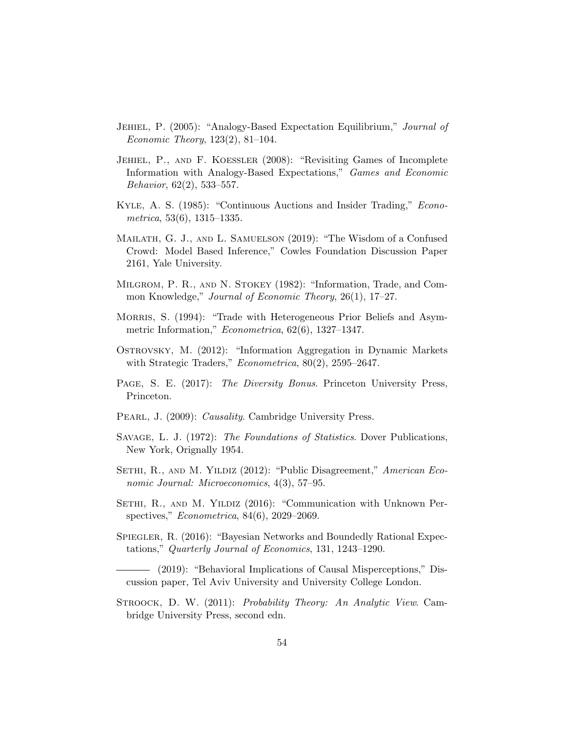- <span id="page-56-7"></span>JEHIEL, P. (2005): "Analogy-Based Expectation Equilibrium," Journal of Economic Theory, 123(2), 81–104.
- <span id="page-56-8"></span>JEHIEL, P., AND F. KOESSLER (2008): "Revisiting Games of Incomplete Information with Analogy-Based Expectations," Games and Economic Behavior, 62(2), 533–557.
- <span id="page-56-12"></span>Kyle, A. S. (1985): "Continuous Auctions and Insider Trading," Econometrica, 53(6), 1315–1335.
- <span id="page-56-1"></span>Mailath, G. J., and L. Samuelson (2019): "The Wisdom of a Confused Crowd: Model Based Inference," Cowles Foundation Discussion Paper 2161, Yale University.
- <span id="page-56-10"></span>Milgrom, P. R., and N. Stokey (1982): "Information, Trade, and Common Knowledge," *Journal of Economic Theory*, 26(1), 17–27.
- <span id="page-56-11"></span>MORRIS, S. (1994): "Trade with Heterogeneous Prior Beliefs and Asymmetric Information," Econometrica, 62(6), 1327–1347.
- <span id="page-56-13"></span>Ostrovsky, M. (2012): "Information Aggregation in Dynamic Markets with Strategic Traders," Econometrica, 80(2), 2595–2647.
- <span id="page-56-9"></span>PAGE, S. E. (2017): The Diversity Bonus. Princeton University Press, Princeton.
- <span id="page-56-5"></span>PEARL, J. (2009): *Causality*. Cambridge University Press.
- <span id="page-56-0"></span>SAVAGE, L. J. (1972): The Foundations of Statistics. Dover Publications, New York, Orignally 1954.
- <span id="page-56-4"></span>SETHI, R., AND M. YILDIZ (2012): "Public Disagreement," American Economic Journal: Microeconomics, 4(3), 57–95.
- <span id="page-56-14"></span>SETHI, R., AND M. YILDIZ (2016): "Communication with Unknown Perspectives," Econometrica, 84(6), 2029–2069.
- <span id="page-56-2"></span>SPIEGLER, R. (2016): "Bayesian Networks and Boundedly Rational Expectations," Quarterly Journal of Economics, 131, 1243–1290.

<span id="page-56-6"></span>(2019): "Behavioral Implications of Causal Misperceptions," Discussion paper, Tel Aviv University and University College London.

<span id="page-56-3"></span>STROOCK, D. W. (2011): Probability Theory: An Analytic View. Cambridge University Press, second edn.